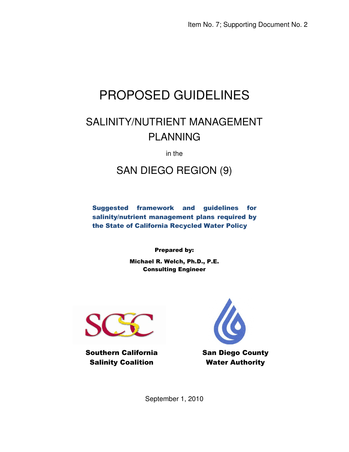# PROPOSED GUIDELINES

### SALINITY/NUTRIENT MANAGEMENT PLANNING

in the

#### SAN DIEGO REGION (9)

Suggested framework and guidelines for salinity/nutrient management plans required by the State of California Recycled Water Policy

Prepared by:

Michael R. Welch, Ph.D., P.E. Consulting Engineer



Southern California Salinity Coalition



San Diego County Water Authority

September 1, 2010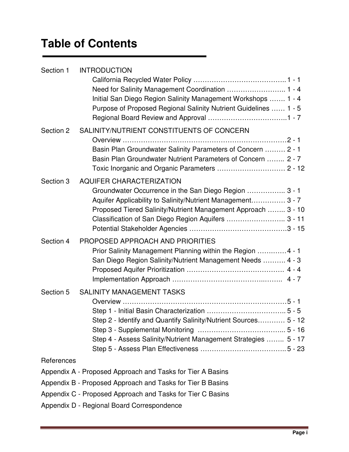## **Table of Contents**

| Section 1  | <b>INTRODUCTION</b>                                                                                                  |
|------------|----------------------------------------------------------------------------------------------------------------------|
|            | Need for Salinity Management Coordination  1 - 4                                                                     |
|            | Initial San Diego Region Salinity Management Workshops  1 - 4                                                        |
|            | Purpose of Proposed Regional Salinity Nutrient Guidelines  1 - 5                                                     |
| Section 2  | SALINITY/NUTRIENT CONSTITUENTS OF CONCERN                                                                            |
|            |                                                                                                                      |
|            | Basin Plan Groundwater Salinity Parameters of Concern  2 - 1                                                         |
|            | Basin Plan Groundwater Nutrient Parameters of Concern  2 - 7                                                         |
| Section 3  | <b>AQUIFER CHARACTERIZATION</b>                                                                                      |
|            | Groundwater Occurrence in the San Diego Region  3 - 1                                                                |
|            | Aquifer Applicability to Salinity/Nutrient Management 3 - 7                                                          |
|            | Proposed Tiered Salinity/Nutrient Management Approach  3 - 10<br>Classification of San Diego Region Aquifers  3 - 11 |
|            |                                                                                                                      |
| Section 4  | PROPOSED APPROACH AND PRIORITIES                                                                                     |
|            | Prior Salinity Management Planning within the Region  4 - 1                                                          |
|            | San Diego Region Salinity/Nutrient Management Needs  4 - 3                                                           |
|            |                                                                                                                      |
| Section 5  | <b>SALINITY MANAGEMENT TASKS</b>                                                                                     |
|            |                                                                                                                      |
|            |                                                                                                                      |
|            | Step 2 - Identify and Quantify Salinity/Nutrient Sources<br>$5 - 12$                                                 |
|            |                                                                                                                      |
|            | Step 4 - Assess Salinity/Nutrient Management Strategies  5 - 17                                                      |
|            |                                                                                                                      |
| References |                                                                                                                      |
|            | Appendix A - Proposed Approach and Tasks for Tier A Basins                                                           |
|            | Appendix B - Proposed Approach and Tasks for Tier B Basins                                                           |
|            | Appendix C - Proposed Approach and Tasks for Tier C Basins                                                           |
|            | Appendix D - Regional Board Correspondence                                                                           |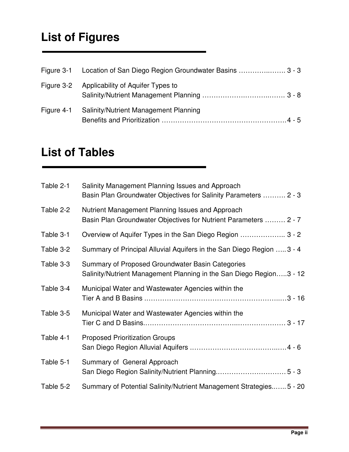### **List of Figures**

|            | Figure 3-1 Location of San Diego Region Groundwater Basins  3 - 3 |
|------------|-------------------------------------------------------------------|
|            | Figure 3-2 Applicability of Aquifer Types to                      |
| Figure 4-1 | <b>Salinity/Nutrient Management Planning</b>                      |

#### **List of Tables**

| Table 2-1 | Salinity Management Planning Issues and Approach<br>Basin Plan Groundwater Objectives for Salinity Parameters  2 - 3    |
|-----------|-------------------------------------------------------------------------------------------------------------------------|
| Table 2-2 | Nutrient Management Planning Issues and Approach<br>Basin Plan Groundwater Objectives for Nutrient Parameters  2 - 7    |
| Table 3-1 | Overview of Aquifer Types in the San Diego Region  3 - 2                                                                |
| Table 3-2 | Summary of Principal Alluvial Aquifers in the San Diego Region  3 - 4                                                   |
| Table 3-3 | Summary of Proposed Groundwater Basin Categories<br>Salinity/Nutrient Management Planning in the San Diego Region3 - 12 |
| Table 3-4 | Municipal Water and Wastewater Agencies within the                                                                      |
| Table 3-5 | Municipal Water and Wastewater Agencies within the                                                                      |
| Table 4-1 | <b>Proposed Prioritization Groups</b>                                                                                   |
| Table 5-1 | Summary of General Approach                                                                                             |
| Table 5-2 | Summary of Potential Salinity/Nutrient Management Strategies5 - 20                                                      |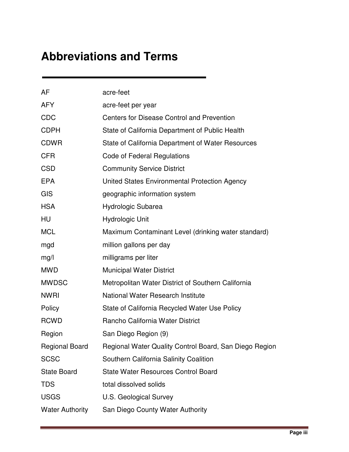### **Abbreviations and Terms**

| AF                     | acre-feet                                              |
|------------------------|--------------------------------------------------------|
| <b>AFY</b>             | acre-feet per year                                     |
| <b>CDC</b>             | Centers for Disease Control and Prevention             |
| <b>CDPH</b>            | State of California Department of Public Health        |
| <b>CDWR</b>            | State of California Department of Water Resources      |
| <b>CFR</b>             | Code of Federal Regulations                            |
| <b>CSD</b>             | <b>Community Service District</b>                      |
| <b>EPA</b>             | United States Environmental Protection Agency          |
| GIS                    | geographic information system                          |
| <b>HSA</b>             | Hydrologic Subarea                                     |
| HU                     | <b>Hydrologic Unit</b>                                 |
| <b>MCL</b>             | Maximum Contaminant Level (drinking water standard)    |
| mgd                    | million gallons per day                                |
| mg/l                   | milligrams per liter                                   |
| <b>MWD</b>             | <b>Municipal Water District</b>                        |
| <b>MWDSC</b>           | Metropolitan Water District of Southern California     |
| <b>NWRI</b>            | National Water Research Institute                      |
| Policy                 | State of California Recycled Water Use Policy          |
| <b>RCWD</b>            | Rancho California Water District                       |
| Region                 | San Diego Region (9)                                   |
| <b>Regional Board</b>  | Regional Water Quality Control Board, San Diego Region |
| <b>SCSC</b>            | Southern California Salinity Coalition                 |
| <b>State Board</b>     | <b>State Water Resources Control Board</b>             |
| <b>TDS</b>             | total dissolved solids                                 |
| <b>USGS</b>            | <b>U.S. Geological Survey</b>                          |
| <b>Water Authority</b> | San Diego County Water Authority                       |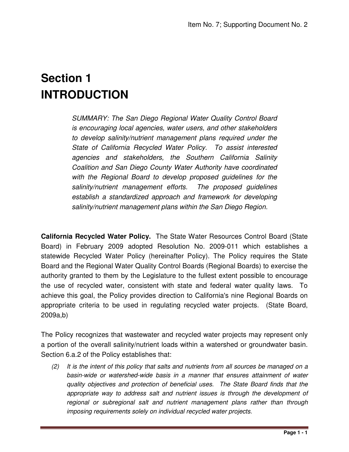### **Section 1 INTRODUCTION**

SUMMARY: The San Diego Regional Water Quality Control Board is encouraging local agencies, water users, and other stakeholders to develop salinity/nutrient management plans required under the State of California Recycled Water Policy. To assist interested agencies and stakeholders, the Southern California Salinity Coalition and San Diego County Water Authority have coordinated with the Regional Board to develop proposed guidelines for the salinity/nutrient management efforts. The proposed guidelines establish a standardized approach and framework for developing salinity/nutrient management plans within the San Diego Region.

**California Recycled Water Policy.** The State Water Resources Control Board (State Board) in February 2009 adopted Resolution No. 2009-011 which establishes a statewide Recycled Water Policy (hereinafter Policy). The Policy requires the State Board and the Regional Water Quality Control Boards (Regional Boards) to exercise the authority granted to them by the Legislature to the fullest extent possible to encourage the use of recycled water, consistent with state and federal water quality laws. To achieve this goal, the Policy provides direction to California's nine Regional Boards on appropriate criteria to be used in regulating recycled water projects. (State Board, 2009a,b)

The Policy recognizes that wastewater and recycled water projects may represent only a portion of the overall salinity/nutrient loads within a watershed or groundwater basin. Section 6.a.2 of the Policy establishes that:

 $(2)$  It is the intent of this policy that salts and nutrients from all sources be managed on a basin-wide or watershed-wide basis in a manner that ensures attainment of water quality objectives and protection of beneficial uses. The State Board finds that the appropriate way to address salt and nutrient issues is through the development of regional or subregional salt and nutrient management plans rather than through imposing requirements solely on individual recycled water projects.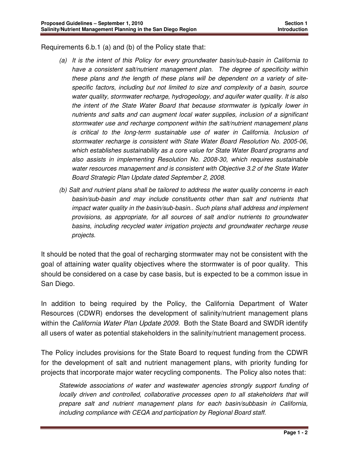Requirements 6.b.1 (a) and (b) of the Policy state that:

- (a) It is the intent of this Policy for every groundwater basin/sub-basin in California to have a consistent salt/nutrient management plan. The degree of specificity within these plans and the length of these plans will be dependent on a variety of sitespecific factors, including but not limited to size and complexity of a basin, source water quality, stormwater recharge, hydrogeology, and aquifer water quality. It is also the intent of the State Water Board that because stormwater is typically lower in nutrients and salts and can augment local water supplies, inclusion of a significant stormwater use and recharge component within the salt/nutrient management plans is critical to the long-term sustainable use of water in California. Inclusion of stormwater recharge is consistent with State Water Board Resolution No. 2005-06, which establishes sustainability as a core value for State Water Board programs and also assists in implementing Resolution No. 2008-30, which requires sustainable water resources management and is consistent with Objective 3.2 of the State Water Board Strategic Plan Update dated September 2, 2008.
- (b) Salt and nutrient plans shall be tailored to address the water quality concerns in each basin/sub-basin and may include constituents other than salt and nutrients that impact water quality in the basin/sub-basin.. Such plans shall address and implement provisions, as appropriate, for all sources of salt and/or nutrients to groundwater basins, including recycled water irrigation projects and groundwater recharge reuse projects.

It should be noted that the goal of recharging stormwater may not be consistent with the goal of attaining water quality objectives where the stormwater is of poor quality. This should be considered on a case by case basis, but is expected to be a common issue in San Diego.

In addition to being required by the Policy, the California Department of Water Resources (CDWR) endorses the development of salinity/nutrient management plans within the California Water Plan Update 2009. Both the State Board and SWDR identify all users of water as potential stakeholders in the salinity/nutrient management process.

The Policy includes provisions for the State Board to request funding from the CDWR for the development of salt and nutrient management plans, with priority funding for projects that incorporate major water recycling components. The Policy also notes that:

Statewide associations of water and wastewater agencies strongly support funding of locally driven and controlled, collaborative processes open to all stakeholders that will prepare salt and nutrient management plans for each basin/subbasin in California, including compliance with CEQA and participation by Regional Board staff.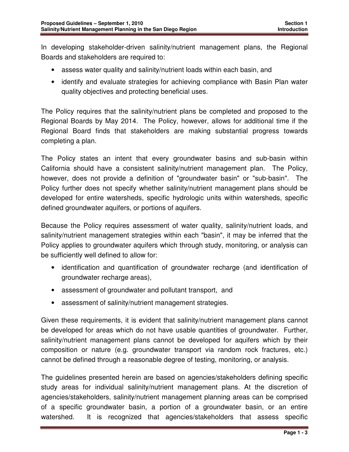In developing stakeholder-driven salinity/nutrient management plans, the Regional Boards and stakeholders are required to:

- assess water quality and salinity/nutrient loads within each basin, and
- identify and evaluate strategies for achieving compliance with Basin Plan water quality objectives and protecting beneficial uses.

The Policy requires that the salinity/nutrient plans be completed and proposed to the Regional Boards by May 2014. The Policy, however, allows for additional time if the Regional Board finds that stakeholders are making substantial progress towards completing a plan.

The Policy states an intent that every groundwater basins and sub-basin within California should have a consistent salinity/nutrient management plan. The Policy, however, does not provide a definition of "groundwater basin" or "sub-basin". The Policy further does not specify whether salinity/nutrient management plans should be developed for entire watersheds, specific hydrologic units within watersheds, specific defined groundwater aquifers, or portions of aquifers.

Because the Policy requires assessment of water quality, salinity/nutrient loads, and salinity/nutrient management strategies within each "basin", it may be inferred that the Policy applies to groundwater aquifers which through study, monitoring, or analysis can be sufficiently well defined to allow for:

- identification and quantification of groundwater recharge (and identification of groundwater recharge areas),
- assessment of groundwater and pollutant transport, and
- assessment of salinity/nutrient management strategies.

Given these requirements, it is evident that salinity/nutrient management plans cannot be developed for areas which do not have usable quantities of groundwater. Further, salinity/nutrient management plans cannot be developed for aquifers which by their composition or nature (e.g. groundwater transport via random rock fractures, etc.) cannot be defined through a reasonable degree of testing, monitoring, or analysis.

The guidelines presented herein are based on agencies/stakeholders defining specific study areas for individual salinity/nutrient management plans. At the discretion of agencies/stakeholders, salinity/nutrient management planning areas can be comprised of a specific groundwater basin, a portion of a groundwater basin, or an entire watershed. It is recognized that agencies/stakeholders that assess specific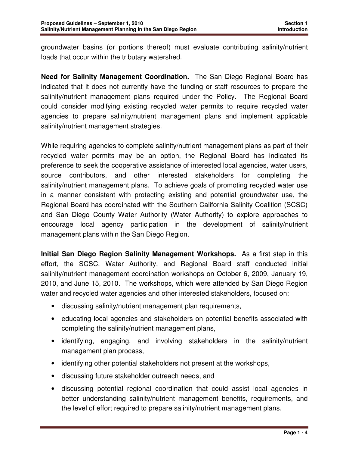groundwater basins (or portions thereof) must evaluate contributing salinity/nutrient loads that occur within the tributary watershed.

**Need for Salinity Management Coordination.** The San Diego Regional Board has indicated that it does not currently have the funding or staff resources to prepare the salinity/nutrient management plans required under the Policy. The Regional Board could consider modifying existing recycled water permits to require recycled water agencies to prepare salinity/nutrient management plans and implement applicable salinity/nutrient management strategies.

While requiring agencies to complete salinity/nutrient management plans as part of their recycled water permits may be an option, the Regional Board has indicated its preference to seek the cooperative assistance of interested local agencies, water users, source contributors, and other interested stakeholders for completing the salinity/nutrient management plans. To achieve goals of promoting recycled water use in a manner consistent with protecting existing and potential groundwater use, the Regional Board has coordinated with the Southern California Salinity Coalition (SCSC) and San Diego County Water Authority (Water Authority) to explore approaches to encourage local agency participation in the development of salinity/nutrient management plans within the San Diego Region.

**Initial San Diego Region Salinity Management Workshops.** As a first step in this effort, the SCSC, Water Authority, and Regional Board staff conducted initial salinity/nutrient management coordination workshops on October 6, 2009, January 19, 2010, and June 15, 2010. The workshops, which were attended by San Diego Region water and recycled water agencies and other interested stakeholders, focused on:

- discussing salinity/nutrient management plan requirements,
- educating local agencies and stakeholders on potential benefits associated with completing the salinity/nutrient management plans,
- identifying, engaging, and involving stakeholders in the salinity/nutrient management plan process,
- identifying other potential stakeholders not present at the workshops,
- discussing future stakeholder outreach needs, and
- discussing potential regional coordination that could assist local agencies in better understanding salinity/nutrient management benefits, requirements, and the level of effort required to prepare salinity/nutrient management plans.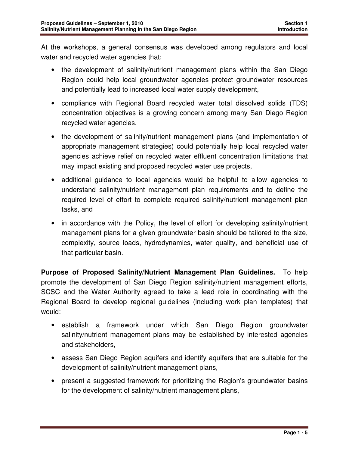At the workshops, a general consensus was developed among regulators and local water and recycled water agencies that:

- the development of salinity/nutrient management plans within the San Diego Region could help local groundwater agencies protect groundwater resources and potentially lead to increased local water supply development,
- compliance with Regional Board recycled water total dissolved solids (TDS) concentration objectives is a growing concern among many San Diego Region recycled water agencies,
- the development of salinity/nutrient management plans (and implementation of appropriate management strategies) could potentially help local recycled water agencies achieve relief on recycled water effluent concentration limitations that may impact existing and proposed recycled water use projects,
- additional guidance to local agencies would be helpful to allow agencies to understand salinity/nutrient management plan requirements and to define the required level of effort to complete required salinity/nutrient management plan tasks, and
- in accordance with the Policy, the level of effort for developing salinity/nutrient management plans for a given groundwater basin should be tailored to the size, complexity, source loads, hydrodynamics, water quality, and beneficial use of that particular basin.

**Purpose of Proposed Salinity/Nutrient Management Plan Guidelines.** To help promote the development of San Diego Region salinity/nutrient management efforts, SCSC and the Water Authority agreed to take a lead role in coordinating with the Regional Board to develop regional guidelines (including work plan templates) that would:

- establish a framework under which San Diego Region groundwater salinity/nutrient management plans may be established by interested agencies and stakeholders,
- assess San Diego Region aquifers and identify aquifers that are suitable for the development of salinity/nutrient management plans,
- present a suggested framework for prioritizing the Region's groundwater basins for the development of salinity/nutrient management plans,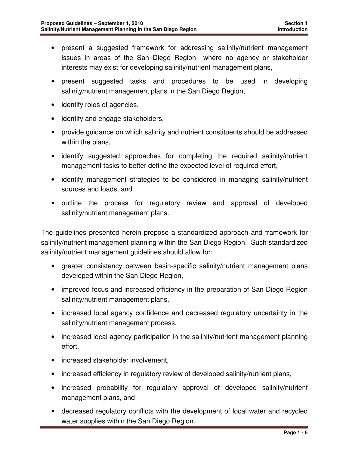- present a suggested framework for addressing salinity/nutrient management issues in areas of the San Diego Region where no agency or stakeholder interests may exist for developing salinity/nutrient management plans,
- present suggested tasks and procedures to be used in developing salinity/nutrient management plans in the San Diego Region,
- identify roles of agencies,
- identify and engage stakeholders,
- provide guidance on which salinity and nutrient constituents should be addressed within the plans,
- identify suggested approaches for completing the required salinity/nutrient management tasks to better define the expected level of required effort,
- identify management strategies to be considered in managing salinity/nutrient sources and loads, and
- outline the process for regulatory review and approval of developed salinity/nutrient management plans.

The guidelines presented herein propose a standardized approach and framework for salinity/nutrient management planning within the San Diego Region. Such standardized salinity/nutrient management guidelines should allow for:

- greater consistency between basin-specific salinity/nutrient management plans developed within the San Diego Region,
- improved focus and increased efficiency in the preparation of San Diego Region salinity/nutrient management plans,
- increased local agency confidence and decreased regulatory uncertainty in the salinity/nutrient management process,
- increased local agency participation in the salinity/nutrient management planning effort,
- increased stakeholder involvement,
- increased efficiency in regulatory review of developed salinity/nutrient plans,
- increased probability for regulatory approval of developed salinity/nutrient management plans, and
- decreased regulatory conflicts with the development of local water and recycled water supplies within the San Diego Region.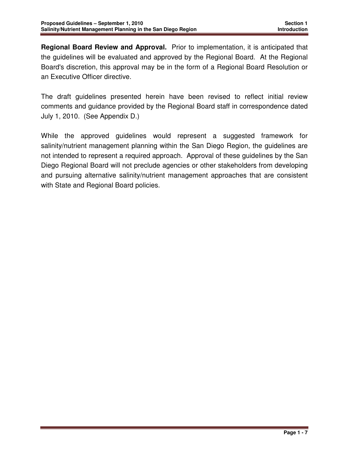**Regional Board Review and Approval.** Prior to implementation, it is anticipated that the guidelines will be evaluated and approved by the Regional Board. At the Regional Board's discretion, this approval may be in the form of a Regional Board Resolution or an Executive Officer directive.

The draft guidelines presented herein have been revised to reflect initial review comments and guidance provided by the Regional Board staff in correspondence dated July 1, 2010. (See Appendix D.)

While the approved guidelines would represent a suggested framework for salinity/nutrient management planning within the San Diego Region, the guidelines are not intended to represent a required approach. Approval of these guidelines by the San Diego Regional Board will not preclude agencies or other stakeholders from developing and pursuing alternative salinity/nutrient management approaches that are consistent with State and Regional Board policies.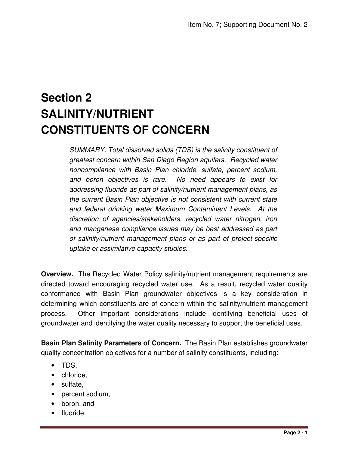### **Section 2 SALINITY/NUTRIENT CONSTITUENTS OF CONCERN**

SUMMARY: Total dissolved solids (TDS) is the salinity constituent of greatest concern within San Diego Region aquifers. Recycled water noncompliance with Basin Plan chloride, sulfate, percent sodium, and boron objectives is rare. No need appears to exist for addressing fluoride as part of salinity/nutrient management plans, as the current Basin Plan objective is not consistent with current state and federal drinking water Maximum Contaminant Levels. At the discretion of agencies/stakeholders, recycled water nitrogen, iron and manganese compliance issues may be best addressed as part of salinity/nutrient management plans or as part of project-specific uptake or assimilative capacity studies.

**Overview.** The Recycled Water Policy salinity/nutrient management requirements are directed toward encouraging recycled water use. As a result, recycled water quality conformance with Basin Plan groundwater objectives is a key consideration in determining which constituents are of concern within the salinity/nutrient management process. Other important considerations include identifying beneficial uses of groundwater and identifying the water quality necessary to support the beneficial uses.

**Basin Plan Salinity Parameters of Concern.** The Basin Plan establishes groundwater quality concentration objectives for a number of salinity constituents, including:

- TDS,
- chloride,
- sulfate,
- percent sodium,
- boron, and
- fluoride.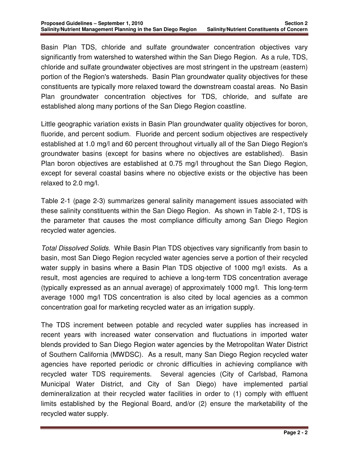Basin Plan TDS, chloride and sulfate groundwater concentration objectives vary significantly from watershed to watershed within the San Diego Region. As a rule, TDS, chloride and sulfate groundwater objectives are most stringent in the upstream (eastern) portion of the Region's watersheds. Basin Plan groundwater quality objectives for these constituents are typically more relaxed toward the downstream coastal areas. No Basin Plan groundwater concentration objectives for TDS, chloride, and sulfate are established along many portions of the San Diego Region coastline.

Little geographic variation exists in Basin Plan groundwater quality objectives for boron, fluoride, and percent sodium. Fluoride and percent sodium objectives are respectively established at 1.0 mg/l and 60 percent throughout virtually all of the San Diego Region's groundwater basins (except for basins where no objectives are established). Basin Plan boron objectives are established at 0.75 mg/l throughout the San Diego Region, except for several coastal basins where no objective exists or the objective has been relaxed to 2.0 mg/l.

Table 2-1 (page 2-3) summarizes general salinity management issues associated with these salinity constituents within the San Diego Region. As shown in Table 2-1, TDS is the parameter that causes the most compliance difficulty among San Diego Region recycled water agencies.

Total Dissolved Solids. While Basin Plan TDS objectives vary significantly from basin to basin, most San Diego Region recycled water agencies serve a portion of their recycled water supply in basins where a Basin Plan TDS objective of 1000 mg/l exists. As a result, most agencies are required to achieve a long-term TDS concentration average (typically expressed as an annual average) of approximately 1000 mg/l. This long-term average 1000 mg/l TDS concentration is also cited by local agencies as a common concentration goal for marketing recycled water as an irrigation supply.

The TDS increment between potable and recycled water supplies has increased in recent years with increased water conservation and fluctuations in imported water blends provided to San Diego Region water agencies by the Metropolitan Water District of Southern California (MWDSC). As a result, many San Diego Region recycled water agencies have reported periodic or chronic difficulties in achieving compliance with recycled water TDS requirements. Several agencies (City of Carlsbad, Ramona Municipal Water District, and City of San Diego) have implemented partial demineralization at their recycled water facilities in order to (1) comply with effluent limits established by the Regional Board, and/or (2) ensure the marketability of the recycled water supply.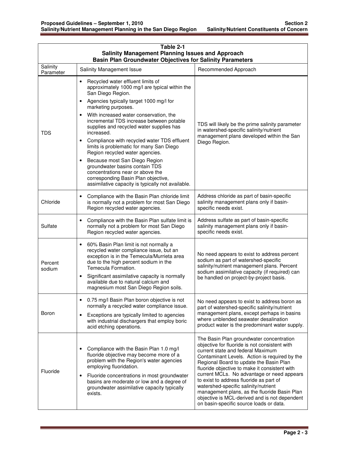| Table 2-1<br><b>Salinity Management Planning Issues and Approach</b><br><b>Basin Plan Groundwater Objectives for Salinity Parameters</b> |                                                                                                                                                                                                                                                                                                                                                 |                                                                                                                                                                                                                                                                                                                                                                                                                                                                                                                                                          |  |  |
|------------------------------------------------------------------------------------------------------------------------------------------|-------------------------------------------------------------------------------------------------------------------------------------------------------------------------------------------------------------------------------------------------------------------------------------------------------------------------------------------------|----------------------------------------------------------------------------------------------------------------------------------------------------------------------------------------------------------------------------------------------------------------------------------------------------------------------------------------------------------------------------------------------------------------------------------------------------------------------------------------------------------------------------------------------------------|--|--|
| Salinity<br>Parameter                                                                                                                    | Salinity Management Issue                                                                                                                                                                                                                                                                                                                       | Recommended Approach                                                                                                                                                                                                                                                                                                                                                                                                                                                                                                                                     |  |  |
| <b>TDS</b>                                                                                                                               | Recycled water effluent limits of<br>$\bullet$<br>approximately 1000 mg/l are typical within the<br>San Diego Region.                                                                                                                                                                                                                           |                                                                                                                                                                                                                                                                                                                                                                                                                                                                                                                                                          |  |  |
|                                                                                                                                          | Agencies typically target 1000 mg/l for<br>marketing purposes.<br>With increased water conservation, the<br>incremental TDS increase between potable<br>supplies and recycled water supplies has<br>increased.                                                                                                                                  | TDS will likely be the prime salinity parameter<br>in watershed-specific salinity/nutrient                                                                                                                                                                                                                                                                                                                                                                                                                                                               |  |  |
|                                                                                                                                          | management plans developed within the San<br>Compliance with recycled water TDS effluent<br>Diego Region.<br>limits is problematic for many San Diego<br>Region recycled water agencies.                                                                                                                                                        |                                                                                                                                                                                                                                                                                                                                                                                                                                                                                                                                                          |  |  |
|                                                                                                                                          | Because most San Diego Region<br>$\bullet$<br>groundwater basins contain TDS<br>concentrations near or above the<br>corresponding Basin Plan objective,<br>assimilative capacity is typically not available.                                                                                                                                    |                                                                                                                                                                                                                                                                                                                                                                                                                                                                                                                                                          |  |  |
| Chloride                                                                                                                                 | Compliance with the Basin Plan chloride limit<br>is normally not a problem for most San Diego<br>Region recycled water agencies.                                                                                                                                                                                                                | Address chloride as part of basin-specific<br>salinity management plans only if basin-<br>specific needs exist.                                                                                                                                                                                                                                                                                                                                                                                                                                          |  |  |
| Sulfate                                                                                                                                  | Compliance with the Basin Plan sulfate limit is<br>normally not a problem for most San Diego<br>Region recycled water agencies.                                                                                                                                                                                                                 | Address sulfate as part of basin-specific<br>salinity management plans only if basin-<br>specific needs exist.                                                                                                                                                                                                                                                                                                                                                                                                                                           |  |  |
| Percent<br>sodium                                                                                                                        | 60% Basin Plan limit is not normally a<br>$\bullet$<br>recycled water compliance issue, but an<br>exception is in the Temecula/Murrieta area<br>due to the high percent sodium in the<br>Temecula Formation.<br>Significant assimilative capacity is normally<br>available due to natural calcium and<br>magnesium most San Diego Region soils. | No need appears to exist to address percent<br>sodium as part of watershed-specific<br>salinity/nutrient management plans. Percent<br>sodium assimilative capacity (if required) can<br>be handled on project-by-project basis.                                                                                                                                                                                                                                                                                                                          |  |  |
| Boron                                                                                                                                    | 0.75 mg/l Basin Plan boron objective is not<br>normally a recycled water compliance issue.<br>Exceptions are typically limited to agencies<br>$\bullet$<br>with industrial dischargers that employ boric<br>acid etching operations.                                                                                                            | No need appears to exist to address boron as<br>part of watershed-specific salinity/nutrient<br>management plans, except perhaps in basins<br>where unblended seawater desalination<br>product water is the predominant water supply.                                                                                                                                                                                                                                                                                                                    |  |  |
| Fluoride                                                                                                                                 | Compliance with the Basin Plan 1.0 mg/l<br>٠<br>fluoride objective may become more of a<br>problem with the Region's water agencies<br>employing fluoridation.<br>Fluoride concentrations in most groundwater<br>$\bullet$<br>basins are moderate or low and a degree of<br>groundwater assimilative capacity typically<br>exists.              | The Basin Plan groundwater concentration<br>objective for fluoride is not consistent with<br>current state and federal Maximum<br>Contaminant Levels. Action is required by the<br>Regional Board to update the Basin Plan<br>fluoride objective to make it consistent with<br>current MCLs. No advantage or need appears<br>to exist to address fluoride as part of<br>watershed-specific salinity/nutrient<br>management plans, as the fluoride Basin Plan<br>objective is MCL-derived and is not dependent<br>on basin-specific source loads or data. |  |  |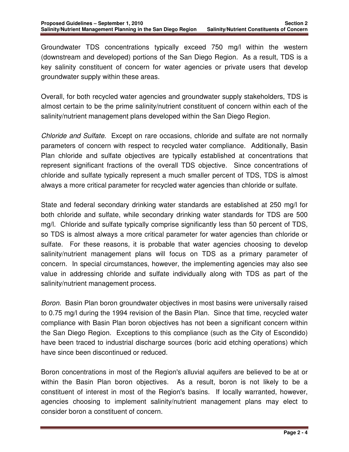Groundwater TDS concentrations typically exceed 750 mg/l within the western (downstream and developed) portions of the San Diego Region. As a result, TDS is a key salinity constituent of concern for water agencies or private users that develop groundwater supply within these areas.

Overall, for both recycled water agencies and groundwater supply stakeholders, TDS is almost certain to be the prime salinity/nutrient constituent of concern within each of the salinity/nutrient management plans developed within the San Diego Region.

Chloride and Sulfate. Except on rare occasions, chloride and sulfate are not normally parameters of concern with respect to recycled water compliance. Additionally, Basin Plan chloride and sulfate objectives are typically established at concentrations that represent significant fractions of the overall TDS objective. Since concentrations of chloride and sulfate typically represent a much smaller percent of TDS, TDS is almost always a more critical parameter for recycled water agencies than chloride or sulfate.

State and federal secondary drinking water standards are established at 250 mg/l for both chloride and sulfate, while secondary drinking water standards for TDS are 500 mg/l. Chloride and sulfate typically comprise significantly less than 50 percent of TDS, so TDS is almost always a more critical parameter for water agencies than chloride or sulfate. For these reasons, it is probable that water agencies choosing to develop salinity/nutrient management plans will focus on TDS as a primary parameter of concern. In special circumstances, however, the implementing agencies may also see value in addressing chloride and sulfate individually along with TDS as part of the salinity/nutrient management process.

Boron.Basin Plan boron groundwater objectives in most basins were universally raised to 0.75 mg/l during the 1994 revision of the Basin Plan. Since that time, recycled water compliance with Basin Plan boron objectives has not been a significant concern within the San Diego Region. Exceptions to this compliance (such as the City of Escondido) have been traced to industrial discharge sources (boric acid etching operations) which have since been discontinued or reduced.

Boron concentrations in most of the Region's alluvial aquifers are believed to be at or within the Basin Plan boron objectives. As a result, boron is not likely to be a constituent of interest in most of the Region's basins. If locally warranted, however, agencies choosing to implement salinity/nutrient management plans may elect to consider boron a constituent of concern.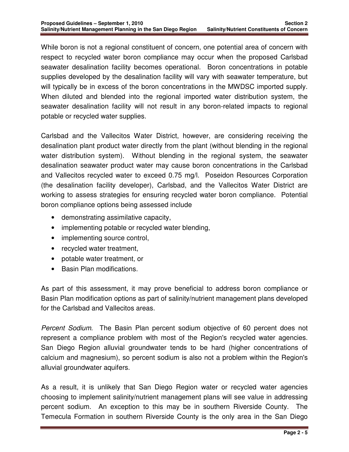While boron is not a regional constituent of concern, one potential area of concern with respect to recycled water boron compliance may occur when the proposed Carlsbad seawater desalination facility becomes operational. Boron concentrations in potable supplies developed by the desalination facility will vary with seawater temperature, but will typically be in excess of the boron concentrations in the MWDSC imported supply. When diluted and blended into the regional imported water distribution system, the seawater desalination facility will not result in any boron-related impacts to regional potable or recycled water supplies.

Carlsbad and the Vallecitos Water District, however, are considering receiving the desalination plant product water directly from the plant (without blending in the regional water distribution system). Without blending in the regional system, the seawater desalination seawater product water may cause boron concentrations in the Carlsbad and Vallecitos recycled water to exceed 0.75 mg/l. Poseidon Resources Corporation (the desalination facility developer), Carlsbad, and the Vallecitos Water District are working to assess strategies for ensuring recycled water boron compliance. Potential boron compliance options being assessed include

- demonstrating assimilative capacity,
- implementing potable or recycled water blending,
- implementing source control,
- recycled water treatment,
- potable water treatment, or
- Basin Plan modifications.

As part of this assessment, it may prove beneficial to address boron compliance or Basin Plan modification options as part of salinity/nutrient management plans developed for the Carlsbad and Vallecitos areas.

Percent Sodium. The Basin Plan percent sodium objective of 60 percent does not represent a compliance problem with most of the Region's recycled water agencies. San Diego Region alluvial groundwater tends to be hard (higher concentrations of calcium and magnesium), so percent sodium is also not a problem within the Region's alluvial groundwater aquifers.

As a result, it is unlikely that San Diego Region water or recycled water agencies choosing to implement salinity/nutrient management plans will see value in addressing percent sodium. An exception to this may be in southern Riverside County. The Temecula Formation in southern Riverside County is the only area in the San Diego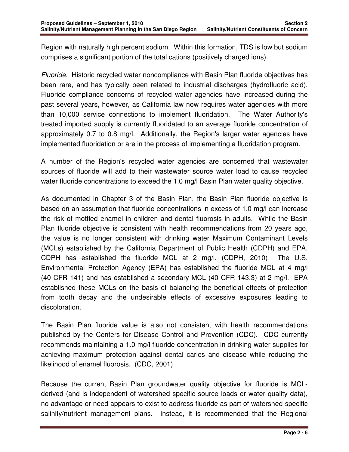Region with naturally high percent sodium. Within this formation, TDS is low but sodium comprises a significant portion of the total cations (positively charged ions).

Fluoride. Historic recycled water noncompliance with Basin Plan fluoride objectives has been rare, and has typically been related to industrial discharges (hydrofluoric acid). Fluoride compliance concerns of recycled water agencies have increased during the past several years, however, as California law now requires water agencies with more than 10,000 service connections to implement fluoridation. The Water Authority's treated imported supply is currently fluoridated to an average fluoride concentration of approximately 0.7 to 0.8 mg/l. Additionally, the Region's larger water agencies have implemented fluoridation or are in the process of implementing a fluoridation program.

A number of the Region's recycled water agencies are concerned that wastewater sources of fluoride will add to their wastewater source water load to cause recycled water fluoride concentrations to exceed the 1.0 mg/l Basin Plan water quality objective.

As documented in Chapter 3 of the Basin Plan, the Basin Plan fluoride objective is based on an assumption that fluoride concentrations in excess of 1.0 mg/l can increase the risk of mottled enamel in children and dental fluorosis in adults. While the Basin Plan fluoride objective is consistent with health recommendations from 20 years ago, the value is no longer consistent with drinking water Maximum Contaminant Levels (MCLs) established by the California Department of Public Health (CDPH) and EPA. CDPH has established the fluoride MCL at 2 mg/l. (CDPH, 2010) The U.S. Environmental Protection Agency (EPA) has established the fluoride MCL at 4 mg/l (40 CFR 141) and has established a secondary MCL (40 CFR 143.3) at 2 mg/l. EPA established these MCLs on the basis of balancing the beneficial effects of protection from tooth decay and the undesirable effects of excessive exposures leading to discoloration.

The Basin Plan fluoride value is also not consistent with health recommendations published by the Centers for Disease Control and Prevention (CDC). CDC currently recommends maintaining a 1.0 mg/l fluoride concentration in drinking water supplies for achieving maximum protection against dental caries and disease while reducing the likelihood of enamel fluorosis. (CDC, 2001)

Because the current Basin Plan groundwater quality objective for fluoride is MCLderived (and is independent of watershed specific source loads or water quality data), no advantage or need appears to exist to address fluoride as part of watershed-specific salinity/nutrient management plans. Instead, it is recommended that the Regional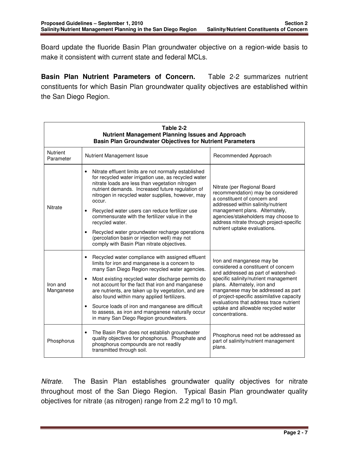Board update the fluoride Basin Plan groundwater objective on a region-wide basis to make it consistent with current state and federal MCLs.

**Basin Plan Nutrient Parameters of Concern.** Table 2-2 summarizes nutrient constituents for which Basin Plan groundwater quality objectives are established within the San Diego Region.

| Table 2-2<br><b>Nutrient Management Planning Issues and Approach</b><br><b>Basin Plan Groundwater Objectives for Nutrient Parameters</b> |                                                                                                                                                                                                                                                                                                                                                                                                                                                                                                                                                                                     |                                                                                                                                                                                                                                                                                                                                                                          |  |  |
|------------------------------------------------------------------------------------------------------------------------------------------|-------------------------------------------------------------------------------------------------------------------------------------------------------------------------------------------------------------------------------------------------------------------------------------------------------------------------------------------------------------------------------------------------------------------------------------------------------------------------------------------------------------------------------------------------------------------------------------|--------------------------------------------------------------------------------------------------------------------------------------------------------------------------------------------------------------------------------------------------------------------------------------------------------------------------------------------------------------------------|--|--|
| <b>Nutrient</b><br>Parameter                                                                                                             | Recommended Approach<br><b>Nutrient Management Issue</b>                                                                                                                                                                                                                                                                                                                                                                                                                                                                                                                            |                                                                                                                                                                                                                                                                                                                                                                          |  |  |
| Nitrate                                                                                                                                  | Nitrate effluent limits are not normally established<br>for recycled water irrigation use, as recycled water<br>nitrate loads are less than vegetation nitrogen<br>nutrient demands. Increased future regulation of<br>nitrogen in recycled water supplies, however, may<br>occur.<br>Recycled water users can reduce fertilizer use<br>$\bullet$<br>commensurate with the fertilizer value in the<br>recycled water.<br>Recycled water groundwater recharge operations<br>$\bullet$<br>(percolation basin or injection well) may not<br>comply with Basin Plan nitrate objectives. | Nitrate (per Regional Board<br>recommendation) may be considered<br>a constituent of concern and<br>addressed within salinity/nutrient<br>management plans. Alternately,<br>agencies/stakeholders may choose to<br>address nitrate through project-specific<br>nutrient uptake evaluations.                                                                              |  |  |
| Iron and<br>Manganese                                                                                                                    | Recycled water compliance with assigned effluent<br>$\bullet$<br>limits for iron and manganese is a concern to<br>many San Diego Region recycled water agencies.<br>Most existing recycled water discharge permits do<br>$\bullet$<br>not account for the fact that iron and manganese<br>are nutrients, are taken up by vegetation, and are<br>also found within many applied fertilizers.<br>Source loads of iron and manganese are difficult<br>$\bullet$<br>to assess, as iron and manganese naturally occur<br>in many San Diego Region groundwaters.                          | Iron and manganese may be<br>considered a constituent of concern<br>and addressed as part of watershed-<br>specific salinity/nutrient management<br>plans. Alternately, iron and<br>manganese may be addressed as part<br>of project-specific assimilative capacity<br>evaluations that address trace nutrient<br>uptake and allowable recycled water<br>concentrations. |  |  |
| Phosphorus                                                                                                                               | The Basin Plan does not establish groundwater<br>$\bullet$<br>quality objectives for phosphorus. Phosphate and<br>phosphorus compounds are not readily<br>transmitted through soil.                                                                                                                                                                                                                                                                                                                                                                                                 | Phosphorus need not be addressed as<br>part of salinity/nutrient management<br>plans.                                                                                                                                                                                                                                                                                    |  |  |

Nitrate. The Basin Plan establishes groundwater quality objectives for nitrate throughout most of the San Diego Region. Typical Basin Plan groundwater quality objectives for nitrate (as nitrogen) range from 2.2 mg/l to 10 mg/l.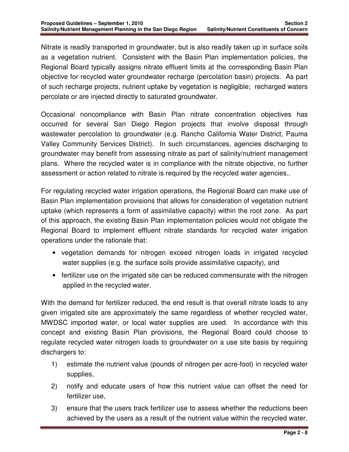Nitrate is readily transported in groundwater, but is also readily taken up in surface soils as a vegetation nutrient. Consistent with the Basin Plan implementation policies, the Regional Board typically assigns nitrate effluent limits at the corresponding Basin Plan objective for recycled water groundwater recharge (percolation basin) projects. As part of such recharge projects, nutrient uptake by vegetation is negligible; recharged waters percolate or are injected directly to saturated groundwater.

Occasional noncompliance with Basin Plan nitrate concentration objectives has occurred for several San Diego Region projects that involve disposal through wastewater percolation to groundwater (e.g. Rancho California Water District, Pauma Valley Community Services District). In such circumstances, agencies discharging to groundwater may benefit from assessing nitrate as part of salinity/nutrient management plans. Where the recycled water is in compliance with the nitrate objective, no further assessment or action related to nitrate is required by the recycled water agencies..

For regulating recycled water irrigation operations, the Regional Board can make use of Basin Plan implementation provisions that allows for consideration of vegetation nutrient uptake (which represents a form of assimilative capacity) within the root zone. As part of this approach, the existing Basin Plan implementation policies would not obligate the Regional Board to implement effluent nitrate standards for recycled water irrigation operations under the rationale that:

- vegetation demands for nitrogen exceed nitrogen loads in irrigated recycled water supplies (e.g. the surface soils provide assimilative capacity), and
- fertilizer use on the irrigated site can be reduced commensurate with the nitrogen applied in the recycled water.

With the demand for fertilizer reduced, the end result is that overall nitrate loads to any given irrigated site are approximately the same regardless of whether recycled water, MWDSC imported water, or local water supplies are used. In accordance with this concept and existing Basin Plan provisions, the Regional Board could choose to regulate recycled water nitrogen loads to groundwater on a use site basis by requiring dischargers to:

- 1) estimate the nutrient value (pounds of nitrogen per acre-foot) in recycled water supplies,
- 2) notify and educate users of how this nutrient value can offset the need for fertilizer use,
- 3) ensure that the users track fertilizer use to assess whether the reductions been achieved by the users as a result of the nutrient value within the recycled water.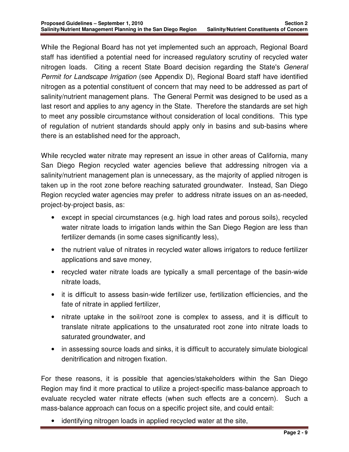While the Regional Board has not yet implemented such an approach, Regional Board staff has identified a potential need for increased regulatory scrutiny of recycled water nitrogen loads. Citing a recent State Board decision regarding the State's General Permit for Landscape Irrigation (see Appendix D), Regional Board staff have identified nitrogen as a potential constituent of concern that may need to be addressed as part of salinity/nutrient management plans. The General Permit was designed to be used as a last resort and applies to any agency in the State. Therefore the standards are set high to meet any possible circumstance without consideration of local conditions. This type of regulation of nutrient standards should apply only in basins and sub-basins where there is an established need for the approach,

While recycled water nitrate may represent an issue in other areas of California, many San Diego Region recycled water agencies believe that addressing nitrogen via a salinity/nutrient management plan is unnecessary, as the majority of applied nitrogen is taken up in the root zone before reaching saturated groundwater. Instead, San Diego Region recycled water agencies may prefer to address nitrate issues on an as-needed, project-by-project basis, as:

- except in special circumstances (e.g. high load rates and porous soils), recycled water nitrate loads to irrigation lands within the San Diego Region are less than fertilizer demands (in some cases significantly less),
- the nutrient value of nitrates in recycled water allows irrigators to reduce fertilizer applications and save money,
- recycled water nitrate loads are typically a small percentage of the basin-wide nitrate loads,
- it is difficult to assess basin-wide fertilizer use, fertilization efficiencies, and the fate of nitrate in applied fertilizer,
- nitrate uptake in the soil/root zone is complex to assess, and it is difficult to translate nitrate applications to the unsaturated root zone into nitrate loads to saturated groundwater, and
- in assessing source loads and sinks, it is difficult to accurately simulate biological denitrification and nitrogen fixation.

For these reasons, it is possible that agencies/stakeholders within the San Diego Region may find it more practical to utilize a project-specific mass-balance approach to evaluate recycled water nitrate effects (when such effects are a concern). Such a mass-balance approach can focus on a specific project site, and could entail:

identifying nitrogen loads in applied recycled water at the site,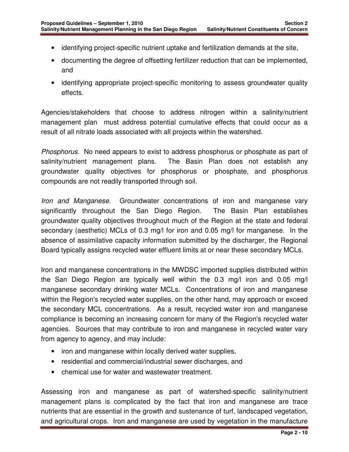- identifying project-specific nutrient uptake and fertilization demands at the site,
- documenting the degree of offsetting fertilizer reduction that can be implemented, and
- identifying appropriate project-specific monitoring to assess groundwater quality effects.

Agencies/stakeholders that choose to address nitrogen within a salinity/nutrient management plan must address potential cumulative effects that could occur as a result of all nitrate loads associated with all projects within the watershed.

Phosphorus. No need appears to exist to address phosphorus or phosphate as part of salinity/nutrient management plans. The Basin Plan does not establish any groundwater quality objectives for phosphorus or phosphate, and phosphorus compounds are not readily transported through soil.

Iron and Manganese. Groundwater concentrations of iron and manganese vary significantly throughout the San Diego Region. The Basin Plan establishes groundwater quality objectives throughout much of the Region at the state and federal secondary (aesthetic) MCLs of 0.3 mg/l for iron and 0.05 mg/l for manganese. In the absence of assimilative capacity information submitted by the discharger, the Regional Board typically assigns recycled water effluent limits at or near these secondary MCLs.

Iron and manganese concentrations in the MWDSC imported supplies distributed within the San Diego Region are typically well within the 0.3 mg/l iron and 0.05 mg/l manganese secondary drinking water MCLs. Concentrations of iron and manganese within the Region's recycled water supplies, on the other hand, may approach or exceed the secondary MCL concentrations. As a result, recycled water iron and manganese compliance is becoming an increasing concern for many of the Region's recycled water agencies. Sources that may contribute to iron and manganese in recycled water vary from agency to agency, and may include:

- iron and manganese within locally derived water supplies,
- residential and commercial/industrial sewer discharges, and
- chemical use for water and wastewater treatment.

Assessing iron and manganese as part of watershed-specific salinity/nutrient management plans is complicated by the fact that iron and manganese are trace nutrients that are essential in the growth and sustenance of turf, landscaped vegetation, and agricultural crops. Iron and manganese are used by vegetation in the manufacture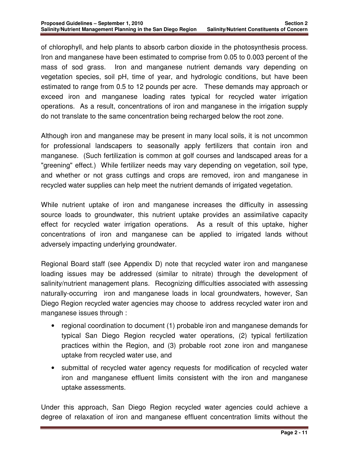of chlorophyll, and help plants to absorb carbon dioxide in the photosynthesis process. Iron and manganese have been estimated to comprise from 0.05 to 0.003 percent of the mass of sod grass. Iron and manganese nutrient demands vary depending on vegetation species, soil pH, time of year, and hydrologic conditions, but have been estimated to range from 0.5 to 12 pounds per acre. These demands may approach or exceed iron and manganese loading rates typical for recycled water irrigation operations. As a result, concentrations of iron and manganese in the irrigation supply do not translate to the same concentration being recharged below the root zone.

Although iron and manganese may be present in many local soils, it is not uncommon for professional landscapers to seasonally apply fertilizers that contain iron and manganese. (Such fertilization is common at golf courses and landscaped areas for a "greening" effect.) While fertilizer needs may vary depending on vegetation, soil type, and whether or not grass cuttings and crops are removed, iron and manganese in recycled water supplies can help meet the nutrient demands of irrigated vegetation.

While nutrient uptake of iron and manganese increases the difficulty in assessing source loads to groundwater, this nutrient uptake provides an assimilative capacity effect for recycled water irrigation operations. As a result of this uptake, higher concentrations of iron and manganese can be applied to irrigated lands without adversely impacting underlying groundwater.

Regional Board staff (see Appendix D) note that recycled water iron and manganese loading issues may be addressed (similar to nitrate) through the development of salinity/nutrient management plans. Recognizing difficulties associated with assessing naturally-occurring iron and manganese loads in local groundwaters, however, San Diego Region recycled water agencies may choose to address recycled water iron and manganese issues through :

- regional coordination to document (1) probable iron and manganese demands for typical San Diego Region recycled water operations, (2) typical fertilization practices within the Region, and (3) probable root zone iron and manganese uptake from recycled water use, and
- submittal of recycled water agency requests for modification of recycled water iron and manganese effluent limits consistent with the iron and manganese uptake assessments.

Under this approach, San Diego Region recycled water agencies could achieve a degree of relaxation of iron and manganese effluent concentration limits without the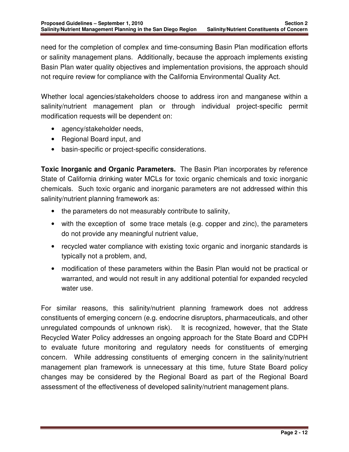need for the completion of complex and time-consuming Basin Plan modification efforts or salinity management plans. Additionally, because the approach implements existing Basin Plan water quality objectives and implementation provisions, the approach should not require review for compliance with the California Environmental Quality Act.

Whether local agencies/stakeholders choose to address iron and manganese within a salinity/nutrient management plan or through individual project-specific permit modification requests will be dependent on:

- agency/stakeholder needs,
- Regional Board input, and
- basin-specific or project-specific considerations.

**Toxic Inorganic and Organic Parameters.** The Basin Plan incorporates by reference State of California drinking water MCLs for toxic organic chemicals and toxic inorganic chemicals. Such toxic organic and inorganic parameters are not addressed within this salinity/nutrient planning framework as:

- the parameters do not measurably contribute to salinity,
- with the exception of some trace metals (e.g. copper and zinc), the parameters do not provide any meaningful nutrient value,
- recycled water compliance with existing toxic organic and inorganic standards is typically not a problem, and,
- modification of these parameters within the Basin Plan would not be practical or warranted, and would not result in any additional potential for expanded recycled water use.

For similar reasons, this salinity/nutrient planning framework does not address constituents of emerging concern (e.g. endocrine disruptors, pharmaceuticals, and other unregulated compounds of unknown risk). It is recognized, however, that the State Recycled Water Policy addresses an ongoing approach for the State Board and CDPH to evaluate future monitoring and regulatory needs for constituents of emerging concern. While addressing constituents of emerging concern in the salinity/nutrient management plan framework is unnecessary at this time, future State Board policy changes may be considered by the Regional Board as part of the Regional Board assessment of the effectiveness of developed salinity/nutrient management plans.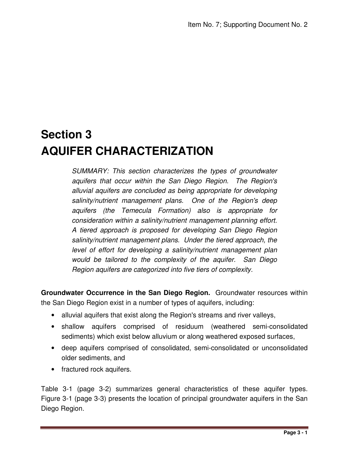# **Section 3 AQUIFER CHARACTERIZATION**

SUMMARY: This section characterizes the types of groundwater aquifers that occur within the San Diego Region. The Region's alluvial aquifers are concluded as being appropriate for developing salinity/nutrient management plans. One of the Region's deep aquifers (the Temecula Formation) also is appropriate for consideration within a salinity/nutrient management planning effort. A tiered approach is proposed for developing San Diego Region salinity/nutrient management plans. Under the tiered approach, the level of effort for developing a salinity/nutrient management plan would be tailored to the complexity of the aquifer. San Diego Region aquifers are categorized into five tiers of complexity.

**Groundwater Occurrence in the San Diego Region.** Groundwater resources within the San Diego Region exist in a number of types of aquifers, including:

- alluvial aquifers that exist along the Region's streams and river valleys,
- shallow aquifers comprised of residuum (weathered semi-consolidated sediments) which exist below alluvium or along weathered exposed surfaces,
- deep aquifers comprised of consolidated, semi-consolidated or unconsolidated older sediments, and
- fractured rock aquifers.

Table 3-1 (page 3-2) summarizes general characteristics of these aquifer types. Figure 3-1 (page 3-3) presents the location of principal groundwater aquifers in the San Diego Region.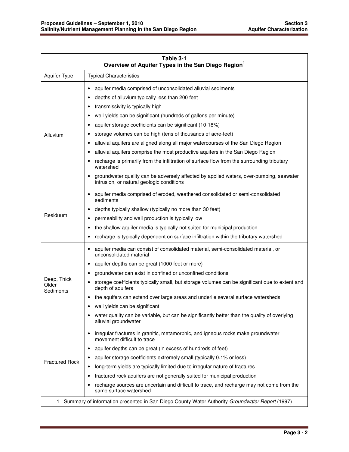| Table 3-1<br>Overview of Aquifer Types in the San Diego Region <sup>1</sup> |                                                                                                                                                                                                                                                                                                                                                                                                                                                                                                                                                                                                                                                                                             |  |  |
|-----------------------------------------------------------------------------|---------------------------------------------------------------------------------------------------------------------------------------------------------------------------------------------------------------------------------------------------------------------------------------------------------------------------------------------------------------------------------------------------------------------------------------------------------------------------------------------------------------------------------------------------------------------------------------------------------------------------------------------------------------------------------------------|--|--|
| Aquifer Type                                                                | <b>Typical Characteristics</b>                                                                                                                                                                                                                                                                                                                                                                                                                                                                                                                                                                                                                                                              |  |  |
| Alluvium                                                                    | aquifer media comprised of unconsolidated alluvial sediments<br>٠<br>depths of alluvium typically less than 200 feet<br>٠<br>transmissivity is typically high<br>٠<br>well yields can be significant (hundreds of gallons per minute)<br>٠<br>aquifer storage coefficients can be significant (10-18%)<br>٠<br>storage volumes can be high (tens of thousands of acre-feet)<br>٠<br>alluvial aquifers are aligned along all major watercourses of the San Diego Region<br>٠<br>alluvial aquifers comprise the most productive aquifers in the San Diego Region<br>٠<br>recharge is primarily from the infiltration of surface flow from the surrounding tributary<br>$\bullet$<br>watershed |  |  |
|                                                                             | groundwater quality can be adversely affected by applied waters, over-pumping, seawater<br>intrusion, or natural geologic conditions                                                                                                                                                                                                                                                                                                                                                                                                                                                                                                                                                        |  |  |
| Residuum                                                                    | aquifer media comprised of eroded, weathered consolidated or semi-consolidated<br>٠<br>sediments<br>depths typically shallow (typically no more than 30 feet)<br>٠<br>permeability and well production is typically low<br>٠<br>the shallow aquifer media is typically not suited for municipal production<br>٠<br>recharge is typically dependent on surface infiltration within the tributary watershed<br>٠                                                                                                                                                                                                                                                                              |  |  |
| Deep, Thick<br>Older<br>Sediments                                           | aquifer media can consist of consolidated material, semi-consolidated material, or<br>٠<br>unconsolidated material<br>aquifer depths can be great (1000 feet or more)<br>٠<br>groundwater can exist in confined or unconfined conditions<br>٠<br>storage coefficients typically small, but storage volumes can be significant due to extent and<br>depth of aquifers<br>the aquifers can extend over large areas and underlie several surface watersheds<br>٠<br>well yields can be significant<br>water quality can be variable, but can be significantly better than the quality of overlying<br>alluvial groundwater                                                                     |  |  |
| <b>Fractured Rock</b>                                                       | irregular fractures in granitic, metamorphic, and igneous rocks make groundwater<br>$\bullet$<br>movement difficult to trace<br>aquifer depths can be great (in excess of hundreds of feet)<br>٠<br>aquifer storage coefficients extremely small (typically 0.1% or less)<br>long-term yields are typically limited due to irregular nature of fractures<br>٠<br>fractured rock aquifers are not generally suited for municipal production<br>٠<br>recharge sources are uncertain and difficult to trace, and recharge may not come from the<br>same surface watershed                                                                                                                      |  |  |
| 1.                                                                          | Summary of information presented in San Diego County Water Authority Groundwater Report (1997)                                                                                                                                                                                                                                                                                                                                                                                                                                                                                                                                                                                              |  |  |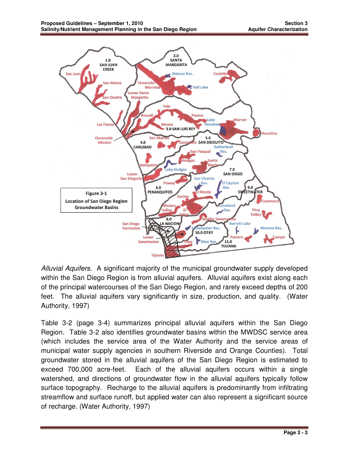

Alluvial Aquifers. A significant majority of the municipal groundwater supply developed within the San Diego Region is from alluvial aquifers. Alluvial aquifers exist along each of the principal watercourses of the San Diego Region, and rarely exceed depths of 200 feet. The alluvial aquifers vary significantly in size, production, and quality. (Water Authority, 1997)

Table 3-2 (page 3-4) summarizes principal alluvial aquifers within the San Diego Region. Table 3-2 also identifies groundwater basins within the MWDSC service area (which includes the service area of the Water Authority and the service areas of municipal water supply agencies in southern Riverside and Orange Counties). Total groundwater stored in the alluvial aquifers of the San Diego Region is estimated to exceed 700,000 acre-feet. Each of the alluvial aquifers occurs within a single watershed, and directions of groundwater flow in the alluvial aquifers typically follow surface topography. Recharge to the alluvial aquifers is predominantly from infiltrating streamflow and surface runoff, but applied water can also represent a significant source of recharge. (Water Authority, 1997)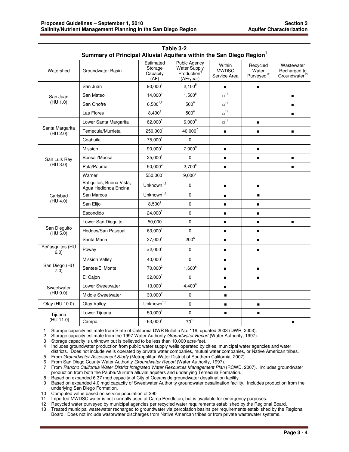| Table 3-2<br>Summary of Principal Alluvial Aquifers within the San Diego Region <sup>1</sup> |                                                  |                                          |                                                                             |                                        |                                             |                                                         |
|----------------------------------------------------------------------------------------------|--------------------------------------------------|------------------------------------------|-----------------------------------------------------------------------------|----------------------------------------|---------------------------------------------|---------------------------------------------------------|
| Watershed                                                                                    | Groundwater Basin                                | Estimated<br>Storage<br>Capacity<br>(AF) | <b>Pubic Agency</b><br>Water Supply<br>Production <sup>4</sup><br>(AF/year) | Within<br><b>MWDSC</b><br>Service Area | Recycled<br>Water<br>Purveyed <sup>12</sup> | Wastewater<br>Recharged to<br>Groundwater <sup>13</sup> |
|                                                                                              | San Juan                                         | 90,000 <sup>1</sup>                      | $2,100^5$                                                                   | $\blacksquare$                         | $\blacksquare$                              |                                                         |
| San Juan                                                                                     | San Mateo                                        | 14.000 <sup>1</sup>                      | $1.500^{6}$                                                                 | $\mathbb{d}^{11}$                      |                                             | $\blacksquare$                                          |
| (HU 1.0)                                                                                     | San Onofre                                       | $6,500^{1,2}$                            | $500^6$                                                                     | $\square^{\mathsf{11}}$                |                                             |                                                         |
|                                                                                              | Las Flores                                       | $8,400^2$                                | $500^6$                                                                     | $\square$<br>11                        |                                             | п                                                       |
|                                                                                              | Lower Santa Margarita                            | 62,000 <sup>1</sup>                      | $6,000^6$                                                                   | $\mathbb{D}^{11}$                      | $\blacksquare$                              |                                                         |
| Santa Margarita<br>(HU 2.0)                                                                  | Temecula/Murrieta                                | 250,0001                                 | $40,000^7$                                                                  | $\blacksquare$                         | $\blacksquare$                              | $\blacksquare$                                          |
|                                                                                              | Coahuila                                         | 75,000 <sup>1</sup>                      | $\Omega$                                                                    |                                        |                                             |                                                         |
|                                                                                              | <b>Mission</b>                                   | 90,000 <sup>1</sup>                      | $7,000^8$                                                                   | $\blacksquare$                         | $\blacksquare$                              |                                                         |
| San Luis Rey                                                                                 | Bonsall/Moosa                                    | 25,000 <sup>1</sup>                      | $\mathbf 0$                                                                 | п                                      | п                                           |                                                         |
| (HU 3.0)                                                                                     | Pala/Pauma                                       | $50,000^2$                               | $2,700^6$                                                                   | $\blacksquare$                         |                                             |                                                         |
|                                                                                              | Warner                                           | 550,0001                                 | $9,000^6$                                                                   |                                        |                                             |                                                         |
|                                                                                              | Batiquitos, Buena Vista,<br>Agua Hedionda Encina | Unknown $1,3$                            | $\Omega$                                                                    | $\blacksquare$                         | $\blacksquare$                              |                                                         |
| Carlsbad                                                                                     | San Marcos                                       | Unknown $1,3$                            | 0                                                                           | $\blacksquare$                         | $\blacksquare$                              |                                                         |
| (HU 4.0)                                                                                     | San Elijo                                        | 8.500 <sup>1</sup>                       | $\overline{0}$                                                              | $\blacksquare$                         | $\blacksquare$                              |                                                         |
|                                                                                              | Escondido                                        | $24,000^1$                               | 0                                                                           | $\blacksquare$                         | $\blacksquare$                              |                                                         |
|                                                                                              | Lower San Dieguito                               | 50,000                                   | 0                                                                           | $\blacksquare$                         | п                                           | п                                                       |
| San Dieguito<br>(HU 5.0)                                                                     | Hodges/San Pasqual                               | 63,000 <sup>1</sup>                      | 0                                                                           | $\blacksquare$                         | $\blacksquare$                              |                                                         |
|                                                                                              | Santa Maria                                      | 37,000 <sup>1</sup>                      | $200^6$                                                                     | $\blacksquare$                         | $\blacksquare$                              |                                                         |
| Peñasquitos (HU<br>6.0)                                                                      | Poway                                            | >2,000 <sup>1</sup>                      | $\mathbf 0$                                                                 | $\blacksquare$                         | $\blacksquare$                              |                                                         |
|                                                                                              | <b>Mission Valley</b>                            | 40,000 <sup>1</sup>                      | $\mathbf{0}$                                                                | $\blacksquare$                         |                                             |                                                         |
| San Diego (HU<br>7.0)                                                                        | Santee/El Monte                                  | 70,000 <sup>2</sup>                      | $1,600^6$                                                                   |                                        | п                                           |                                                         |
|                                                                                              | El Cajon                                         | 32,000 <sup>1</sup>                      | $\Omega$                                                                    | $\blacksquare$                         | $\blacksquare$                              |                                                         |
| Sweetwater                                                                                   | Lower Sweetwater                                 | $13,000^1$                               | $4,400^9$                                                                   | $\blacksquare$                         |                                             |                                                         |
| (HU 9.0)                                                                                     | Middle Sweetwater                                | $30,000^2$                               | $\mathbf 0$                                                                 | $\blacksquare$                         |                                             |                                                         |
| Otay (HU 10.0)                                                                               | Otay Valley                                      | Unknown $1,3$                            | $\mathbf{0}$                                                                | $\blacksquare$                         | $\blacksquare$                              |                                                         |
| Tijuana                                                                                      | Lower Tijuana                                    | 50.000 <sup>1</sup>                      | $\mathbf 0$                                                                 | $\blacksquare$                         | $\blacksquare$                              |                                                         |
| (HU 11.0)                                                                                    | Campo                                            | $63,000^1$                               | $70^{10}$                                                                   |                                        |                                             | п                                                       |

1 Storage capacity estimate from State of California DWR Bulletin No. 118, updated 2003 (DWR, 2003).

2 Storage capacity estimate from the 1997 Water Authority Groundwater Report (Water Authority, 1997).

3 Storage capacity is unknown but is believed to be less than 10,000 acre-feet.

4 Includes groundwater production from public water supply wells operated by cities, municipal water agencies and water districts. Does not include wells operated by private water companies, mutual water companies, or Native American tribes.

5 From Groundwater Assessment Study (Metropolitan Water District of Southern California, 2007).

6 From San Diego County Water Authority Groundwater Report (Water Authority, 1997).<br>7 From Rancho California Water District Integrated Water Resources Management Plan From Rancho California Water District Integrated Water Resources Management Plan (RCWD, 2007). Includes groundwater production from both the Pauba/Murrieta alluvial aquifers and underlying Temecula Formation.

8 Based on expanded 6.37 mgd capacity of City of Oceanside groundwater desalination facility.

9 Based on expanded 4.0 mgd capacity of Sweetwater Authority groundwater desalination facility. Includes production from the underlying San Diego Formation.

10 Computed value based on service population of 290.

11 Imported MWDSC water is not normally used at Camp Pendleton, but is available for emergency purposes.<br>12 Recycled water purveyed by municipal agencies per recycled water requirements established by the Region 12 Recycled water purveyed by municipal agencies per recycled water requirements established by the Regional Board.

13 Treated municipal wastewater recharged to groundwater via percolation basins per requirements established by the Regional Board. Does not include wastewater discharges from Native American tribes or from private wastewater systems.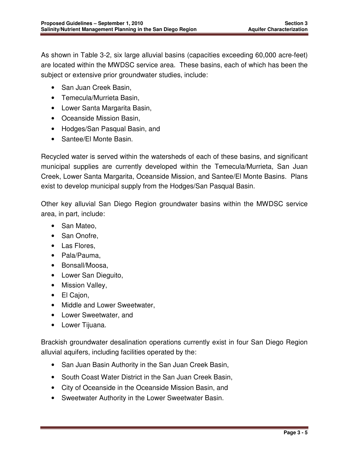As shown in Table 3-2, six large alluvial basins (capacities exceeding 60,000 acre-feet) are located within the MWDSC service area. These basins, each of which has been the subject or extensive prior groundwater studies, include:

- San Juan Creek Basin,
- Temecula/Murrieta Basin,
- Lower Santa Margarita Basin,
- Oceanside Mission Basin,
- Hodges/San Pasqual Basin, and
- Santee/El Monte Basin.

Recycled water is served within the watersheds of each of these basins, and significant municipal supplies are currently developed within the Temecula/Murrieta, San Juan Creek, Lower Santa Margarita, Oceanside Mission, and Santee/El Monte Basins. Plans exist to develop municipal supply from the Hodges/San Pasqual Basin.

Other key alluvial San Diego Region groundwater basins within the MWDSC service area, in part, include:

- San Mateo,
- San Onofre,
- Las Flores,
- Pala/Pauma,
- Bonsall/Moosa,
- Lower San Dieguito,
- Mission Valley,
- El Cajon,
- Middle and Lower Sweetwater,
- Lower Sweetwater, and
- Lower Tijuana.

Brackish groundwater desalination operations currently exist in four San Diego Region alluvial aquifers, including facilities operated by the:

- San Juan Basin Authority in the San Juan Creek Basin,
- South Coast Water District in the San Juan Creek Basin,
- City of Oceanside in the Oceanside Mission Basin, and
- Sweetwater Authority in the Lower Sweetwater Basin.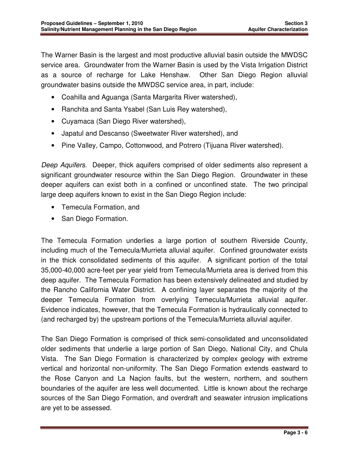The Warner Basin is the largest and most productive alluvial basin outside the MWDSC service area. Groundwater from the Warner Basin is used by the Vista Irrigation District as a source of recharge for Lake Henshaw. Other San Diego Region alluvial groundwater basins outside the MWDSC service area, in part, include:

- Coahilla and Aguanga (Santa Margarita River watershed),
- Ranchita and Santa Ysabel (San Luis Rey watershed),
- Cuyamaca (San Diego River watershed),
- Japatul and Descanso (Sweetwater River watershed), and
- Pine Valley, Campo, Cottonwood, and Potrero (Tijuana River watershed).

Deep Aquifers. Deeper, thick aquifers comprised of older sediments also represent a significant groundwater resource within the San Diego Region. Groundwater in these deeper aquifers can exist both in a confined or unconfined state. The two principal large deep aquifers known to exist in the San Diego Region include:

- Temecula Formation, and
- San Diego Formation.

The Temecula Formation underlies a large portion of southern Riverside County, including much of the Temecula/Murrieta alluvial aquifer. Confined groundwater exists in the thick consolidated sediments of this aquifer. A significant portion of the total 35,000-40,000 acre-feet per year yield from Temecula/Murrieta area is derived from this deep aquifer. The Temecula Formation has been extensively delineated and studied by the Rancho California Water District. A confining layer separates the majority of the deeper Temecula Formation from overlying Temecula/Murrieta alluvial aquifer. Evidence indicates, however, that the Temecula Formation is hydraulically connected to (and recharged by) the upstream portions of the Temecula/Murrieta alluvial aquifer.

The San Diego Formation is comprised of thick semi-consolidated and unconsolidated older sediments that underlie a large portion of San Diego, National City, and Chula Vista. The San Diego Formation is characterized by complex geology with extreme vertical and horizontal non-uniformity. The San Diego Formation extends eastward to the Rose Canyon and La Naçion faults, but the western, northern, and southern boundaries of the aquifer are less well documented. Little is known about the recharge sources of the San Diego Formation, and overdraft and seawater intrusion implications are yet to be assessed.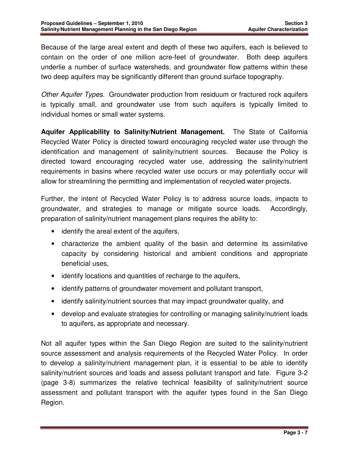Because of the large areal extent and depth of these two aquifers, each is believed to contain on the order of one million acre-feet of groundwater. Both deep aquifers underlie a number of surface watersheds, and groundwater flow patterns within these two deep aquifers may be significantly different than ground surface topography.

Other Aquifer Types. Groundwater production from residuum or fractured rock aquifers is typically small, and groundwater use from such aquifers is typically limited to individual homes or small water systems.

**Aquifer Applicability to Salinity/Nutrient Management.** The State of California Recycled Water Policy is directed toward encouraging recycled water use through the identification and management of salinity/nutrient sources. Because the Policy is directed toward encouraging recycled water use, addressing the salinity/nutrient requirements in basins where recycled water use occurs or may potentially occur will allow for streamlining the permitting and implementation of recycled water projects.

Further, the intent of Recycled Water Policy is to address source loads, impacts to groundwater, and strategies to manage or mitigate source loads. Accordingly, preparation of salinity/nutrient management plans requires the ability to:

- identify the areal extent of the aquifers,
- characterize the ambient quality of the basin and determine its assimilative capacity by considering historical and ambient conditions and appropriate beneficial uses,
- identify locations and quantities of recharge to the aquifers,
- identify patterns of groundwater movement and pollutant transport,
- identify salinity/nutrient sources that may impact groundwater quality, and
- develop and evaluate strategies for controlling or managing salinity/nutrient loads to aquifers, as appropriate and necessary.

Not all aquifer types within the San Diego Region are suited to the salinity/nutrient source assessment and analysis requirements of the Recycled Water Policy. In order to develop a salinity/nutrient management plan, it is essential to be able to identify salinity/nutrient sources and loads and assess pollutant transport and fate. Figure 3-2 (page 3-8) summarizes the relative technical feasibility of salinity/nutrient source assessment and pollutant transport with the aquifer types found in the San Diego Region.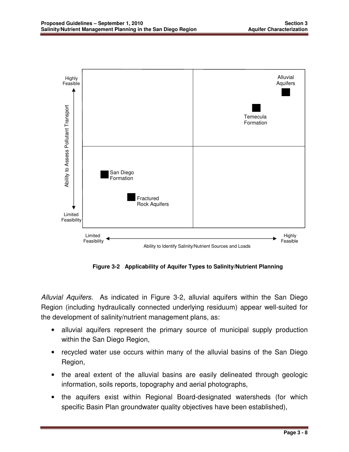

 **Figure 3-2 Applicability of Aquifer Types to Salinity/Nutrient Planning** 

Alluvial Aquifers.As indicated in Figure 3-2, alluvial aquifers within the San Diego Region (including hydraulically connected underlying residuum) appear well-suited for the development of salinity/nutrient management plans, as:

- alluvial aquifers represent the primary source of municipal supply production within the San Diego Region,
- recycled water use occurs within many of the alluvial basins of the San Diego Region,
- the areal extent of the alluvial basins are easily delineated through geologic information, soils reports, topography and aerial photographs,
- the aquifers exist within Regional Board-designated watersheds (for which specific Basin Plan groundwater quality objectives have been established),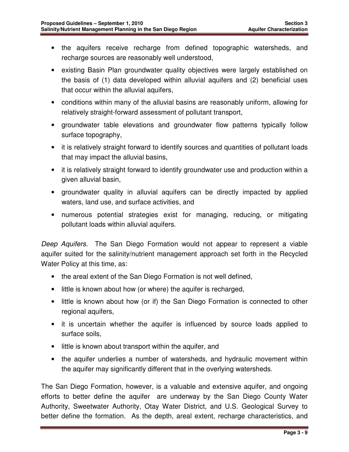- the aquifers receive recharge from defined topographic watersheds, and recharge sources are reasonably well understood,
- existing Basin Plan groundwater quality objectives were largely established on the basis of (1) data developed within alluvial aquifers and (2) beneficial uses that occur within the alluvial aquifers,
- conditions within many of the alluvial basins are reasonably uniform, allowing for relatively straight-forward assessment of pollutant transport,
- groundwater table elevations and groundwater flow patterns typically follow surface topography,
- it is relatively straight forward to identify sources and quantities of pollutant loads that may impact the alluvial basins,
- it is relatively straight forward to identify groundwater use and production within a given alluvial basin,
- groundwater quality in alluvial aquifers can be directly impacted by applied waters, land use, and surface activities, and
- numerous potential strategies exist for managing, reducing, or mitigating pollutant loads within alluvial aquifers.

Deep Aquifers. The San Diego Formation would not appear to represent a viable aquifer suited for the salinity/nutrient management approach set forth in the Recycled Water Policy at this time, as:

- the areal extent of the San Diego Formation is not well defined,
- little is known about how (or where) the aquifer is recharged,
- little is known about how (or if) the San Diego Formation is connected to other regional aquifers,
- it is uncertain whether the aquifer is influenced by source loads applied to surface soils,
- little is known about transport within the aquifer, and
- the aquifer underlies a number of watersheds, and hydraulic movement within the aquifer may significantly different that in the overlying watersheds.

The San Diego Formation, however, is a valuable and extensive aquifer, and ongoing efforts to better define the aquifer are underway by the San Diego County Water Authority, Sweetwater Authority, Otay Water District, and U.S. Geological Survey to better define the formation. As the depth, areal extent, recharge characteristics, and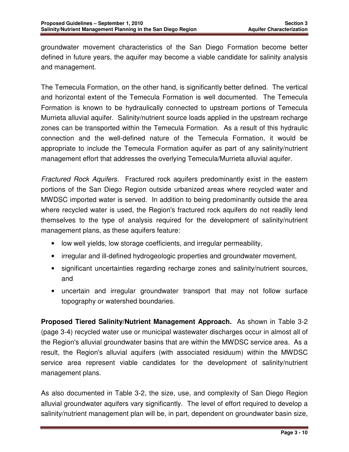groundwater movement characteristics of the San Diego Formation become better defined in future years, the aquifer may become a viable candidate for salinity analysis and management.

The Temecula Formation, on the other hand, is significantly better defined. The vertical and horizontal extent of the Temecula Formation is well documented. The Temecula Formation is known to be hydraulically connected to upstream portions of Temecula Murrieta alluvial aquifer. Salinity/nutrient source loads applied in the upstream recharge zones can be transported within the Temecula Formation. As a result of this hydraulic connection and the well-defined nature of the Temecula Formation, it would be appropriate to include the Temecula Formation aquifer as part of any salinity/nutrient management effort that addresses the overlying Temecula/Murrieta alluvial aquifer.

Fractured Rock Aquifers. Fractured rock aquifers predominantly exist in the eastern portions of the San Diego Region outside urbanized areas where recycled water and MWDSC imported water is served. In addition to being predominantly outside the area where recycled water is used, the Region's fractured rock aquifers do not readily lend themselves to the type of analysis required for the development of salinity/nutrient management plans, as these aquifers feature:

- low well yields, low storage coefficients, and irregular permeability,
- irregular and ill-defined hydrogeologic properties and groundwater movement,
- significant uncertainties regarding recharge zones and salinity/nutrient sources, and
- uncertain and irregular groundwater transport that may not follow surface topography or watershed boundaries.

**Proposed Tiered Salinity/Nutrient Management Approach.** As shown in Table 3-2 (page 3-4) recycled water use or municipal wastewater discharges occur in almost all of the Region's alluvial groundwater basins that are within the MWDSC service area. As a result, the Region's alluvial aquifers (with associated residuum) within the MWDSC service area represent viable candidates for the development of salinity/nutrient management plans.

As also documented in Table 3-2, the size, use, and complexity of San Diego Region alluvial groundwater aquifers vary significantly. The level of effort required to develop a salinity/nutrient management plan will be, in part, dependent on groundwater basin size,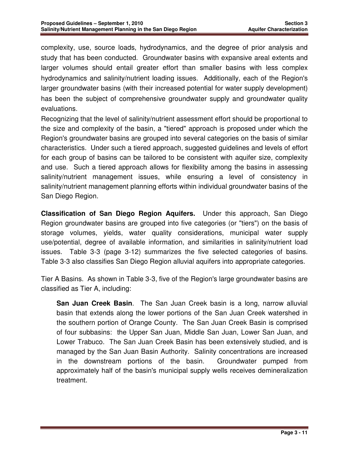complexity, use, source loads, hydrodynamics, and the degree of prior analysis and study that has been conducted. Groundwater basins with expansive areal extents and larger volumes should entail greater effort than smaller basins with less complex hydrodynamics and salinity/nutrient loading issues. Additionally, each of the Region's larger groundwater basins (with their increased potential for water supply development) has been the subject of comprehensive groundwater supply and groundwater quality evaluations.

Recognizing that the level of salinity/nutrient assessment effort should be proportional to the size and complexity of the basin, a "tiered" approach is proposed under which the Region's groundwater basins are grouped into several categories on the basis of similar characteristics. Under such a tiered approach, suggested guidelines and levels of effort for each group of basins can be tailored to be consistent with aquifer size, complexity and use. Such a tiered approach allows for flexibility among the basins in assessing salinity/nutrient management issues, while ensuring a level of consistency in salinity/nutrient management planning efforts within individual groundwater basins of the San Diego Region.

**Classification of San Diego Region Aquifers.** Under this approach, San Diego Region groundwater basins are grouped into five categories (or "tiers") on the basis of storage volumes, yields, water quality considerations, municipal water supply use/potential, degree of available information, and similarities in salinity/nutrient load issues. Table 3-3 (page 3-12) summarizes the five selected categories of basins. Table 3-3 also classifies San Diego Region alluvial aquifers into appropriate categories.

Tier A Basins. As shown in Table 3-3, five of the Region's large groundwater basins are classified as Tier A, including:

**San Juan Creek Basin**. The San Juan Creek basin is a long, narrow alluvial basin that extends along the lower portions of the San Juan Creek watershed in the southern portion of Orange County. The San Juan Creek Basin is comprised of four subbasins: the Upper San Juan, Middle San Juan, Lower San Juan, and Lower Trabuco. The San Juan Creek Basin has been extensively studied, and is managed by the San Juan Basin Authority. Salinity concentrations are increased in the downstream portions of the basin. Groundwater pumped from approximately half of the basin's municipal supply wells receives demineralization treatment.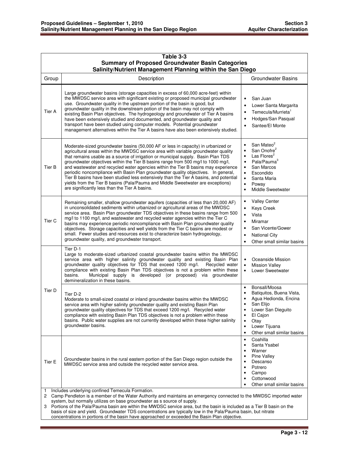|                                                                                                                                                                                                                                                                                                                                                                                                                                                                                                                                                                                                                | Table 3-3                                                                                                                                                                                                                                                                                                                                                                                                                                                                                                                                                                                                                                                                                                                                                    |                                                                                                                                                                                                                                                                            |  |  |  |
|----------------------------------------------------------------------------------------------------------------------------------------------------------------------------------------------------------------------------------------------------------------------------------------------------------------------------------------------------------------------------------------------------------------------------------------------------------------------------------------------------------------------------------------------------------------------------------------------------------------|--------------------------------------------------------------------------------------------------------------------------------------------------------------------------------------------------------------------------------------------------------------------------------------------------------------------------------------------------------------------------------------------------------------------------------------------------------------------------------------------------------------------------------------------------------------------------------------------------------------------------------------------------------------------------------------------------------------------------------------------------------------|----------------------------------------------------------------------------------------------------------------------------------------------------------------------------------------------------------------------------------------------------------------------------|--|--|--|
|                                                                                                                                                                                                                                                                                                                                                                                                                                                                                                                                                                                                                | <b>Summary of Proposed Groundwater Basin Categories</b><br>Salinity/Nutrient Management Planning within the San Diego                                                                                                                                                                                                                                                                                                                                                                                                                                                                                                                                                                                                                                        |                                                                                                                                                                                                                                                                            |  |  |  |
| Group                                                                                                                                                                                                                                                                                                                                                                                                                                                                                                                                                                                                          | Description                                                                                                                                                                                                                                                                                                                                                                                                                                                                                                                                                                                                                                                                                                                                                  | <b>Groundwater Basins</b>                                                                                                                                                                                                                                                  |  |  |  |
| Tier A                                                                                                                                                                                                                                                                                                                                                                                                                                                                                                                                                                                                         | Large groundwater basins (storage capacities in excess of 60,000 acre-feet) within<br>the MWDSC service area with significant existing or proposed municipal groundwater<br>use. Groundwater quality in the upstream portion of the basin is good, but<br>groundwater quality in the downstream potion of the basin may not comply with<br>existing Basin Plan objectives. The hydrogeology and groundwater of Tier A basins<br>have been extensively studied and documented, and groundwater quality and<br>transport have been studied using computer models. Potential groundwater<br>management alternatives within the Tier A basins have also been extensively studied.                                                                                | San Juan<br>$\bullet$<br>Lower Santa Margarita<br>$\bullet$<br>Temecula/Murrieta <sup>1</sup><br>Hodges/San Pasqual<br>Santee/El Monte                                                                                                                                     |  |  |  |
| Tier B                                                                                                                                                                                                                                                                                                                                                                                                                                                                                                                                                                                                         | Moderate-sized groundwater basins (50,000 AF or less in capacity) in urbanized or<br>agricultural areas within the MWDSC service area with variable groundwater quality<br>that remains usable as a source of irrigation or municipal supply. Basin Plan TDS<br>groundwater objectives within the Tier B basins range from 500 mg/l to 1000 mg/l,<br>and wastewater and recycled water agencies within the Tier B basins may experience<br>periodic noncompliance with Basin Plan groundwater quality objectives. In general,<br>Tier B basins have been studied less extensively than the Tier A basins, and potential<br>yields from the Tier B basins (Pala/Pauma and Middle Sweetwater are exceptions)<br>are significantly less than the Tier A basins. | San Mateo <sup>2</sup><br>San Onofre <sup>2</sup><br>$\bullet$<br>Las Flores <sup>2</sup><br>$\bullet$<br>Pala/Pauma <sup>3</sup><br>$\bullet$<br>San Marcos<br>$\bullet$<br>Escondido<br>$\bullet$<br>Santa Maria<br>$\bullet$<br>Poway<br>$\bullet$<br>Middle Sweetwater |  |  |  |
| Tier <sub>C</sub>                                                                                                                                                                                                                                                                                                                                                                                                                                                                                                                                                                                              | Remaining smaller, shallow groundwater aquifers (capacities of less than 20,000 AF)<br>in unconsolidated sediments within urbanized or agricultural areas of the MWDSC<br>service area. Basin Plan groundwater TDS objectives in these basins range from 500<br>mg/l to 1100 mg/l, and wastewater and recycled water agencies within the Tier C<br>basins may experience periodic noncompliance with Basin Plan groundwater quality<br>objectives. Storage capacities and well yields from the Tier C basins are modest or<br>small. Fewer studies and resources exist to characterize basin hydrogeology,<br>groundwater quality, and groundwater transport.                                                                                                | <b>Valley Center</b><br>$\bullet$<br>Keys Creek<br>$\bullet$<br>Vista<br>$\bullet$<br>Miramar<br>$\bullet$<br>San Vicente/Gower<br><b>National City</b><br>Other small similar basins                                                                                      |  |  |  |
|                                                                                                                                                                                                                                                                                                                                                                                                                                                                                                                                                                                                                | Tier D-1<br>Large to moderate-sized urbanized coastal groundwater basins within the MWDSC<br>service area with higher salinity groundwater quality and existing Basin Plan<br>groundwater quality objectives for TDS that exceed 1200 mg/l.<br>Recycled water<br>compliance with existing Basin Plan TDS objectives is not a problem within these<br>Municipal supply is developed (or proposed) via groundwater<br>basins.<br>demineralization in these basins.                                                                                                                                                                                                                                                                                             | Oceanside Mission<br>$\bullet$<br><b>Mission Valley</b><br>$\bullet$<br>Lower Sweetwater                                                                                                                                                                                   |  |  |  |
| Tier D                                                                                                                                                                                                                                                                                                                                                                                                                                                                                                                                                                                                         | Tier D-2<br>Moderate to small-sized coastal or inland groundwater basins within the MWDSC<br>service area with higher salinity groundwater quality and existing Basin Plan<br>groundwater quality objectives for TDS that exceed 1200 mg/l. Recycled water<br>compliance with existing Basin Plan TDS objectives is not a problem within these<br>basins. Public water supplies are not currently developed within these higher salinity<br>groundwater basins.                                                                                                                                                                                                                                                                                              | Bonsall/Moosa<br>$\bullet$<br>Batiquitos, Buena Vista,<br>Agua Hedionda, Encina<br>San Elijo<br>$\bullet$<br>Lower San Dieguito<br>El Cajon<br>$\bullet$<br>Otay<br>Lower Tijuana<br>$\bullet$<br>Other small similar basins<br>$\bullet$                                  |  |  |  |
| Tier E                                                                                                                                                                                                                                                                                                                                                                                                                                                                                                                                                                                                         | Groundwater basins in the rural eastern portion of the San Diego region outside the<br>MWDSC service area and outside the recycled water service area.                                                                                                                                                                                                                                                                                                                                                                                                                                                                                                                                                                                                       | Coahilla<br>$\bullet$<br>Santa Ysabel<br>$\bullet$<br>Warner<br><b>Pine Valley</b><br>Descanso<br>$\bullet$<br>Potrero<br>Campo<br>$\bullet$<br>Cottonwood<br>Other small similar basins                                                                                   |  |  |  |
| Includes underlying confined Temecula Formation.<br>1<br>Camp Pendleton is a member of the Water Authority and maintains an emergency connected to the MWDSC imported water<br>2<br>system, but normally utilizes on base groundwater as s source of supply.<br>Portions of the Pala/Pauma basin are within the MWDSC service area, but the basin is included as a Tier B basin on the<br>3<br>basis of size and yield. Groundwater TDS concentrations are typically low in the Pala/Pauma basin, but nitrate<br>concentrations in portions of the basin have approached or exceeded the Basin Plan objective. |                                                                                                                                                                                                                                                                                                                                                                                                                                                                                                                                                                                                                                                                                                                                                              |                                                                                                                                                                                                                                                                            |  |  |  |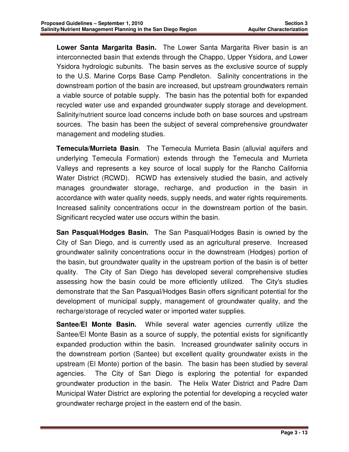**Lower Santa Margarita Basin.** The Lower Santa Margarita River basin is an interconnected basin that extends through the Chappo, Upper Ysidora, and Lower Ysidora hydrologic subunits. The basin serves as the exclusive source of supply to the U.S. Marine Corps Base Camp Pendleton. Salinity concentrations in the downstream portion of the basin are increased, but upstream groundwaters remain a viable source of potable supply. The basin has the potential both for expanded recycled water use and expanded groundwater supply storage and development. Salinity/nutrient source load concerns include both on base sources and upstream sources. The basin has been the subject of several comprehensive groundwater management and modeling studies.

**Temecula/Murrieta Basin**. The Temecula Murrieta Basin (alluvial aquifers and underlying Temecula Formation) extends through the Temecula and Murrieta Valleys and represents a key source of local supply for the Rancho California Water District (RCWD). RCWD has extensively studied the basin, and actively manages groundwater storage, recharge, and production in the basin in accordance with water quality needs, supply needs, and water rights requirements. Increased salinity concentrations occur in the downstream portion of the basin. Significant recycled water use occurs within the basin.

**San Pasqual/Hodges Basin.** The San Pasqual/Hodges Basin is owned by the City of San Diego, and is currently used as an agricultural preserve. Increased groundwater salinity concentrations occur in the downstream (Hodges) portion of the basin, but groundwater quality in the upstream portion of the basin is of better quality. The City of San Diego has developed several comprehensive studies assessing how the basin could be more efficiently utilized. The City's studies demonstrate that the San Pasqual/Hodges Basin offers significant potential for the development of municipal supply, management of groundwater quality, and the recharge/storage of recycled water or imported water supplies.

**Santee/El Monte Basin.** While several water agencies currently utilize the Santee/El Monte Basin as a source of supply, the potential exists for significantly expanded production within the basin. Increased groundwater salinity occurs in the downstream portion (Santee) but excellent quality groundwater exists in the upstream (El Monte) portion of the basin. The basin has been studied by several agencies. The City of San Diego is exploring the potential for expanded groundwater production in the basin. The Helix Water District and Padre Dam Municipal Water District are exploring the potential for developing a recycled water groundwater recharge project in the eastern end of the basin.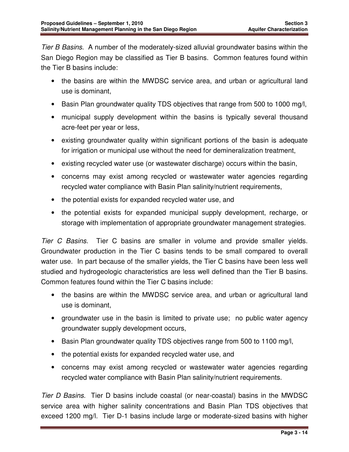Tier B Basins. A number of the moderately-sized alluvial groundwater basins within the San Diego Region may be classified as Tier B basins. Common features found within the Tier B basins include:

- the basins are within the MWDSC service area, and urban or agricultural land use is dominant,
- Basin Plan groundwater quality TDS objectives that range from 500 to 1000 mg/l,
- municipal supply development within the basins is typically several thousand acre-feet per year or less,
- existing groundwater quality within significant portions of the basin is adequate for irrigation or municipal use without the need for demineralization treatment,
- existing recycled water use (or wastewater discharge) occurs within the basin,
- concerns may exist among recycled or wastewater water agencies regarding recycled water compliance with Basin Plan salinity/nutrient requirements,
- the potential exists for expanded recycled water use, and
- the potential exists for expanded municipal supply development, recharge, or storage with implementation of appropriate groundwater management strategies.

Tier C Basins. Tier C basins are smaller in volume and provide smaller yields. Groundwater production in the Tier C basins tends to be small compared to overall water use. In part because of the smaller yields, the Tier C basins have been less well studied and hydrogeologic characteristics are less well defined than the Tier B basins. Common features found within the Tier C basins include:

- the basins are within the MWDSC service area, and urban or agricultural land use is dominant,
- groundwater use in the basin is limited to private use; no public water agency groundwater supply development occurs,
- Basin Plan groundwater quality TDS objectives range from 500 to 1100 mg/l,
- the potential exists for expanded recycled water use, and
- concerns may exist among recycled or wastewater water agencies regarding recycled water compliance with Basin Plan salinity/nutrient requirements.

Tier D Basins. Tier D basins include coastal (or near-coastal) basins in the MWDSC service area with higher salinity concentrations and Basin Plan TDS objectives that exceed 1200 mg/l. Tier D-1 basins include large or moderate-sized basins with higher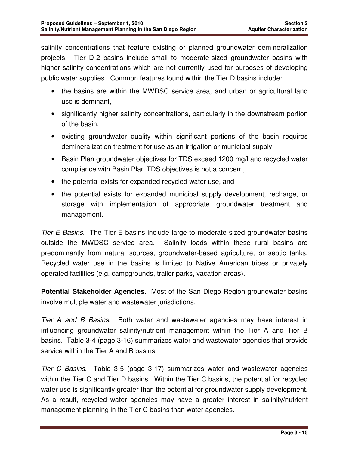salinity concentrations that feature existing or planned groundwater demineralization projects. Tier D-2 basins include small to moderate-sized groundwater basins with higher salinity concentrations which are not currently used for purposes of developing public water supplies. Common features found within the Tier D basins include:

- the basins are within the MWDSC service area, and urban or agricultural land use is dominant,
- significantly higher salinity concentrations, particularly in the downstream portion of the basin,
- existing groundwater quality within significant portions of the basin requires demineralization treatment for use as an irrigation or municipal supply,
- Basin Plan groundwater objectives for TDS exceed 1200 mg/l and recycled water compliance with Basin Plan TDS objectives is not a concern,
- the potential exists for expanded recycled water use, and
- the potential exists for expanded municipal supply development, recharge, or storage with implementation of appropriate groundwater treatment and management.

Tier E Basins. The Tier E basins include large to moderate sized groundwater basins outside the MWDSC service area. Salinity loads within these rural basins are predominantly from natural sources, groundwater-based agriculture, or septic tanks. Recycled water use in the basins is limited to Native American tribes or privately operated facilities (e.g. campgrounds, trailer parks, vacation areas).

**Potential Stakeholder Agencies.** Most of the San Diego Region groundwater basins involve multiple water and wastewater jurisdictions.

Tier A and B Basins. Both water and wastewater agencies may have interest in influencing groundwater salinity/nutrient management within the Tier A and Tier B basins. Table 3-4 (page 3-16) summarizes water and wastewater agencies that provide service within the Tier A and B basins.

Tier C Basins. Table 3-5 (page 3-17) summarizes water and wastewater agencies within the Tier C and Tier D basins. Within the Tier C basins, the potential for recycled water use is significantly greater than the potential for groundwater supply development. As a result, recycled water agencies may have a greater interest in salinity/nutrient management planning in the Tier C basins than water agencies.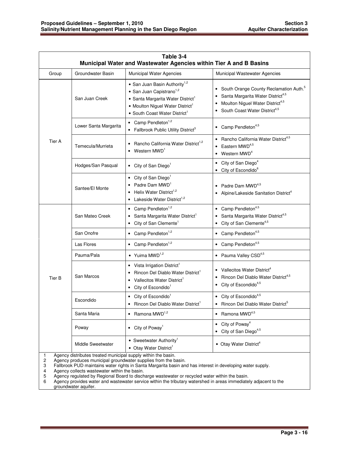| Table 3-4<br>Municipal Water and Wastewater Agencies within Tier A and B Basins                                                      |                                               |                                                                                                                                                                                                                                 |                                                                                                                                                                                                      |  |
|--------------------------------------------------------------------------------------------------------------------------------------|-----------------------------------------------|---------------------------------------------------------------------------------------------------------------------------------------------------------------------------------------------------------------------------------|------------------------------------------------------------------------------------------------------------------------------------------------------------------------------------------------------|--|
| Group                                                                                                                                | Groundwater Basin<br>Municipal Water Agencies |                                                                                                                                                                                                                                 | Municipal Wastewater Agencies                                                                                                                                                                        |  |
| Tier A                                                                                                                               | San Juan Creek                                | • San Juan Basin Authority <sup>1,2</sup><br>• San Juan Capistrano <sup>1,2</sup><br>• Santa Margarita Water District <sup>1</sup><br>• Moulton Niguel Water District <sup>1</sup><br>• South Coast Water District <sup>1</sup> | • South Orange County Reclamation Auth. <sup>5</sup><br>Santa Margarita Water District <sup>4,5</sup><br>Moulton Niguel Water District <sup>4,5</sup><br>• South Coast Water District <sup>4,5</sup> |  |
|                                                                                                                                      | Lower Santa Margarita                         | • Camp Pendleton $1,2$<br>• Fallbrook Public Utility District <sup>3</sup>                                                                                                                                                      | • Camp Pendleton <sup>4,5</sup>                                                                                                                                                                      |  |
|                                                                                                                                      | Temecula/Murrieta                             | Rancho California Water District <sup>1,2</sup><br>• Western $MWD1$                                                                                                                                                             | • Rancho California Water District4,5<br>$\bullet$ Eastern MWD <sup>4,5</sup><br>• Western $MWD^4$                                                                                                   |  |
|                                                                                                                                      | Hodges/San Pasqual                            | • City of San Diego <sup>1</sup>                                                                                                                                                                                                | • City of San Diego <sup>4</sup><br>• City of Escondido <sup>6</sup>                                                                                                                                 |  |
|                                                                                                                                      | Santee/El Monte                               | • City of San Diego <sup>1</sup><br>Padre Dam MWD <sup>1</sup><br>Helix Water District <sup>1,2</sup><br>• Lakeside Water District <sup>1,2</sup>                                                                               | • Padre Dam $MWD^{4,5}$<br>• Alpine/Lakeside Sanitation District <sup>4</sup>                                                                                                                        |  |
|                                                                                                                                      | San Mateo Creek                               | $\bullet$ Camp Pendleton <sup>1,2</sup><br>Santa Margarita Water District <sup>1</sup><br>• City of San Clemente <sup>1</sup>                                                                                                   | $\bullet$ Camp Pendleton <sup>4,5</sup><br>Santa Margarita Water District <sup>4,5</sup><br>• City of San Clemente <sup>4,5</sup>                                                                    |  |
|                                                                                                                                      | San Onofre                                    | • Camp Pendleton <sup>1,2</sup>                                                                                                                                                                                                 | • Camp Pendleton <sup>4,5</sup>                                                                                                                                                                      |  |
|                                                                                                                                      | Las Flores                                    | • Camp Pendleton <sup>1,2</sup>                                                                                                                                                                                                 | • Camp Pendleton <sup>4,5</sup>                                                                                                                                                                      |  |
| Tier B                                                                                                                               | Pauma/Pala                                    | • Yuima $MWD^{1,2}$                                                                                                                                                                                                             | • Pauma Valley CSD <sup>4,5</sup>                                                                                                                                                                    |  |
|                                                                                                                                      | San Marcos                                    | • Vista Irrigation District <sup>1</sup><br>Rincon Del Diablo Water District <sup>1</sup><br>Vallecitos Water District <sup>1</sup><br>• City of Escondido <sup>1</sup>                                                         | • Vallecitos Water District <sup>4</sup><br>• Rincon Del Diablo Water District <sup>4,5</sup><br>• City of Escondido <sup>4,5</sup>                                                                  |  |
|                                                                                                                                      | Escondido                                     | • City of Escondido <sup>1</sup><br>Rincon Del Diablo Water District <sup>1</sup>                                                                                                                                               | $\bullet$ City of Escondido <sup>4,5</sup><br>• Rincon Del Diablo Water District <sup>5</sup>                                                                                                        |  |
|                                                                                                                                      | Santa Maria                                   | $\bullet$ Ramona MWD <sup>1,2</sup>                                                                                                                                                                                             | $\bullet$ Ramona MWD <sup>4,5</sup>                                                                                                                                                                  |  |
|                                                                                                                                      | Poway                                         | • City of Poway <sup>1</sup>                                                                                                                                                                                                    | • City of Poway <sup>4</sup><br>• City of San Diego <sup>4,5</sup>                                                                                                                                   |  |
|                                                                                                                                      | Middle Sweetwater                             | • Sweetwater Authority <sup>1</sup><br>• Otay Water District <sup>1</sup>                                                                                                                                                       | • Otay Water District <sup>4</sup>                                                                                                                                                                   |  |
| Agency distributes treated municipal supply within the basin.<br>Agency produces municipal groundwater supplies from the basin.<br>2 |                                               |                                                                                                                                                                                                                                 |                                                                                                                                                                                                      |  |

2 Agency produces municipal groundwater supplies from the basin.

3 Fallbrook PUD maintains water rights in Santa Margarita basin and has interest in developing water supply.

4 Agency collects wastewater within the basin.

5 Agency regulated by Regional Board to discharge wastewater or recycled water within the basin.

6 Agency provides water and wastewater service within the tributary watershed in areas immediately adjacent to the groundwater aquifer.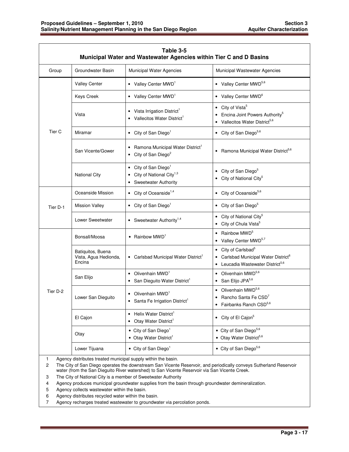| Table 3-5<br>Municipal Water and Wastewater Agencies within Tier C and D Basins |                                                      |                                                                                                |                                                                                                                                                  |
|---------------------------------------------------------------------------------|------------------------------------------------------|------------------------------------------------------------------------------------------------|--------------------------------------------------------------------------------------------------------------------------------------------------|
| Group                                                                           | Groundwater Basin                                    | Municipal Water Agencies                                                                       | Municipal Wastewater Agencies                                                                                                                    |
|                                                                                 | <b>Valley Center</b>                                 | • Valley Center MWD <sup>1</sup>                                                               | • Valley Center MWD <sup>5,6</sup>                                                                                                               |
|                                                                                 | Keys Creek                                           | • Valley Center MWD <sup>1</sup>                                                               | • Valley Center MWD <sup>6</sup>                                                                                                                 |
| Tier C                                                                          | Vista                                                | • Vista Irrigation District <sup>1</sup><br>Vallecitos Water District <sup>1</sup>             | • City of Vista <sup>5</sup><br>Encina Joint Powers Authority <sup>5</sup><br>• Vallecitos Water District <sup>5,6</sup>                         |
|                                                                                 | Miramar                                              | • City of San Diego <sup>1</sup>                                                               | • City of San Diego <sup>5,6</sup>                                                                                                               |
|                                                                                 | San Vicente/Gower                                    | • Ramona Municipal Water District <sup>1</sup><br>• City of San Diego <sup>2</sup>             | • Ramona Municipal Water District <sup>5,6</sup>                                                                                                 |
|                                                                                 | <b>National City</b>                                 | City of San Diego <sup>1</sup><br>City of National City <sup>1,3</sup><br>Sweetwater Authority | City of San Diego <sup>5</sup><br>City of National City <sup>5</sup>                                                                             |
| Tier D-1                                                                        | Oceanside Mission                                    | • City of Oceanside <sup>1,4</sup>                                                             | • City of Oceanside <sup>5,6</sup>                                                                                                               |
|                                                                                 | <b>Mission Valley</b>                                | • City of San Diego <sup>1</sup>                                                               | • City of San Diego <sup>5</sup>                                                                                                                 |
|                                                                                 | Lower Sweetwater                                     | • Sweetwater Authority <sup>1,4</sup>                                                          | • City of National City <sup>5</sup><br>City of Chula Vista <sup>5</sup>                                                                         |
| Tier D-2                                                                        | Bonsall/Moosa                                        | • Rainbow $MWD1$                                                                               | • Rainbow $MWD^5$<br>• Valley Center MWD <sup>5,7</sup>                                                                                          |
|                                                                                 | Batiquitos, Buena<br>Vista, Agua Hedionda,<br>Encina | • Carlsbad Municipal Water District <sup>1</sup>                                               | City of Carlsbad <sup>5</sup><br>$\bullet$<br>Carlsbad Municipal Water District <sup>6</sup><br>Leucadia Wastewater District <sup>5,6</sup><br>٠ |
|                                                                                 | San Elijo                                            | Olivenhain MWD <sup>1</sup><br>٠<br>San Dieguito Water District <sup>1</sup>                   | Olivenhain MWD <sup>5,6</sup><br>• San Elijo JPA <sup>5,6</sup>                                                                                  |
|                                                                                 | Lower San Dieguito                                   | • Olivenhain MWD <sup>1</sup><br>Santa Fe Irrigation District <sup>1</sup>                     | • Olivenhain MWD <sup>5,6</sup><br>Rancho Santa Fe CSD'<br>$\bullet$<br>Fairbanks Ranch CSD <sup>5,6</sup>                                       |
|                                                                                 | El Cajon                                             | Helix Water District <sup>1</sup><br>Otay Water District <sup>1</sup>                          | • City of El Cajon <sup>5</sup>                                                                                                                  |
|                                                                                 | Otay                                                 | • City of San Diego <sup>1</sup><br>• Otay Water District <sup>1</sup>                         | • City of San Diego <sup>5,6</sup><br>• Otay Water District <sup>5,6</sup>                                                                       |
|                                                                                 | Lower Tijuana                                        | • City of San Diego <sup>1</sup>                                                               | • City of San Diego <sup>5,6</sup>                                                                                                               |

1 Agency distributes treated municipal supply within the basin.

2 The City of San Diego operates the downstream San Vicente Reservoir, and periodically conveys Sutherland Reservoir water (from the San Dieguito River watershed) to San Vicente Reservoir via San Vicente Creek.

3 The City of National City is a member of Sweetwater Authority

4 Agency produces municipal groundwater supplies from the basin through groundwater demineralization.

5 Agency collects wastewater within the basin.

6 Agency distributes recycled water within the basin.

7 Agency recharges treated wastewater to groundwater via percolation ponds.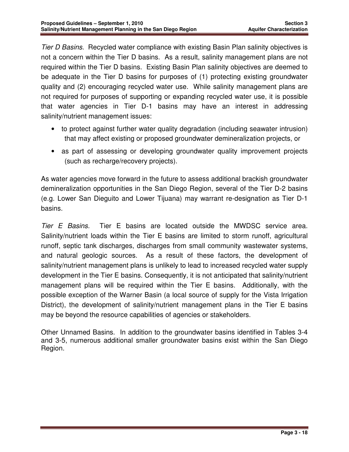Tier D Basins. Recycled water compliance with existing Basin Plan salinity objectives is not a concern within the Tier D basins. As a result, salinity management plans are not required within the Tier D basins. Existing Basin Plan salinity objectives are deemed to be adequate in the Tier D basins for purposes of (1) protecting existing groundwater quality and (2) encouraging recycled water use. While salinity management plans are not required for purposes of supporting or expanding recycled water use, it is possible that water agencies in Tier D-1 basins may have an interest in addressing salinity/nutrient management issues:

- to protect against further water quality degradation (including seawater intrusion) that may affect existing or proposed groundwater demineralization projects, or
- as part of assessing or developing groundwater quality improvement projects (such as recharge/recovery projects).

As water agencies move forward in the future to assess additional brackish groundwater demineralization opportunities in the San Diego Region, several of the Tier D-2 basins (e.g. Lower San Dieguito and Lower Tijuana) may warrant re-designation as Tier D-1 basins.

Tier E Basins. Tier E basins are located outside the MWDSC service area. Salinity/nutrient loads within the Tier E basins are limited to storm runoff, agricultural runoff, septic tank discharges, discharges from small community wastewater systems, and natural geologic sources. As a result of these factors, the development of salinity/nutrient management plans is unlikely to lead to increased recycled water supply development in the Tier E basins. Consequently, it is not anticipated that salinity/nutrient management plans will be required within the Tier E basins. Additionally, with the possible exception of the Warner Basin (a local source of supply for the Vista Irrigation District), the development of salinity/nutrient management plans in the Tier E basins may be beyond the resource capabilities of agencies or stakeholders.

Other Unnamed Basins. In addition to the groundwater basins identified in Tables 3-4 and 3-5, numerous additional smaller groundwater basins exist within the San Diego Region.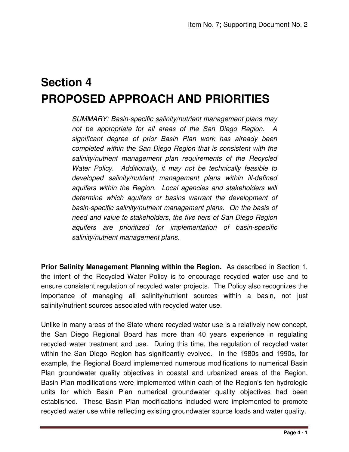# **Section 4 PROPOSED APPROACH AND PRIORITIES**

SUMMARY: Basin-specific salinity/nutrient management plans may not be appropriate for all areas of the San Diego Region. A significant degree of prior Basin Plan work has already been completed within the San Diego Region that is consistent with the salinity/nutrient management plan requirements of the Recycled Water Policy. Additionally, it may not be technically feasible to developed salinity/nutrient management plans within ill-defined aquifers within the Region. Local agencies and stakeholders will determine which aquifers or basins warrant the development of basin-specific salinity/nutrient management plans. On the basis of need and value to stakeholders, the five tiers of San Diego Region aquifers are prioritized for implementation of basin-specific salinity/nutrient management plans.

**Prior Salinity Management Planning within the Region.** As described in Section 1, the intent of the Recycled Water Policy is to encourage recycled water use and to ensure consistent regulation of recycled water projects. The Policy also recognizes the importance of managing all salinity/nutrient sources within a basin, not just salinity/nutrient sources associated with recycled water use.

Unlike in many areas of the State where recycled water use is a relatively new concept, the San Diego Regional Board has more than 40 years experience in regulating recycled water treatment and use. During this time, the regulation of recycled water within the San Diego Region has significantly evolved. In the 1980s and 1990s, for example, the Regional Board implemented numerous modifications to numerical Basin Plan groundwater quality objectives in coastal and urbanized areas of the Region. Basin Plan modifications were implemented within each of the Region's ten hydrologic units for which Basin Plan numerical groundwater quality objectives had been established. These Basin Plan modifications included were implemented to promote recycled water use while reflecting existing groundwater source loads and water quality.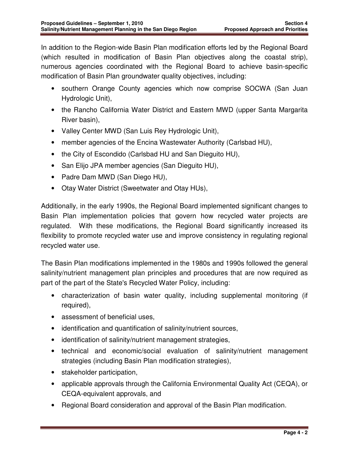In addition to the Region-wide Basin Plan modification efforts led by the Regional Board (which resulted in modification of Basin Plan objectives along the coastal strip), numerous agencies coordinated with the Regional Board to achieve basin-specific modification of Basin Plan groundwater quality objectives, including:

- southern Orange County agencies which now comprise SOCWA (San Juan Hydrologic Unit),
- the Rancho California Water District and Eastern MWD (upper Santa Margarita River basin),
- Valley Center MWD (San Luis Rey Hydrologic Unit),
- member agencies of the Encina Wastewater Authority (Carlsbad HU),
- the City of Escondido (Carlsbad HU and San Dieguito HU),
- San Elijo JPA member agencies (San Dieguito HU),
- Padre Dam MWD (San Diego HU),
- Otay Water District (Sweetwater and Otay HUs),

Additionally, in the early 1990s, the Regional Board implemented significant changes to Basin Plan implementation policies that govern how recycled water projects are regulated. With these modifications, the Regional Board significantly increased its flexibility to promote recycled water use and improve consistency in regulating regional recycled water use.

The Basin Plan modifications implemented in the 1980s and 1990s followed the general salinity/nutrient management plan principles and procedures that are now required as part of the part of the State's Recycled Water Policy, including:

- characterization of basin water quality, including supplemental monitoring (if required),
- assessment of beneficial uses,
- identification and quantification of salinity/nutrient sources,
- identification of salinity/nutrient management strategies,
- technical and economic/social evaluation of salinity/nutrient management strategies (including Basin Plan modification strategies),
- stakeholder participation,
- applicable approvals through the California Environmental Quality Act (CEQA), or CEQA-equivalent approvals, and
- Regional Board consideration and approval of the Basin Plan modification.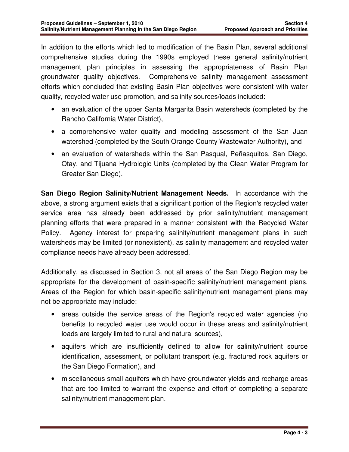In addition to the efforts which led to modification of the Basin Plan, several additional comprehensive studies during the 1990s employed these general salinity/nutrient management plan principles in assessing the appropriateness of Basin Plan groundwater quality objectives. Comprehensive salinity management assessment efforts which concluded that existing Basin Plan objectives were consistent with water quality, recycled water use promotion, and salinity sources/loads included:

- an evaluation of the upper Santa Margarita Basin watersheds (completed by the Rancho California Water District),
- a comprehensive water quality and modeling assessment of the San Juan watershed (completed by the South Orange County Wastewater Authority), and
- an evaluation of watersheds within the San Pasqual, Peñasquitos, San Diego, Otay, and Tijuana Hydrologic Units (completed by the Clean Water Program for Greater San Diego).

**San Diego Region Salinity/Nutrient Management Needs.** In accordance with the above, a strong argument exists that a significant portion of the Region's recycled water service area has already been addressed by prior salinity/nutrient management planning efforts that were prepared in a manner consistent with the Recycled Water Policy. Agency interest for preparing salinity/nutrient management plans in such watersheds may be limited (or nonexistent), as salinity management and recycled water compliance needs have already been addressed.

Additionally, as discussed in Section 3, not all areas of the San Diego Region may be appropriate for the development of basin-specific salinity/nutrient management plans. Areas of the Region for which basin-specific salinity/nutrient management plans may not be appropriate may include:

- areas outside the service areas of the Region's recycled water agencies (no benefits to recycled water use would occur in these areas and salinity/nutrient loads are largely limited to rural and natural sources),
- aquifers which are insufficiently defined to allow for salinity/nutrient source identification, assessment, or pollutant transport (e.g. fractured rock aquifers or the San Diego Formation), and
- miscellaneous small aquifers which have groundwater yields and recharge areas that are too limited to warrant the expense and effort of completing a separate salinity/nutrient management plan.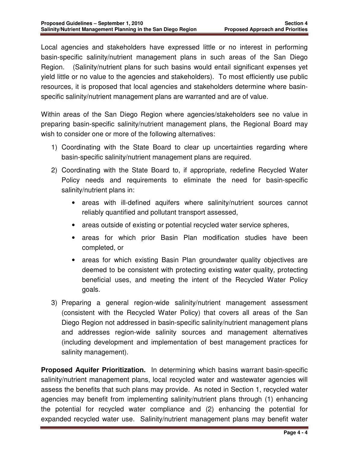Local agencies and stakeholders have expressed little or no interest in performing basin-specific salinity/nutrient management plans in such areas of the San Diego Region. (Salinity/nutrient plans for such basins would entail significant expenses yet yield little or no value to the agencies and stakeholders). To most efficiently use public resources, it is proposed that local agencies and stakeholders determine where basinspecific salinity/nutrient management plans are warranted and are of value.

Within areas of the San Diego Region where agencies/stakeholders see no value in preparing basin-specific salinity/nutrient management plans, the Regional Board may wish to consider one or more of the following alternatives:

- 1) Coordinating with the State Board to clear up uncertainties regarding where basin-specific salinity/nutrient management plans are required.
- 2) Coordinating with the State Board to, if appropriate, redefine Recycled Water Policy needs and requirements to eliminate the need for basin-specific salinity/nutrient plans in:
	- areas with ill-defined aquifers where salinity/nutrient sources cannot reliably quantified and pollutant transport assessed,
	- areas outside of existing or potential recycled water service spheres,
	- areas for which prior Basin Plan modification studies have been completed, or
	- areas for which existing Basin Plan groundwater quality objectives are deemed to be consistent with protecting existing water quality, protecting beneficial uses, and meeting the intent of the Recycled Water Policy goals.
- 3) Preparing a general region-wide salinity/nutrient management assessment (consistent with the Recycled Water Policy) that covers all areas of the San Diego Region not addressed in basin-specific salinity/nutrient management plans and addresses region-wide salinity sources and management alternatives (including development and implementation of best management practices for salinity management).

**Proposed Aquifer Prioritization.** In determining which basins warrant basin-specific salinity/nutrient management plans, local recycled water and wastewater agencies will assess the benefits that such plans may provide. As noted in Section 1, recycled water agencies may benefit from implementing salinity/nutrient plans through (1) enhancing the potential for recycled water compliance and (2) enhancing the potential for expanded recycled water use. Salinity/nutrient management plans may benefit water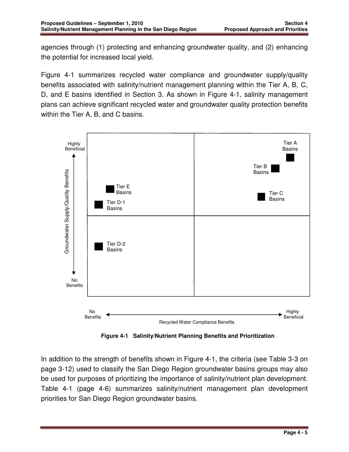agencies through (1) protecting and enhancing groundwater quality, and (2) enhancing the potential for increased local yield.

Figure 4-1 summarizes recycled water compliance and groundwater supply/quality benefits associated with salinity/nutrient management planning within the Tier A, B, C, D, and E basins identified in Section 3. As shown in Figure 4-1, salinity management plans can achieve significant recycled water and groundwater quality protection benefits within the Tier A, B, and C basins.



 **Figure 4-1 Salinity/Nutrient Planning Benefits and Prioritization** 

In addition to the strength of benefits shown in Figure 4-1, the criteria (see Table 3-3 on page 3-12) used to classify the San Diego Region groundwater basins groups may also be used for purposes of prioritizing the importance of salinity/nutrient plan development. Table 4-1 (page 4-6) summarizes salinity/nutrient management plan development priorities for San Diego Region groundwater basins.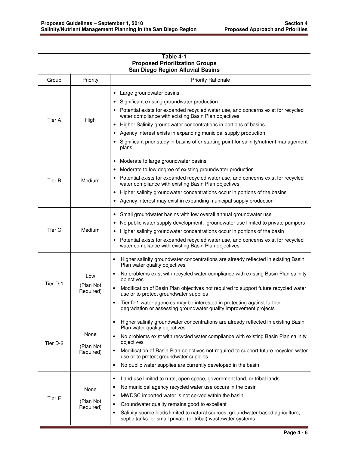| Table 4-1<br><b>Proposed Prioritization Groups</b><br><b>San Diego Region Alluvial Basins</b> |                                |                                                                                                                                                                                                                                                                                                                                                                                                                                                                                                                                         |
|-----------------------------------------------------------------------------------------------|--------------------------------|-----------------------------------------------------------------------------------------------------------------------------------------------------------------------------------------------------------------------------------------------------------------------------------------------------------------------------------------------------------------------------------------------------------------------------------------------------------------------------------------------------------------------------------------|
| Group                                                                                         | Priority                       | <b>Priority Rationale</b>                                                                                                                                                                                                                                                                                                                                                                                                                                                                                                               |
| Tier A                                                                                        | High                           | • Large groundwater basins<br>Significant existing groundwater production<br>Potential exists for expanded recycled water use, and concerns exist for recycled<br>water compliance with existing Basin Plan objectives<br>Higher Salinity groundwater concentrations in portions of basins<br>Agency interest exists in expanding municipal supply production<br>Significant prior study in basins offer starting point for salinity/nutrient management<br>plans                                                                       |
| Tier B                                                                                        | Medium                         | Moderate to large groundwater basins<br>٠<br>Moderate to low degree of existing groundwater production<br>Potential exists for expanded recycled water use, and concerns exist for recycled<br>water compliance with existing Basin Plan objectives<br>Higher salinity groundwater concentrations occur in portions of the basins<br>$\bullet$<br>Agency interest may exist in expanding municipal supply production                                                                                                                    |
| Tier <sub>C</sub>                                                                             | Medium                         | Small groundwater basins with low overall annual groundwater use<br>$\bullet$<br>No public water supply development; groundwater use limited to private pumpers<br>Higher salinity groundwater concentrations occur in portions of the basin<br>Potential exists for expanded recycled water use, and concerns exist for recycled<br>$\bullet$<br>water compliance with existing Basin Plan objectives                                                                                                                                  |
| Tier D-1                                                                                      | Low<br>(Plan Not<br>Required)  | Higher salinity groundwater concentrations are already reflected in existing Basin<br>٠<br>Plan water quality objectives<br>No problems exist with recycled water compliance with existing Basin Plan salinity<br>$\bullet$<br>objectives<br>Modification of Basin Plan objectives not required to support future recycled water<br>$\bullet$<br>use or to protect groundwater supplies<br>Tier D-1 water agencies may be interested in protecting against further<br>degradation or assessing groundwater quality improvement projects |
| Tier D-2                                                                                      | None<br>(Plan Not<br>Required) | Higher salinity groundwater concentrations are already reflected in existing Basin<br>$\bullet$<br>Plan water quality objectives<br>No problems exist with recycled water compliance with existing Basin Plan salinity<br>$\bullet$<br>objectives<br>Modification of Basin Plan objectives not required to support future recycled water<br>$\bullet$<br>use or to protect groundwater supplies<br>No public water supplies are currently developed in the basin<br>$\bullet$                                                           |
| Tier E                                                                                        | None<br>(Plan Not<br>Required) | Land use limited to rural, open space, government land, or tribal lands<br>$\bullet$<br>No municipal agency recycled water use occurs in the basin<br>$\bullet$<br>MWDSC imported water is not served within the basin<br>$\bullet$<br>Groundwater quality remains good to excellent<br>٠<br>Salinity source loads limited to natural sources, groundwater-based agriculture,<br>$\bullet$<br>septic tanks, or small private (or tribal) wastewater systems                                                                             |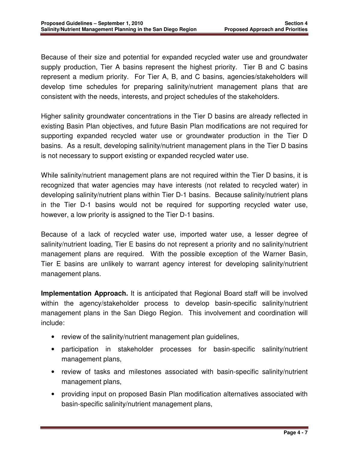Because of their size and potential for expanded recycled water use and groundwater supply production, Tier A basins represent the highest priority. Tier B and C basins represent a medium priority. For Tier A, B, and C basins, agencies/stakeholders will develop time schedules for preparing salinity/nutrient management plans that are consistent with the needs, interests, and project schedules of the stakeholders.

Higher salinity groundwater concentrations in the Tier D basins are already reflected in existing Basin Plan objectives, and future Basin Plan modifications are not required for supporting expanded recycled water use or groundwater production in the Tier D basins. As a result, developing salinity/nutrient management plans in the Tier D basins is not necessary to support existing or expanded recycled water use.

While salinity/nutrient management plans are not required within the Tier D basins, it is recognized that water agencies may have interests (not related to recycled water) in developing salinity/nutrient plans within Tier D-1 basins. Because salinity/nutrient plans in the Tier D-1 basins would not be required for supporting recycled water use, however, a low priority is assigned to the Tier D-1 basins.

Because of a lack of recycled water use, imported water use, a lesser degree of salinity/nutrient loading, Tier E basins do not represent a priority and no salinity/nutrient management plans are required. With the possible exception of the Warner Basin, Tier E basins are unlikely to warrant agency interest for developing salinity/nutrient management plans.

**Implementation Approach.** It is anticipated that Regional Board staff will be involved within the agency/stakeholder process to develop basin-specific salinity/nutrient management plans in the San Diego Region. This involvement and coordination will include:

- review of the salinity/nutrient management plan quidelines,
- participation in stakeholder processes for basin-specific salinity/nutrient management plans,
- review of tasks and milestones associated with basin-specific salinity/nutrient management plans,
- providing input on proposed Basin Plan modification alternatives associated with basin-specific salinity/nutrient management plans,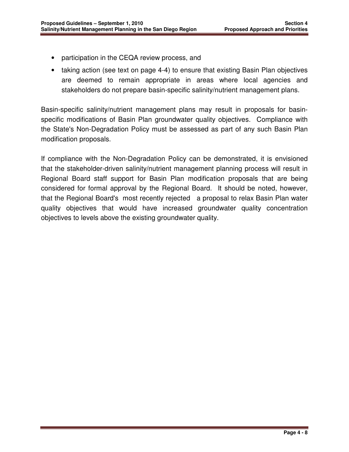- participation in the CEQA review process, and
- taking action (see text on page 4-4) to ensure that existing Basin Plan objectives are deemed to remain appropriate in areas where local agencies and stakeholders do not prepare basin-specific salinity/nutrient management plans.

Basin-specific salinity/nutrient management plans may result in proposals for basinspecific modifications of Basin Plan groundwater quality objectives. Compliance with the State's Non-Degradation Policy must be assessed as part of any such Basin Plan modification proposals.

If compliance with the Non-Degradation Policy can be demonstrated, it is envisioned that the stakeholder-driven salinity/nutrient management planning process will result in Regional Board staff support for Basin Plan modification proposals that are being considered for formal approval by the Regional Board. It should be noted, however, that the Regional Board's most recently rejected a proposal to relax Basin Plan water quality objectives that would have increased groundwater quality concentration objectives to levels above the existing groundwater quality.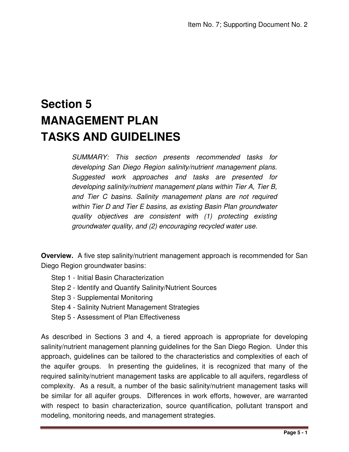# **Section 5 MANAGEMENT PLAN TASKS AND GUIDELINES**

SUMMARY: This section presents recommended tasks for developing San Diego Region salinity/nutrient management plans. Suggested work approaches and tasks are presented for developing salinity/nutrient management plans within Tier A, Tier B, and Tier C basins. Salinity management plans are not required within Tier D and Tier E basins, as existing Basin Plan groundwater quality objectives are consistent with (1) protecting existing groundwater quality, and (2) encouraging recycled water use.

**Overview.** A five step salinity/nutrient management approach is recommended for San Diego Region groundwater basins:

- Step 1 Initial Basin Characterization
- Step 2 Identify and Quantify Salinity/Nutrient Sources
- Step 3 Supplemental Monitoring
- Step 4 Salinity Nutrient Management Strategies
- Step 5 Assessment of Plan Effectiveness

As described in Sections 3 and 4, a tiered approach is appropriate for developing salinity/nutrient management planning guidelines for the San Diego Region. Under this approach, guidelines can be tailored to the characteristics and complexities of each of the aquifer groups. In presenting the guidelines, it is recognized that many of the required salinity/nutrient management tasks are applicable to all aquifers, regardless of complexity. As a result, a number of the basic salinity/nutrient management tasks will be similar for all aquifer groups. Differences in work efforts, however, are warranted with respect to basin characterization, source quantification, pollutant transport and modeling, monitoring needs, and management strategies.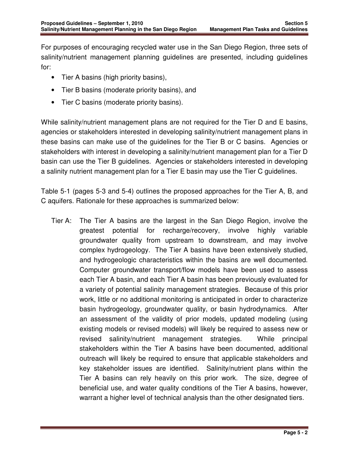For purposes of encouraging recycled water use in the San Diego Region, three sets of salinity/nutrient management planning guidelines are presented, including guidelines for:

- Tier A basins (high priority basins),
- Tier B basins (moderate priority basins), and
- Tier C basins (moderate priority basins).

While salinity/nutrient management plans are not required for the Tier D and E basins, agencies or stakeholders interested in developing salinity/nutrient management plans in these basins can make use of the guidelines for the Tier B or C basins. Agencies or stakeholders with interest in developing a salinity/nutrient management plan for a Tier D basin can use the Tier B guidelines. Agencies or stakeholders interested in developing a salinity nutrient management plan for a Tier E basin may use the Tier C guidelines.

Table 5-1 (pages 5-3 and 5-4) outlines the proposed approaches for the Tier A, B, and C aquifers. Rationale for these approaches is summarized below:

Tier A: The Tier A basins are the largest in the San Diego Region, involve the greatest potential for recharge/recovery, involve highly variable groundwater quality from upstream to downstream, and may involve complex hydrogeology. The Tier A basins have been extensively studied, and hydrogeologic characteristics within the basins are well documented. Computer groundwater transport/flow models have been used to assess each Tier A basin, and each Tier A basin has been previously evaluated for a variety of potential salinity management strategies. Because of this prior work, little or no additional monitoring is anticipated in order to characterize basin hydrogeology, groundwater quality, or basin hydrodynamics. After an assessment of the validity of prior models, updated modeling (using existing models or revised models) will likely be required to assess new or revised salinity/nutrient management strategies. While principal stakeholders within the Tier A basins have been documented, additional outreach will likely be required to ensure that applicable stakeholders and key stakeholder issues are identified. Salinity/nutrient plans within the Tier A basins can rely heavily on this prior work. The size, degree of beneficial use, and water quality conditions of the Tier A basins, however, warrant a higher level of technical analysis than the other designated tiers.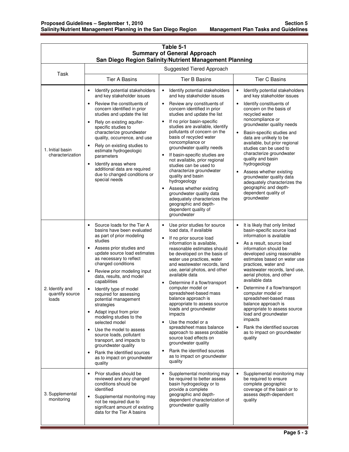| Table 5-1<br><b>Summary of General Approach</b><br>San Diego Region Salinity/Nutrient Management Planning |                                                                                                                                                                                                                                                                                                                                                                                                                                                                                                                                                                                                                                                                                                                                          |                                                                                                                                                                                                                                                                                                                                                                                                                                                                                                                                                                                                                                                                                                                 |                                                                                                                                                                                                                                                                                                                                                                                                                                                                                                                                                                                         |
|-----------------------------------------------------------------------------------------------------------|------------------------------------------------------------------------------------------------------------------------------------------------------------------------------------------------------------------------------------------------------------------------------------------------------------------------------------------------------------------------------------------------------------------------------------------------------------------------------------------------------------------------------------------------------------------------------------------------------------------------------------------------------------------------------------------------------------------------------------------|-----------------------------------------------------------------------------------------------------------------------------------------------------------------------------------------------------------------------------------------------------------------------------------------------------------------------------------------------------------------------------------------------------------------------------------------------------------------------------------------------------------------------------------------------------------------------------------------------------------------------------------------------------------------------------------------------------------------|-----------------------------------------------------------------------------------------------------------------------------------------------------------------------------------------------------------------------------------------------------------------------------------------------------------------------------------------------------------------------------------------------------------------------------------------------------------------------------------------------------------------------------------------------------------------------------------------|
| Suggested Tiered Approach                                                                                 |                                                                                                                                                                                                                                                                                                                                                                                                                                                                                                                                                                                                                                                                                                                                          |                                                                                                                                                                                                                                                                                                                                                                                                                                                                                                                                                                                                                                                                                                                 |                                                                                                                                                                                                                                                                                                                                                                                                                                                                                                                                                                                         |
| Task                                                                                                      | <b>Tier A Basins</b>                                                                                                                                                                                                                                                                                                                                                                                                                                                                                                                                                                                                                                                                                                                     | <b>Tier B Basins</b>                                                                                                                                                                                                                                                                                                                                                                                                                                                                                                                                                                                                                                                                                            | <b>Tier C Basins</b>                                                                                                                                                                                                                                                                                                                                                                                                                                                                                                                                                                    |
| 1. Initial basin<br>characterization                                                                      | Identify potential stakeholders<br>$\bullet$<br>and key stakeholder issues<br>Review the constituents of<br>$\bullet$<br>concern identified in prior<br>studies and update the list<br>Rely on existing aquifer-<br>$\bullet$<br>specific studies to<br>characterize groundwater<br>quality, occurrence, and use<br>Rely on existing studies to<br>$\bullet$<br>estimate hydrogeologic<br>parameters<br>Identify areas where<br>$\bullet$<br>additional data are required<br>due to changed conditions or<br>special needs                                                                                                                                                                                                               | Identify potential stakeholders<br>$\bullet$<br>and key stakeholder issues<br>Review any constituents of<br>$\bullet$<br>concern identified in prior<br>studies and update the list<br>If no prior basin-specific<br>studies are available, identify<br>pollutants of concern on the<br>basis of recycled water<br>noncompliance or<br>groundwater quality needs<br>If basin-specific studies are<br>$\bullet$<br>not available, prior regional<br>studies can be used to<br>characterize groundwater<br>quality and basin<br>hydrogeology<br>Assess whether existing<br>$\bullet$<br>groundwater quality data<br>adequately characterizes the<br>geographic and depth-<br>dependent quality of<br>groundwater  | Identify potential stakeholders<br>$\bullet$<br>and key stakeholder issues<br>$\bullet$<br>Identify constituents of<br>concern on the basis of<br>recycled water<br>noncompliance or<br>groundwater quality needs<br>Basin-specific studies and<br>$\bullet$<br>data are unlikely to be<br>available, but prior regional<br>studies can be used to<br>characterize groundwater<br>quality and basin<br>hydrogeology<br>Assess whether existing<br>$\bullet$<br>groundwater quality data<br>adequately characterizes the<br>geographic and depth-<br>dependent quality of<br>groundwater |
| 2. Identify and<br>quantify source<br>loads                                                               | Source loads for the Tier A<br>$\bullet$<br>basins have been evaluated<br>as part of prior modeling<br>studies<br>Assess prior studies and<br>$\bullet$<br>update source load estimates<br>as necessary to reflect<br>changed conditions<br>Review prior modeling input<br>$\bullet$<br>data, results, and model<br>capabilities<br>Identify type of model<br>$\bullet$<br>required for assessing<br>potential management<br>strategies<br>Adapt input from prior<br>$\bullet$<br>modeling studies to the<br>selected model<br>Use the model to assess<br>$\bullet$<br>source loads, pollutant<br>transport, and impacts to<br>groundwater quality<br>Rank the identified sources<br>$\bullet$<br>as to impact on groundwater<br>quality | Use prior studies for source<br>$\bullet$<br>load data, if available<br>If no prior source load<br>$\bullet$<br>information is available.<br>reasonable estimates should<br>be developed on the basis of<br>water use practices, water<br>and wastewater records, land<br>use, aerial photos, and other<br>available data<br>Determine if a flow/transport<br>computer model or<br>spreadsheet-based mass<br>balance approach is<br>appropriate to assess source<br>loads and groundwater<br>impacts<br>Use the model or a<br>spreadsheet mass balance<br>approach to assess probable<br>source load effects on<br>groundwater quality<br>Rank the identified sources<br>as to impact on groundwater<br>quality | It is likely that only limited<br>basin-specific source load<br>information is available<br>As a result, source load<br>$\bullet$<br>information should be<br>developed using reasonable<br>estimates based on water use<br>practices, water and<br>wastewater records, land use,<br>aerial photos, and other<br>available data<br>Determine if a flow/transport<br>computer model or<br>spreadsheet-based mass<br>balance approach is<br>appropriate to assess source<br>load and groundwater<br>impacts<br>Rank the identified sources<br>as to impact on groundwater<br>quality      |
| 3. Supplemental<br>monitoring                                                                             | Prior studies should be<br>$\bullet$<br>reviewed and any changed<br>conditions should be<br>identified<br>Supplemental monitoring may<br>$\bullet$<br>not be required due to<br>significant amount of existing<br>data for the Tier A basins                                                                                                                                                                                                                                                                                                                                                                                                                                                                                             | Supplemental monitoring may<br>$\bullet$<br>be required to better assess<br>basin hydrogeology or to<br>provide a complete<br>geographic and depth-<br>dependent characterization of<br>groundwater quality                                                                                                                                                                                                                                                                                                                                                                                                                                                                                                     | Supplemental monitoring may<br>$\bullet$<br>be required to ensure<br>complete geographic<br>coverage of the basin or to<br>assess depth-dependent<br>quality                                                                                                                                                                                                                                                                                                                                                                                                                            |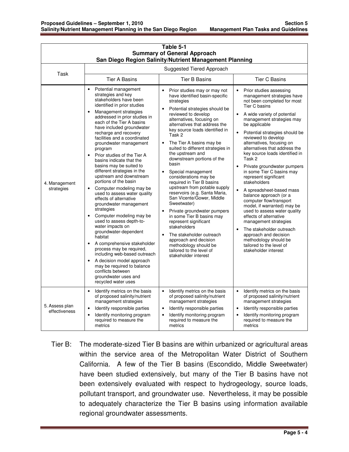| Table 5-1<br><b>Summary of General Approach</b><br>San Diego Region Salinity/Nutrient Management Planning |                                                                                                                                                                                                                                                                                                                                                                                                                                                                                                                                                                                                                                                                                                                                                                                                                                                                                                                                                                                                                                         |                                                                                                                                                                                                                                                                                                                                                                                                                                                                                                                                                                                                                                                                                                                                                                                                                                                                 |                                                                                                                                                                                                                                                                                                                                                                                                                                                                                                                                                                                                                                                                                                                                                                                                                                                                               |
|-----------------------------------------------------------------------------------------------------------|-----------------------------------------------------------------------------------------------------------------------------------------------------------------------------------------------------------------------------------------------------------------------------------------------------------------------------------------------------------------------------------------------------------------------------------------------------------------------------------------------------------------------------------------------------------------------------------------------------------------------------------------------------------------------------------------------------------------------------------------------------------------------------------------------------------------------------------------------------------------------------------------------------------------------------------------------------------------------------------------------------------------------------------------|-----------------------------------------------------------------------------------------------------------------------------------------------------------------------------------------------------------------------------------------------------------------------------------------------------------------------------------------------------------------------------------------------------------------------------------------------------------------------------------------------------------------------------------------------------------------------------------------------------------------------------------------------------------------------------------------------------------------------------------------------------------------------------------------------------------------------------------------------------------------|-------------------------------------------------------------------------------------------------------------------------------------------------------------------------------------------------------------------------------------------------------------------------------------------------------------------------------------------------------------------------------------------------------------------------------------------------------------------------------------------------------------------------------------------------------------------------------------------------------------------------------------------------------------------------------------------------------------------------------------------------------------------------------------------------------------------------------------------------------------------------------|
| Suggested Tiered Approach<br>Task                                                                         |                                                                                                                                                                                                                                                                                                                                                                                                                                                                                                                                                                                                                                                                                                                                                                                                                                                                                                                                                                                                                                         |                                                                                                                                                                                                                                                                                                                                                                                                                                                                                                                                                                                                                                                                                                                                                                                                                                                                 |                                                                                                                                                                                                                                                                                                                                                                                                                                                                                                                                                                                                                                                                                                                                                                                                                                                                               |
|                                                                                                           | <b>Tier A Basins</b>                                                                                                                                                                                                                                                                                                                                                                                                                                                                                                                                                                                                                                                                                                                                                                                                                                                                                                                                                                                                                    | <b>Tier B Basins</b>                                                                                                                                                                                                                                                                                                                                                                                                                                                                                                                                                                                                                                                                                                                                                                                                                                            | <b>Tier C Basins</b>                                                                                                                                                                                                                                                                                                                                                                                                                                                                                                                                                                                                                                                                                                                                                                                                                                                          |
| 4. Management<br>strategies                                                                               | Potential management<br>$\bullet$<br>strategies and key<br>stakeholders have been<br>identified in prior studies<br>Management strategies<br>$\bullet$<br>addressed in prior studies in<br>each of the Tier A basins<br>have included groundwater<br>recharge and recovery<br>facilities and a coordinated<br>groundwater management<br>program<br>Prior studies of the Tier A<br>basins indicate that the<br>basins may be suited to<br>different strategies in the<br>upstream and downstream<br>portions of the basin<br>Computer modeling may be<br>$\bullet$<br>used to assess water quality<br>effects of alternative<br>groundwater management<br>strategies<br>Computer modeling may be<br>$\bullet$<br>used to assess depth-to-<br>water impacts on<br>groundwater-dependent<br>habitat<br>A comprehensive stakeholder<br>process may be required,<br>including web-based outreach<br>A decision model approach<br>$\bullet$<br>may be required to balance<br>conflicts between<br>groundwater uses and<br>recycled water uses | Prior studies may or may not<br>have identified basin-specific<br>strategies<br>Potential strategies should be<br>reviewed to develop<br>alternatives, focusing on<br>alternatives that address the<br>key source loads identified in<br>Task 2<br>The Tier A basins may be<br>$\bullet$<br>suited to different strategies in<br>the upstream and<br>downstream portions of the<br>basin<br>Special management<br>$\bullet$<br>considerations may be<br>required in Tier B basins<br>upstream from potable supply<br>reservoirs (e.g. Santa Maria,<br>San Vicente/Gower, Middle<br>Sweetwater)<br>Private groundwater pumpers<br>$\bullet$<br>in some Tier B basins may<br>represent significant<br>stakeholders<br>The stakeholder outreach<br>$\bullet$<br>approach and decision<br>methodology should be<br>tailored to the level of<br>stakeholder interest | Prior studies assessing<br>$\bullet$<br>management strategies have<br>not been completed for most<br>Tier C basins<br>A wide variety of potential<br>$\bullet$<br>management strategies may<br>be applicable<br>Potential strategies should be<br>$\bullet$<br>reviewed to develop<br>alternatives, focusing on<br>alternatives that address the<br>key source loads identified in<br>Task 2<br>Private groundwater pumpers<br>$\bullet$<br>in some Tier C basins may<br>represent significant<br>stakeholders<br>A spreadsheet-based mass<br>$\bullet$<br>balance approach (or a<br>computer flow/transport<br>model, if warranted) may be<br>used to assess water quality<br>effects of alternative<br>management strategies<br>The stakeholder outreach<br>$\bullet$<br>approach and decision<br>methodology should be<br>tailored to the level of<br>stakeholder interest |
| 5. Assess plan<br>effectiveness                                                                           | Identify metrics on the basis<br>$\bullet$<br>of proposed salinity/nutrient<br>management strategies<br>Identify responsible parties<br>$\bullet$<br>Identify monitoring program<br>$\bullet$<br>required to measure the<br>metrics                                                                                                                                                                                                                                                                                                                                                                                                                                                                                                                                                                                                                                                                                                                                                                                                     | Identify metrics on the basis<br>$\bullet$<br>of proposed salinity/nutrient<br>management strategies<br>Identify responsible parties<br>$\bullet$<br>Identify monitoring program<br>$\bullet$<br>required to measure the<br>metrics                                                                                                                                                                                                                                                                                                                                                                                                                                                                                                                                                                                                                             | Identify metrics on the basis<br>$\bullet$<br>of proposed salinity/nutrient<br>management strategies<br>Identify responsible parties<br>$\bullet$<br>Identify monitoring program<br>required to measure the<br>metrics                                                                                                                                                                                                                                                                                                                                                                                                                                                                                                                                                                                                                                                        |

Tier B: The moderate-sized Tier B basins are within urbanized or agricultural areas within the service area of the Metropolitan Water District of Southern California. A few of the Tier B basins (Escondido, Middle Sweetwater) have been studied extensively, but many of the Tier B basins have not been extensively evaluated with respect to hydrogeology, source loads, pollutant transport, and groundwater use. Nevertheless, it may be possible to adequately characterize the Tier B basins using information available regional groundwater assessments.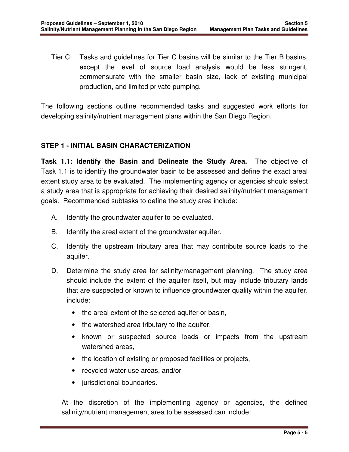Tier C: Tasks and guidelines for Tier C basins will be similar to the Tier B basins, except the level of source load analysis would be less stringent, commensurate with the smaller basin size, lack of existing municipal production, and limited private pumping.

The following sections outline recommended tasks and suggested work efforts for developing salinity/nutrient management plans within the San Diego Region.

## **STEP 1 - INITIAL BASIN CHARACTERIZATION**

**Task 1.1: Identify the Basin and Delineate the Study Area.** The objective of Task 1.1 is to identify the groundwater basin to be assessed and define the exact areal extent study area to be evaluated. The implementing agency or agencies should select a study area that is appropriate for achieving their desired salinity/nutrient management goals. Recommended subtasks to define the study area include:

- A. Identify the groundwater aquifer to be evaluated.
- B. Identify the areal extent of the groundwater aquifer.
- C. Identify the upstream tributary area that may contribute source loads to the aquifer.
- D. Determine the study area for salinity/management planning. The study area should include the extent of the aquifer itself, but may include tributary lands that are suspected or known to influence groundwater quality within the aquifer. include:
	- the areal extent of the selected aquifer or basin,
	- the watershed area tributary to the aquifer,
	- known or suspected source loads or impacts from the upstream watershed areas,
	- the location of existing or proposed facilities or projects,
	- recycled water use areas, and/or
	- jurisdictional boundaries.

At the discretion of the implementing agency or agencies, the defined salinity/nutrient management area to be assessed can include: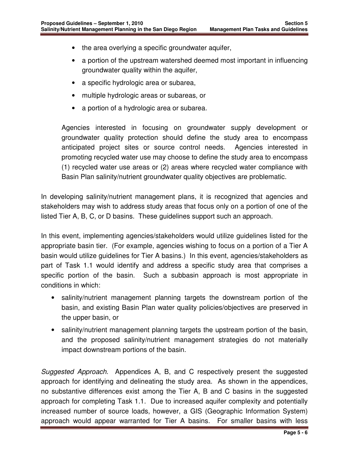- the area overlying a specific groundwater aquifer,
- a portion of the upstream watershed deemed most important in influencing groundwater quality within the aquifer,
- a specific hydrologic area or subarea,
- multiple hydrologic areas or subareas, or
- a portion of a hydrologic area or subarea.

Agencies interested in focusing on groundwater supply development or groundwater quality protection should define the study area to encompass anticipated project sites or source control needs. Agencies interested in promoting recycled water use may choose to define the study area to encompass (1) recycled water use areas or (2) areas where recycled water compliance with Basin Plan salinity/nutrient groundwater quality objectives are problematic.

In developing salinity/nutrient management plans, it is recognized that agencies and stakeholders may wish to address study areas that focus only on a portion of one of the listed Tier A, B, C, or D basins. These guidelines support such an approach.

In this event, implementing agencies/stakeholders would utilize guidelines listed for the appropriate basin tier. (For example, agencies wishing to focus on a portion of a Tier A basin would utilize guidelines for Tier A basins.) In this event, agencies/stakeholders as part of Task 1.1 would identify and address a specific study area that comprises a specific portion of the basin. Such a subbasin approach is most appropriate in conditions in which:

- salinity/nutrient management planning targets the downstream portion of the basin, and existing Basin Plan water quality policies/objectives are preserved in the upper basin, or
- salinity/nutrient management planning targets the upstream portion of the basin, and the proposed salinity/nutrient management strategies do not materially impact downstream portions of the basin.

Suggested Approach. Appendices A, B, and C respectively present the suggested approach for identifying and delineating the study area. As shown in the appendices, no substantive differences exist among the Tier A, B and C basins in the suggested approach for completing Task 1.1. Due to increased aquifer complexity and potentially increased number of source loads, however, a GIS (Geographic Information System) approach would appear warranted for Tier A basins. For smaller basins with less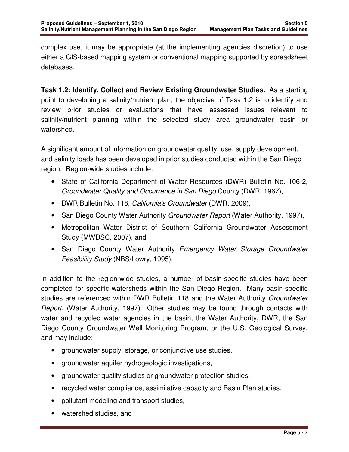complex use, it may be appropriate (at the implementing agencies discretion) to use either a GIS-based mapping system or conventional mapping supported by spreadsheet databases.

**Task 1.2: Identify, Collect and Review Existing Groundwater Studies.** As a starting point to developing a salinity/nutrient plan, the objective of Task 1.2 is to identify and review prior studies or evaluations that have assessed issues relevant to salinity/nutrient planning within the selected study area groundwater basin or watershed.

A significant amount of information on groundwater quality, use, supply development, and salinity loads has been developed in prior studies conducted within the San Diego region. Region-wide studies include:

- State of California Department of Water Resources (DWR) Bulletin No. 106-2, Groundwater Quality and Occurrence in San Diego County (DWR, 1967),
- DWR Bulletin No. 118, California's Groundwater (DWR, 2009),
- San Diego County Water Authority Groundwater Report (Water Authority, 1997),
- Metropolitan Water District of Southern California Groundwater Assessment Study (MWDSC, 2007), and
- San Diego County Water Authority Emergency Water Storage Groundwater Feasibility Study (NBS/Lowry, 1995).

In addition to the region-wide studies, a number of basin-specific studies have been completed for specific watersheds within the San Diego Region. Many basin-specific studies are referenced within DWR Bulletin 118 and the Water Authority Groundwater Report. (Water Authority, 1997) Other studies may be found through contacts with water and recycled water agencies in the basin, the Water Authority, DWR, the San Diego County Groundwater Well Monitoring Program, or the U.S. Geological Survey, and may include:

- groundwater supply, storage, or conjunctive use studies,
- groundwater aquifer hydrogeologic investigations,
- groundwater quality studies or groundwater protection studies,
- recycled water compliance, assimilative capacity and Basin Plan studies,
- pollutant modeling and transport studies,
- watershed studies, and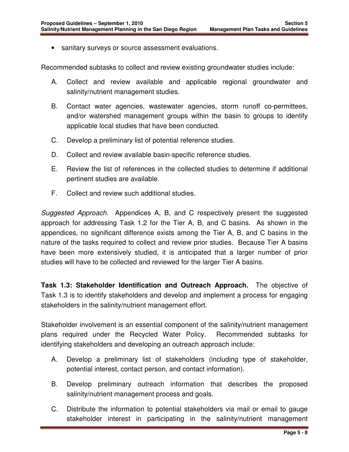• sanitary surveys or source assessment evaluations.

Recommended subtasks to collect and review existing groundwater studies include:

- A. Collect and review available and applicable regional groundwater and salinity/nutrient management studies.
- B. Contact water agencies, wastewater agencies, storm runoff co-permittees, and/or watershed management groups within the basin to groups to identify applicable local studies that have been conducted.
- C. Develop a preliminary list of potential reference studies.
- D. Collect and review available basin-specific reference studies.
- E. Review the list of references in the collected studies to determine if additional pertinent studies are available.
- F. Collect and review such additional studies.

Suggested Approach. Appendices A, B, and C respectively present the suggested approach for addressing Task 1.2 for the Tier A, B, and C basins. As shown in the appendices, no significant difference exists among the Tier A, B, and C basins in the nature of the tasks required to collect and review prior studies. Because Tier A basins have been more extensively studied, it is anticipated that a larger number of prior studies will have to be collected and reviewed for the larger Tier A basins.

**Task 1.3: Stakeholder Identification and Outreach Approach.** The objective of Task 1.3 is to identify stakeholders and develop and implement a process for engaging stakeholders in the salinity/nutrient management effort.

Stakeholder involvement is an essential component of the salinity/nutrient management plans required under the Recycled Water Policy. Recommended subtasks for identifying stakeholders and developing an outreach approach include:

- A. Develop a preliminary list of stakeholders (including type of stakeholder, potential interest, contact person, and contact information).
- B. Develop preliminary outreach information that describes the proposed salinity/nutrient management process and goals.
- C. Distribute the information to potential stakeholders via mail or email to gauge stakeholder interest in participating in the salinity/nutrient management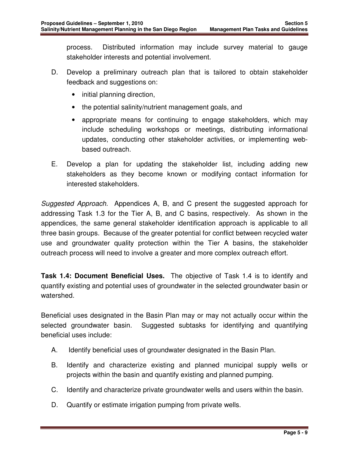process. Distributed information may include survey material to gauge stakeholder interests and potential involvement.

- D. Develop a preliminary outreach plan that is tailored to obtain stakeholder feedback and suggestions on:
	- initial planning direction,
	- the potential salinity/nutrient management goals, and
	- appropriate means for continuing to engage stakeholders, which may include scheduling workshops or meetings, distributing informational updates, conducting other stakeholder activities, or implementing webbased outreach.
- E. Develop a plan for updating the stakeholder list, including adding new stakeholders as they become known or modifying contact information for interested stakeholders.

Suggested Approach. Appendices A, B, and C present the suggested approach for addressing Task 1.3 for the Tier A, B, and C basins, respectively. As shown in the appendices, the same general stakeholder identification approach is applicable to all three basin groups. Because of the greater potential for conflict between recycled water use and groundwater quality protection within the Tier A basins, the stakeholder outreach process will need to involve a greater and more complex outreach effort.

**Task 1.4: Document Beneficial Uses.** The objective of Task 1.4 is to identify and quantify existing and potential uses of groundwater in the selected groundwater basin or watershed.

Beneficial uses designated in the Basin Plan may or may not actually occur within the selected groundwater basin. Suggested subtasks for identifying and quantifying beneficial uses include:

- A. Identify beneficial uses of groundwater designated in the Basin Plan.
- B. Identify and characterize existing and planned municipal supply wells or projects within the basin and quantify existing and planned pumping.
- C. Identify and characterize private groundwater wells and users within the basin.
- D. Quantify or estimate irrigation pumping from private wells.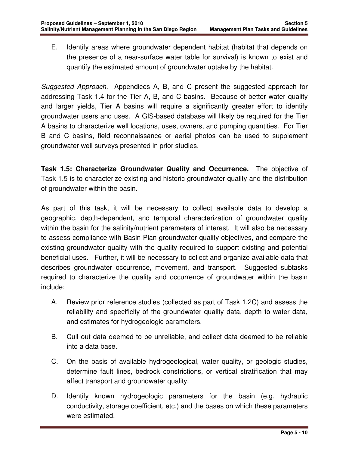E. Identify areas where groundwater dependent habitat (habitat that depends on the presence of a near-surface water table for survival) is known to exist and quantify the estimated amount of groundwater uptake by the habitat.

Suggested Approach. Appendices A, B, and C present the suggested approach for addressing Task 1.4 for the Tier A, B, and C basins. Because of better water quality and larger yields, Tier A basins will require a significantly greater effort to identify groundwater users and uses. A GIS-based database will likely be required for the Tier A basins to characterize well locations, uses, owners, and pumping quantities. For Tier B and C basins, field reconnaissance or aerial photos can be used to supplement groundwater well surveys presented in prior studies.

**Task 1.5: Characterize Groundwater Quality and Occurrence.** The objective of Task 1.5 is to characterize existing and historic groundwater quality and the distribution of groundwater within the basin.

As part of this task, it will be necessary to collect available data to develop a geographic, depth-dependent, and temporal characterization of groundwater quality within the basin for the salinity/nutrient parameters of interest. It will also be necessary to assess compliance with Basin Plan groundwater quality objectives, and compare the existing groundwater quality with the quality required to support existing and potential beneficial uses. Further, it will be necessary to collect and organize available data that describes groundwater occurrence, movement, and transport. Suggested subtasks required to characterize the quality and occurrence of groundwater within the basin include:

- A. Review prior reference studies (collected as part of Task 1.2C) and assess the reliability and specificity of the groundwater quality data, depth to water data, and estimates for hydrogeologic parameters.
- B. Cull out data deemed to be unreliable, and collect data deemed to be reliable into a data base.
- C. On the basis of available hydrogeological, water quality, or geologic studies, determine fault lines, bedrock constrictions, or vertical stratification that may affect transport and groundwater quality.
- D. Identify known hydrogeologic parameters for the basin (e.g. hydraulic conductivity, storage coefficient, etc.) and the bases on which these parameters were estimated.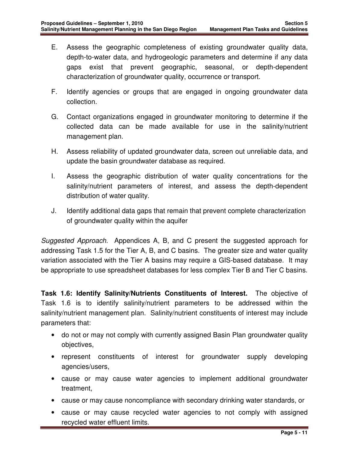- E. Assess the geographic completeness of existing groundwater quality data, depth-to-water data, and hydrogeologic parameters and determine if any data gaps exist that prevent geographic, seasonal, or depth-dependent characterization of groundwater quality, occurrence or transport.
- F. Identify agencies or groups that are engaged in ongoing groundwater data collection.
- G. Contact organizations engaged in groundwater monitoring to determine if the collected data can be made available for use in the salinity/nutrient management plan.
- H. Assess reliability of updated groundwater data, screen out unreliable data, and update the basin groundwater database as required.
- I. Assess the geographic distribution of water quality concentrations for the salinity/nutrient parameters of interest, and assess the depth-dependent distribution of water quality.
- J. Identify additional data gaps that remain that prevent complete characterization of groundwater quality within the aquifer

Suggested Approach. Appendices A, B, and C present the suggested approach for addressing Task 1.5 for the Tier A, B, and C basins. The greater size and water quality variation associated with the Tier A basins may require a GIS-based database. It may be appropriate to use spreadsheet databases for less complex Tier B and Tier C basins.

**Task 1.6: Identify Salinity/Nutrients Constituents of Interest.** The objective of Task 1.6 is to identify salinity/nutrient parameters to be addressed within the salinity/nutrient management plan. Salinity/nutrient constituents of interest may include parameters that:

- do not or may not comply with currently assigned Basin Plan groundwater quality objectives,
- represent constituents of interest for groundwater supply developing agencies/users,
- cause or may cause water agencies to implement additional groundwater treatment,
- cause or may cause noncompliance with secondary drinking water standards, or
- cause or may cause recycled water agencies to not comply with assigned recycled water effluent limits.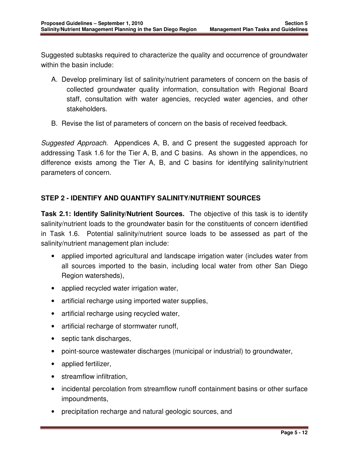Suggested subtasks required to characterize the quality and occurrence of groundwater within the basin include:

- A. Develop preliminary list of salinity/nutrient parameters of concern on the basis of collected groundwater quality information, consultation with Regional Board staff, consultation with water agencies, recycled water agencies, and other stakeholders.
- B. Revise the list of parameters of concern on the basis of received feedback.

Suggested Approach. Appendices A, B, and C present the suggested approach for addressing Task 1.6 for the Tier A, B, and C basins. As shown in the appendices, no difference exists among the Tier A, B, and C basins for identifying salinity/nutrient parameters of concern.

#### **STEP 2 - IDENTIFY AND QUANTIFY SALINITY/NUTRIENT SOURCES**

**Task 2.1: Identify Salinity/Nutrient Sources.** The objective of this task is to identify salinity/nutrient loads to the groundwater basin for the constituents of concern identified in Task 1.6. Potential salinity/nutrient source loads to be assessed as part of the salinity/nutrient management plan include:

- applied imported agricultural and landscape irrigation water (includes water from all sources imported to the basin, including local water from other San Diego Region watersheds),
- applied recycled water irrigation water,
- artificial recharge using imported water supplies,
- artificial recharge using recycled water,
- artificial recharge of stormwater runoff,
- septic tank discharges,
- point-source wastewater discharges (municipal or industrial) to groundwater,
- applied fertilizer,
- streamflow infiltration,
- incidental percolation from streamflow runoff containment basins or other surface impoundments,
- precipitation recharge and natural geologic sources, and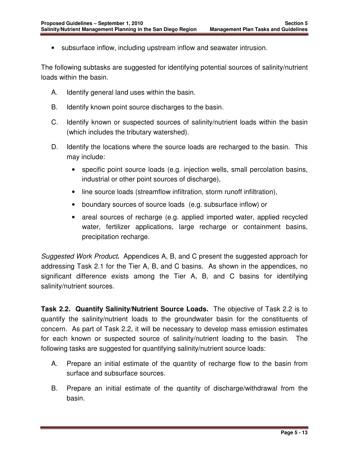• subsurface inflow, including upstream inflow and seawater intrusion.

The following subtasks are suggested for identifying potential sources of salinity/nutrient loads within the basin.

- A. Identify general land uses within the basin.
- B. Identify known point source discharges to the basin.
- C. Identify known or suspected sources of salinity/nutrient loads within the basin (which includes the tributary watershed).
- D. Identify the locations where the source loads are recharged to the basin. This may include:
	- specific point source loads (e.g. injection wells, small percolation basins, industrial or other point sources of discharge),
	- line source loads (streamflow infiltration, storm runoff infiltration),
	- boundary sources of source loads (e.g. subsurface inflow) or
	- areal sources of recharge (e.g. applied imported water, applied recycled water, fertilizer applications, large recharge or containment basins, precipitation recharge.

Suggested Work Product**.** Appendices A, B, and C present the suggested approach for addressing Task 2.1 for the Tier A, B, and C basins. As shown in the appendices, no significant difference exists among the Tier A, B, and C basins for identifying salinity/nutrient sources.

**Task 2.2. Quantify Salinity/Nutrient Source Loads.** The objective of Task 2.2 is to quantify the salinity/nutrient loads to the groundwater basin for the constituents of concern. As part of Task 2.2, it will be necessary to develop mass emission estimates for each known or suspected source of salinity/nutrient loading to the basin. The following tasks are suggested for quantifying salinity/nutrient source loads:

- A. Prepare an initial estimate of the quantity of recharge flow to the basin from surface and subsurface sources.
- B. Prepare an initial estimate of the quantity of discharge/withdrawal from the basin.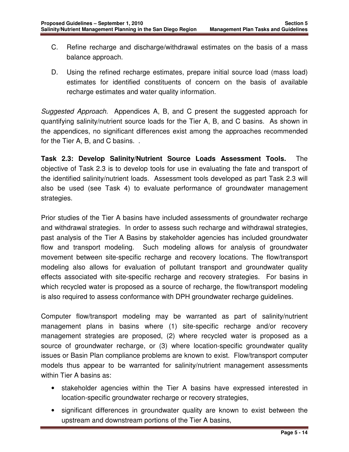- C. Refine recharge and discharge/withdrawal estimates on the basis of a mass balance approach.
- D. Using the refined recharge estimates, prepare initial source load (mass load) estimates for identified constituents of concern on the basis of available recharge estimates and water quality information.

Suggested Approach. Appendices A, B, and C present the suggested approach for quantifying salinity/nutrient source loads for the Tier A, B, and C basins. As shown in the appendices, no significant differences exist among the approaches recommended for the Tier A, B, and C basins. .

**Task 2.3: Develop Salinity/Nutrient Source Loads Assessment Tools.** The objective of Task 2.3 is to develop tools for use in evaluating the fate and transport of the identified salinity/nutrient loads. Assessment tools developed as part Task 2.3 will also be used (see Task 4) to evaluate performance of groundwater management strategies.

Prior studies of the Tier A basins have included assessments of groundwater recharge and withdrawal strategies. In order to assess such recharge and withdrawal strategies, past analysis of the Tier A Basins by stakeholder agencies has included groundwater flow and transport modeling. Such modeling allows for analysis of groundwater movement between site-specific recharge and recovery locations. The flow/transport modeling also allows for evaluation of pollutant transport and groundwater quality effects associated with site-specific recharge and recovery strategies. For basins in which recycled water is proposed as a source of recharge, the flow/transport modeling is also required to assess conformance with DPH groundwater recharge guidelines.

Computer flow/transport modeling may be warranted as part of salinity/nutrient management plans in basins where (1) site-specific recharge and/or recovery management strategies are proposed, (2) where recycled water is proposed as a source of groundwater recharge, or (3) where location-specific groundwater quality issues or Basin Plan compliance problems are known to exist. Flow/transport computer models thus appear to be warranted for salinity/nutrient management assessments within Tier A basins as:

- stakeholder agencies within the Tier A basins have expressed interested in location-specific groundwater recharge or recovery strategies,
- significant differences in groundwater quality are known to exist between the upstream and downstream portions of the Tier A basins,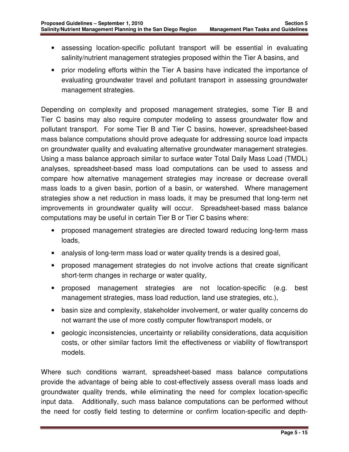- assessing location-specific pollutant transport will be essential in evaluating salinity/nutrient management strategies proposed within the Tier A basins, and
- prior modeling efforts within the Tier A basins have indicated the importance of evaluating groundwater travel and pollutant transport in assessing groundwater management strategies.

Depending on complexity and proposed management strategies, some Tier B and Tier C basins may also require computer modeling to assess groundwater flow and pollutant transport. For some Tier B and Tier C basins, however, spreadsheet-based mass balance computations should prove adequate for addressing source load impacts on groundwater quality and evaluating alternative groundwater management strategies. Using a mass balance approach similar to surface water Total Daily Mass Load (TMDL) analyses, spreadsheet-based mass load computations can be used to assess and compare how alternative management strategies may increase or decrease overall mass loads to a given basin, portion of a basin, or watershed. Where management strategies show a net reduction in mass loads, it may be presumed that long-term net improvements in groundwater quality will occur. Spreadsheet-based mass balance computations may be useful in certain Tier B or Tier C basins where:

- proposed management strategies are directed toward reducing long-term mass loads,
- analysis of long-term mass load or water quality trends is a desired goal,
- proposed management strategies do not involve actions that create significant short-term changes in recharge or water quality,
- proposed management strategies are not location-specific (e.g. best management strategies, mass load reduction, land use strategies, etc.),
- basin size and complexity, stakeholder involvement, or water quality concerns do not warrant the use of more costly computer flow/transport models, or
- geologic inconsistencies, uncertainty or reliability considerations, data acquisition costs, or other similar factors limit the effectiveness or viability of flow/transport models.

Where such conditions warrant, spreadsheet-based mass balance computations provide the advantage of being able to cost-effectively assess overall mass loads and groundwater quality trends, while eliminating the need for complex location-specific input data. Additionally, such mass balance computations can be performed without the need for costly field testing to determine or confirm location-specific and depth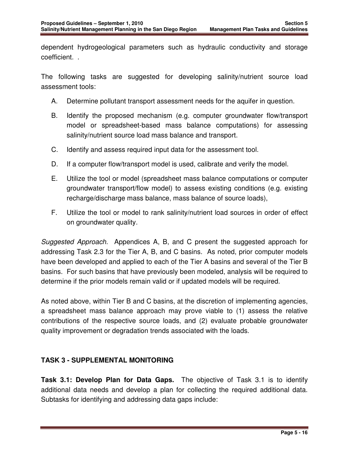dependent hydrogeological parameters such as hydraulic conductivity and storage coefficient. .

The following tasks are suggested for developing salinity/nutrient source load assessment tools:

- A. Determine pollutant transport assessment needs for the aquifer in question.
- B. Identify the proposed mechanism (e.g. computer groundwater flow/transport model or spreadsheet-based mass balance computations) for assessing salinity/nutrient source load mass balance and transport.
- C. Identify and assess required input data for the assessment tool.
- D. If a computer flow/transport model is used, calibrate and verify the model.
- E. Utilize the tool or model (spreadsheet mass balance computations or computer groundwater transport/flow model) to assess existing conditions (e.g. existing recharge/discharge mass balance, mass balance of source loads),
- F. Utilize the tool or model to rank salinity/nutrient load sources in order of effect on groundwater quality.

Suggested Approach. Appendices A, B, and C present the suggested approach for addressing Task 2.3 for the Tier A, B, and C basins. As noted, prior computer models have been developed and applied to each of the Tier A basins and several of the Tier B basins. For such basins that have previously been modeled, analysis will be required to determine if the prior models remain valid or if updated models will be required.

As noted above, within Tier B and C basins, at the discretion of implementing agencies, a spreadsheet mass balance approach may prove viable to (1) assess the relative contributions of the respective source loads, and (2) evaluate probable groundwater quality improvement or degradation trends associated with the loads.

## **TASK 3 - SUPPLEMENTAL MONITORING**

**Task 3.1: Develop Plan for Data Gaps.** The objective of Task 3.1 is to identify additional data needs and develop a plan for collecting the required additional data. Subtasks for identifying and addressing data gaps include: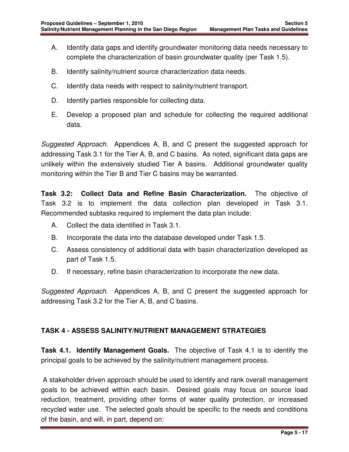- A. Identify data gaps and identify groundwater monitoring data needs necessary to complete the characterization of basin groundwater quality (per Task 1.5).
- B. Identify salinity/nutrient source characterization data needs.
- C. Identify data needs with respect to salinity/nutrient transport.
- D. Identify parties responsible for collecting data.
- E. Develop a proposed plan and schedule for collecting the required additional data.

Suggested Approach. Appendices A, B, and C present the suggested approach for addressing Task 3.1 for the Tier A, B, and C basins. As noted, significant data gaps are unlikely within the extensively studied Tier A basins. Additional groundwater quality monitoring within the Tier B and Tier C basins may be warranted.

**Task 3.2: Collect Data and Refine Basin Characterization.** The objective of Task 3.2 is to implement the data collection plan developed in Task 3.1. Recommended subtasks required to implement the data plan include:

- A. Collect the data identified in Task 3.1.
- B. Incorporate the data into the database developed under Task 1.5.
- C. Assess consistency of additional data with basin characterization developed as part of Task 1.5.
- D. If necessary, refine basin characterization to incorporate the new data.

Suggested Approach. Appendices A, B, and C present the suggested approach for addressing Task 3.2 for the Tier A, B, and C basins.

# **TASK 4 - ASSESS SALINITY/NUTRIENT MANAGEMENT STRATEGIES**

**Task 4.1. Identify Management Goals.** The objective of Task 4.1 is to identify the principal goals to be achieved by the salinity/nutrient management process.

 A stakeholder driven approach should be used to identify and rank overall management goals to be achieved within each basin. Desired goals may focus on source load reduction, treatment, providing other forms of water quality protection, or increased recycled water use. The selected goals should be specific to the needs and conditions of the basin, and will, in part, depend on: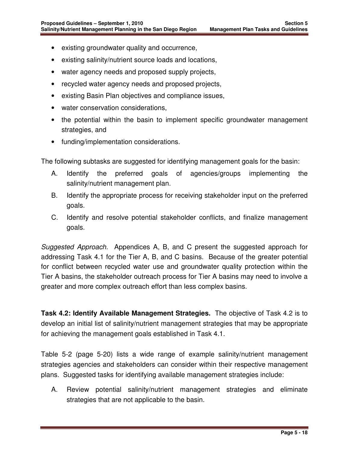- existing groundwater quality and occurrence,
- existing salinity/nutrient source loads and locations,
- water agency needs and proposed supply projects,
- recycled water agency needs and proposed projects,
- existing Basin Plan objectives and compliance issues,
- water conservation considerations,
- the potential within the basin to implement specific groundwater management strategies, and
- funding/implementation considerations.

The following subtasks are suggested for identifying management goals for the basin:

- A. Identify the preferred goals of agencies/groups implementing the salinity/nutrient management plan.
- B. Identify the appropriate process for receiving stakeholder input on the preferred goals.
- C. Identify and resolve potential stakeholder conflicts, and finalize management goals.

Suggested Approach. Appendices A, B, and C present the suggested approach for addressing Task 4.1 for the Tier A, B, and C basins. Because of the greater potential for conflict between recycled water use and groundwater quality protection within the Tier A basins, the stakeholder outreach process for Tier A basins may need to involve a greater and more complex outreach effort than less complex basins.

**Task 4.2: Identify Available Management Strategies.** The objective of Task 4.2 is to develop an initial list of salinity/nutrient management strategies that may be appropriate for achieving the management goals established in Task 4.1.

Table 5-2 (page 5-20) lists a wide range of example salinity/nutrient management strategies agencies and stakeholders can consider within their respective management plans. Suggested tasks for identifying available management strategies include:

A. Review potential salinity/nutrient management strategies and eliminate strategies that are not applicable to the basin.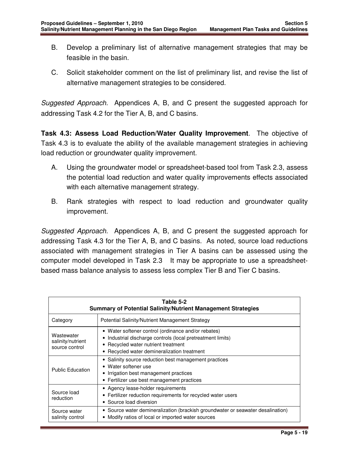- B. Develop a preliminary list of alternative management strategies that may be feasible in the basin.
- C. Solicit stakeholder comment on the list of preliminary list, and revise the list of alternative management strategies to be considered.

Suggested Approach. Appendices A, B, and C present the suggested approach for addressing Task 4.2 for the Tier A, B, and C basins.

**Task 4.3: Assess Load Reduction/Water Quality Improvement**. The objective of Task 4.3 is to evaluate the ability of the available management strategies in achieving load reduction or groundwater quality improvement.

- A. Using the groundwater model or spreadsheet-based tool from Task 2.3, assess the potential load reduction and water quality improvements effects associated with each alternative management strategy.
- B. Rank strategies with respect to load reduction and groundwater quality improvement.

Suggested Approach. Appendices A, B, and C present the suggested approach for addressing Task 4.3 for the Tier A, B, and C basins. As noted, source load reductions associated with management strategies in Tier A basins can be assessed using the computer model developed in Task 2.3 It may be appropriate to use a spreadsheetbased mass balance analysis to assess less complex Tier B and Tier C basins.

| Table 5-2<br><b>Summary of Potential Salinity/Nutrient Management Strategies</b>                                                                          |                                                                                                                                                                                                          |  |
|-----------------------------------------------------------------------------------------------------------------------------------------------------------|----------------------------------------------------------------------------------------------------------------------------------------------------------------------------------------------------------|--|
| Category                                                                                                                                                  | Potential Salinity/Nutrient Management Strategy                                                                                                                                                          |  |
| Wastewater<br>salinity/nutrient<br>source control                                                                                                         | • Water softener control (ordinance and/or rebates)<br>• Industrial discharge controls (local pretreatment limits)<br>• Recycled water nutrient treatment<br>• Recycled water demineralization treatment |  |
| <b>Public Education</b>                                                                                                                                   | • Salinity source reduction best management practices<br>• Water softener use<br>• Irrigation best management practices<br>• Fertilizer use best management practices                                    |  |
| • Agency lease-holder requirements<br>Source load<br>• Fertilizer reduction requirements for recycled water users<br>reduction<br>• Source load diversion |                                                                                                                                                                                                          |  |
| Source water<br>salinity control                                                                                                                          | • Source water demineralization (brackish groundwater or seawater desalination)<br>• Modify ratios of local or imported water sources                                                                    |  |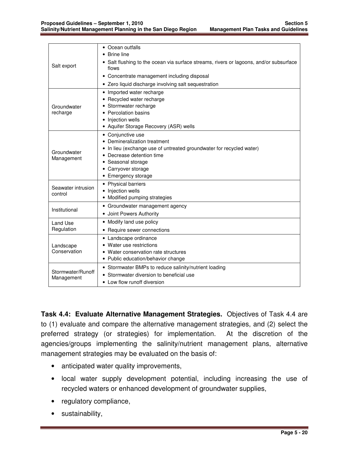|                                 | • Ocean outfalls                                                                                |  |  |
|---------------------------------|-------------------------------------------------------------------------------------------------|--|--|
|                                 | <b>Brine line</b>                                                                               |  |  |
| Salt export                     | • Salt flushing to the ocean via surface streams, rivers or lagoons, and/or subsurface<br>flows |  |  |
|                                 | • Concentrate management including disposal                                                     |  |  |
|                                 | • Zero liquid discharge involving salt sequestration                                            |  |  |
|                                 | • Imported water recharge                                                                       |  |  |
|                                 | • Recycled water recharge                                                                       |  |  |
| Groundwater                     | • Stormwater recharge                                                                           |  |  |
| recharge                        | • Percolation basins                                                                            |  |  |
|                                 | • Injection wells                                                                               |  |  |
|                                 | • Aquifer Storage Recovery (ASR) wells                                                          |  |  |
|                                 | • Conjunctive use                                                                               |  |  |
|                                 | • Demineralization treatment                                                                    |  |  |
| Groundwater                     | • In lieu (exchange use of untreated groundwater for recycled water)                            |  |  |
| Management                      | Decrease detention time                                                                         |  |  |
|                                 | • Seasonal storage                                                                              |  |  |
|                                 | • Carryover storage                                                                             |  |  |
|                                 | • Emergency storage                                                                             |  |  |
| Seawater intrusion              | • Physical barriers                                                                             |  |  |
| control                         | • Injection wells                                                                               |  |  |
|                                 | • Modified pumping strategies                                                                   |  |  |
| Institutional                   | • Groundwater management agency                                                                 |  |  |
|                                 | • Joint Powers Authority                                                                        |  |  |
| Land Use<br>Regulation          | • Modify land use policy                                                                        |  |  |
|                                 | • Require sewer connections                                                                     |  |  |
|                                 | • Landscape ordinance                                                                           |  |  |
| Landscape                       | • Water use restrictions                                                                        |  |  |
| Conservation                    | • Water conservation rate structures                                                            |  |  |
|                                 | • Public education/behavior change                                                              |  |  |
|                                 | • Stormwater BMPs to reduce salinity/nutrient loading                                           |  |  |
| Stormwater/Runoff<br>Management | • Stormwater diversion to beneficial use                                                        |  |  |
|                                 | • Low flow runoff diversion                                                                     |  |  |

**Task 4.4: Evaluate Alternative Management Strategies.** Objectives of Task 4.4 are to (1) evaluate and compare the alternative management strategies, and (2) select the preferred strategy (or strategies) for implementation. At the discretion of the agencies/groups implementing the salinity/nutrient management plans, alternative management strategies may be evaluated on the basis of:

- anticipated water quality improvements,
- local water supply development potential, including increasing the use of recycled waters or enhanced development of groundwater supplies,
- regulatory compliance,
- sustainability,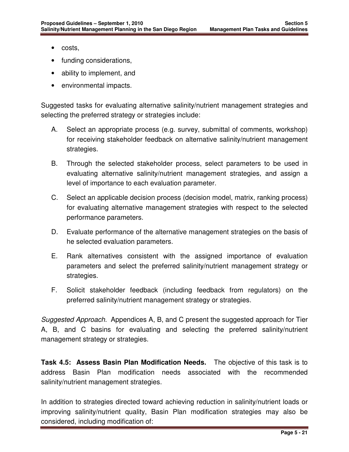- costs,
- funding considerations,
- ability to implement, and
- environmental impacts.

Suggested tasks for evaluating alternative salinity/nutrient management strategies and selecting the preferred strategy or strategies include:

- A. Select an appropriate process (e.g. survey, submittal of comments, workshop) for receiving stakeholder feedback on alternative salinity/nutrient management strategies.
- B. Through the selected stakeholder process, select parameters to be used in evaluating alternative salinity/nutrient management strategies, and assign a level of importance to each evaluation parameter.
- C. Select an applicable decision process (decision model, matrix, ranking process) for evaluating alternative management strategies with respect to the selected performance parameters.
- D. Evaluate performance of the alternative management strategies on the basis of he selected evaluation parameters.
- E. Rank alternatives consistent with the assigned importance of evaluation parameters and select the preferred salinity/nutrient management strategy or strategies.
- F. Solicit stakeholder feedback (including feedback from regulators) on the preferred salinity/nutrient management strategy or strategies.

Suggested Approach. Appendices A, B, and C present the suggested approach for Tier A, B, and C basins for evaluating and selecting the preferred salinity/nutrient management strategy or strategies.

**Task 4.5: Assess Basin Plan Modification Needs.** The objective of this task is to address Basin Plan modification needs associated with the recommended salinity/nutrient management strategies.

In addition to strategies directed toward achieving reduction in salinity/nutrient loads or improving salinity/nutrient quality, Basin Plan modification strategies may also be considered, including modification of: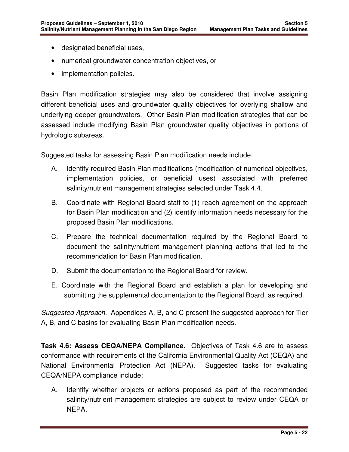- designated beneficial uses,
- numerical groundwater concentration objectives, or
- implementation policies.

Basin Plan modification strategies may also be considered that involve assigning different beneficial uses and groundwater quality objectives for overlying shallow and underlying deeper groundwaters. Other Basin Plan modification strategies that can be assessed include modifying Basin Plan groundwater quality objectives in portions of hydrologic subareas.

Suggested tasks for assessing Basin Plan modification needs include:

- A. Identify required Basin Plan modifications (modification of numerical objectives, implementation policies, or beneficial uses) associated with preferred salinity/nutrient management strategies selected under Task 4.4.
- B. Coordinate with Regional Board staff to (1) reach agreement on the approach for Basin Plan modification and (2) identify information needs necessary for the proposed Basin Plan modifications.
- C. Prepare the technical documentation required by the Regional Board to document the salinity/nutrient management planning actions that led to the recommendation for Basin Plan modification.
- D. Submit the documentation to the Regional Board for review.
- E. Coordinate with the Regional Board and establish a plan for developing and submitting the supplemental documentation to the Regional Board, as required.

Suggested Approach. Appendices A, B, and C present the suggested approach for Tier A, B, and C basins for evaluating Basin Plan modification needs.

**Task 4.6: Assess CEQA/NEPA Compliance.** Objectives of Task 4.6 are to assess conformance with requirements of the California Environmental Quality Act (CEQA) and National Environmental Protection Act (NEPA). Suggested tasks for evaluating CEQA/NEPA compliance include:

A. Identify whether projects or actions proposed as part of the recommended salinity/nutrient management strategies are subject to review under CEQA or NEPA.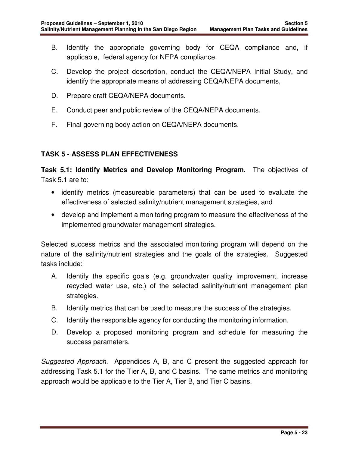- B. Identify the appropriate governing body for CEQA compliance and, if applicable, federal agency for NEPA compliance.
- C. Develop the project description, conduct the CEQA/NEPA Initial Study, and identify the appropriate means of addressing CEQA/NEPA documents,
- D. Prepare draft CEQA/NEPA documents.
- E. Conduct peer and public review of the CEQA/NEPA documents.
- F. Final governing body action on CEQA/NEPA documents.

## **TASK 5 - ASSESS PLAN EFFECTIVENESS**

**Task 5.1: Identify Metrics and Develop Monitoring Program.** The objectives of Task 5.1 are to:

- identify metrics (measureable parameters) that can be used to evaluate the effectiveness of selected salinity/nutrient management strategies, and
- develop and implement a monitoring program to measure the effectiveness of the implemented groundwater management strategies.

Selected success metrics and the associated monitoring program will depend on the nature of the salinity/nutrient strategies and the goals of the strategies. Suggested tasks include:

- A. Identify the specific goals (e.g. groundwater quality improvement, increase recycled water use, etc.) of the selected salinity/nutrient management plan strategies.
- B. Identify metrics that can be used to measure the success of the strategies.
- C. Identify the responsible agency for conducting the monitoring information.
- D. Develop a proposed monitoring program and schedule for measuring the success parameters.

Suggested Approach. Appendices A, B, and C present the suggested approach for addressing Task 5.1 for the Tier A, B, and C basins. The same metrics and monitoring approach would be applicable to the Tier A, Tier B, and Tier C basins.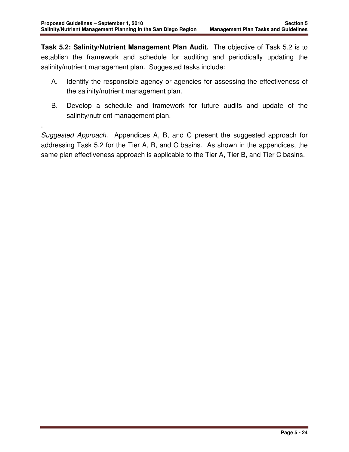.

**Task 5.2: Salinity/Nutrient Management Plan Audit.** The objective of Task 5.2 is to establish the framework and schedule for auditing and periodically updating the salinity/nutrient management plan. Suggested tasks include:

- A. Identify the responsible agency or agencies for assessing the effectiveness of the salinity/nutrient management plan.
- B. Develop a schedule and framework for future audits and update of the salinity/nutrient management plan.

Suggested Approach. Appendices A, B, and C present the suggested approach for addressing Task 5.2 for the Tier A, B, and C basins. As shown in the appendices, the same plan effectiveness approach is applicable to the Tier A, Tier B, and Tier C basins.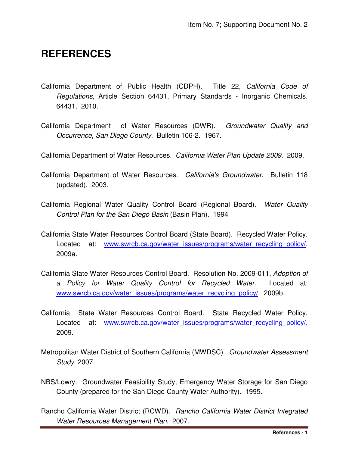### **REFERENCES**

- California Department of Public Health (CDPH). Title 22, California Code of Regulations, Article Section 64431, Primary Standards - Inorganic Chemicals. 64431. 2010.
- California Department of Water Resources (DWR). Groundwater Quality and Occurrence, San Diego County. Bulletin 106-2. 1967.
- California Department of Water Resources. California Water Plan Update 2009. 2009.
- California Department of Water Resources. California's Groundwater. Bulletin 118 (updated). 2003.
- California Regional Water Quality Control Board (Regional Board). Water Quality Control Plan for the San Diego Basin (Basin Plan). 1994
- California State Water Resources Control Board (State Board). Recycled Water Policy. Located at: www.swrcb.ca.gov/water\_issues/programs/water\_recycling\_policy/. 2009a.
- California State Water Resources Control Board. Resolution No. 2009-011, Adoption of a Policy for Water Quality Control for Recycled Water. Located at: www.swrcb.ca.gov/water\_issues/programs/water\_recycling\_policy/. 2009b.
- California State Water Resources Control Board. State Recycled Water Policy. Located at: www.swrcb.ca.gov/water\_issues/programs/water\_recycling\_policy/. 2009.
- Metropolitan Water District of Southern California (MWDSC). Groundwater Assessment Study. 2007.
- NBS/Lowry. Groundwater Feasibility Study, Emergency Water Storage for San Diego County (prepared for the San Diego County Water Authority). 1995.
- Rancho California Water District (RCWD). Rancho California Water District Integrated Water Resources Management Plan. 2007.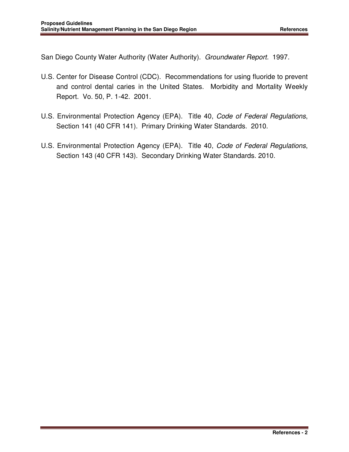San Diego County Water Authority (Water Authority). Groundwater Report. 1997.

- U.S. Center for Disease Control (CDC). Recommendations for using fluoride to prevent and control dental caries in the United States. Morbidity and Mortality Weekly Report. Vo. 50, P. 1-42. 2001.
- U.S. Environmental Protection Agency (EPA). Title 40, Code of Federal Regulations, Section 141 (40 CFR 141). Primary Drinking Water Standards. 2010.
- U.S. Environmental Protection Agency (EPA). Title 40, Code of Federal Regulations, Section 143 (40 CFR 143). Secondary Drinking Water Standards. 2010.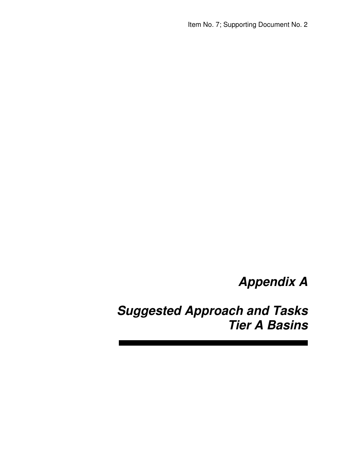**Appendix A** 

**Suggested Approach and Tasks Tier A Basins**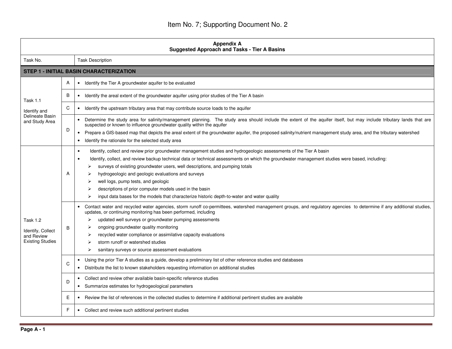| <b>Appendix A</b><br><b>Suggested Approach and Tasks - Tier A Basins</b>      |   |                                                                                                                                                                                                                                                                                                                                                                                                                                                                                                                                                                                                                                         |  |
|-------------------------------------------------------------------------------|---|-----------------------------------------------------------------------------------------------------------------------------------------------------------------------------------------------------------------------------------------------------------------------------------------------------------------------------------------------------------------------------------------------------------------------------------------------------------------------------------------------------------------------------------------------------------------------------------------------------------------------------------------|--|
| Task No.                                                                      |   | <b>Task Description</b>                                                                                                                                                                                                                                                                                                                                                                                                                                                                                                                                                                                                                 |  |
|                                                                               |   | <b>STEP 1 - INITIAL BASIN CHARACTERIZATION</b>                                                                                                                                                                                                                                                                                                                                                                                                                                                                                                                                                                                          |  |
| <b>Task 1.1</b>                                                               | Α | Identify the Tier A groundwater aquifer to be evaluated                                                                                                                                                                                                                                                                                                                                                                                                                                                                                                                                                                                 |  |
|                                                                               | B | Identify the areal extent of the groundwater aquifer using prior studies of the Tier A basin<br>$\bullet$                                                                                                                                                                                                                                                                                                                                                                                                                                                                                                                               |  |
| Identify and                                                                  | C | Identify the upstream tributary area that may contribute source loads to the aquifer                                                                                                                                                                                                                                                                                                                                                                                                                                                                                                                                                    |  |
| Delineate Basin<br>and Study Area                                             |   | Determine the study area for salinity/management planning. The study area should include the extent of the aquifer itself, but may include tributary lands that are<br>$\bullet$<br>suspected or known to influence groundwater quality within the aquifer                                                                                                                                                                                                                                                                                                                                                                              |  |
|                                                                               | D | Prepare a GIS-based map that depicts the areal extent of the groundwater aquifer, the proposed salinity/nutrient management study area, and the tributary watershed<br>$\bullet$<br>Identify the rationale for the selected study area<br>$\bullet$                                                                                                                                                                                                                                                                                                                                                                                     |  |
| <b>Task 1.2</b><br>Identify, Collect<br>and Review<br><b>Existing Studies</b> | A | Identify, collect and review prior groundwater management studies and hydrogeologic assessments of the Tier A basin<br>$\bullet$<br>Identify, collect, and review backup technical data or technical assessments on which the groundwater management studies were based, including:<br>$\bullet$<br>surveys of existing groundwater users, well descriptions, and pumping totals<br>hydrogeologic and geologic evaluations and surveys<br>well logs, pump tests, and geologic<br>descriptions of prior computer models used in the basin<br>input data bases for the models that characterize historic depth-to-water and water quality |  |
|                                                                               | B | Contact water and recycled water agencies, storm runoff co-permittees, watershed management groups, and regulatory agencies to determine if any additional studies,<br>updates, or continuing monitoring has been performed, including<br>updated well surveys or groundwater pumping assessments<br>≻<br>ongoing groundwater quality monitoring<br>⋗<br>recycled water compliance or assimilative capacity evaluations<br>⋗<br>storm runoff or watershed studies<br>sanitary surveys or source assessment evaluations<br>≻                                                                                                             |  |
|                                                                               | C | Using the prior Tier A studies as a guide, develop a preliminary list of other reference studies and databases<br>$\bullet$<br>Distribute the list to known stakeholders requesting information on additional studies<br>$\bullet$                                                                                                                                                                                                                                                                                                                                                                                                      |  |
|                                                                               | D | Collect and review other available basin-specific reference studies<br>• Summarize estimates for hydrogeological parameters                                                                                                                                                                                                                                                                                                                                                                                                                                                                                                             |  |
|                                                                               | Ε | Review the list of references in the collected studies to determine if additional pertinent studies are available<br>٠                                                                                                                                                                                                                                                                                                                                                                                                                                                                                                                  |  |
|                                                                               | F | Collect and review such additional pertinent studies                                                                                                                                                                                                                                                                                                                                                                                                                                                                                                                                                                                    |  |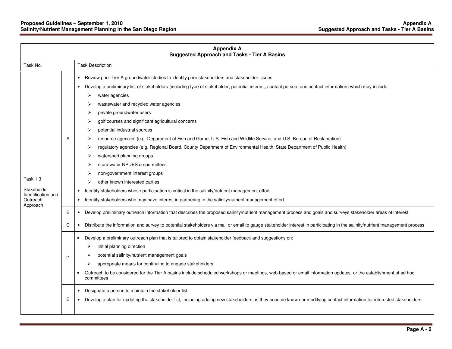| <b>Appendix A</b><br><b>Suggested Approach and Tasks - Tier A Basins</b> |        |                                                                                                                                                                                                                                                                                                                                                                                                                                                                                                                                                                                                                                                                                                                                                                                                                                                                                                                                                                                                                                                                        |
|--------------------------------------------------------------------------|--------|------------------------------------------------------------------------------------------------------------------------------------------------------------------------------------------------------------------------------------------------------------------------------------------------------------------------------------------------------------------------------------------------------------------------------------------------------------------------------------------------------------------------------------------------------------------------------------------------------------------------------------------------------------------------------------------------------------------------------------------------------------------------------------------------------------------------------------------------------------------------------------------------------------------------------------------------------------------------------------------------------------------------------------------------------------------------|
| Task No.                                                                 |        | <b>Task Description</b>                                                                                                                                                                                                                                                                                                                                                                                                                                                                                                                                                                                                                                                                                                                                                                                                                                                                                                                                                                                                                                                |
| Task 1.3<br>Stakeholder<br>Identification and<br>Outreach<br>Approach    | A<br>B | Review prior Tier A groundwater studies to identify prior stakeholders and stakeholder issues<br>Develop a preliminary list of stakeholders (including type of stakeholder, potential interest, contact person, and contact information) which may include:<br>water agencies<br>wastewater and recycled water agencies<br>private groundwater users<br>golf courses and significant agricultural concerns<br>potential industrial sources<br>resource agencies (e.g. Department of Fish and Game, U.S. Fish and Wildlife Service, and U.S. Bureau of Reclamation)<br>regulatory agencies (e.g. Regional Board, County Department of Environmental Health, State Department of Public Health)<br>watershed planning groups<br>stormwater NPDES co-permittees<br>non-government interest groups<br>other known interested parties<br>Identify stakeholders whose participation is critical in the salinity/nutrient management effort<br>$\bullet$<br>Identify stakeholders who may have interest in partnering in the salinity/nutrient management effort<br>$\bullet$ |
|                                                                          |        | Develop preliminary outreach information that describes the proposed salinity/nutrient management process and goals and surveys stakeholder areas of interest<br>$\bullet$                                                                                                                                                                                                                                                                                                                                                                                                                                                                                                                                                                                                                                                                                                                                                                                                                                                                                             |
|                                                                          | C      | Distribute the information and survey to potential stakeholders via mail or email to gauge stakeholder interest in participating in the salinity/nutrient management process                                                                                                                                                                                                                                                                                                                                                                                                                                                                                                                                                                                                                                                                                                                                                                                                                                                                                           |
|                                                                          | D.     | Develop a preliminary outreach plan that is tailored to obtain stakeholder feedback and suggestions on:<br>$\bullet$<br>initial planning direction<br>⋗<br>potential salinity/nutrient management goals<br>appropriate means for continuing to engage stakeholders<br>Outreach to be considered for the Tier A basins include scheduled workshops or meetings, web-based or email information updates, or the establishment of ad hoc<br>committees                                                                                                                                                                                                                                                                                                                                                                                                                                                                                                                                                                                                                    |
|                                                                          | Е      | Designate a person to maintain the stakeholder list<br>$\bullet$<br>Develop a plan for updating the stakeholder list, including adding new stakeholders as they become known or modifying contact information for interested stakeholders<br>$\bullet$                                                                                                                                                                                                                                                                                                                                                                                                                                                                                                                                                                                                                                                                                                                                                                                                                 |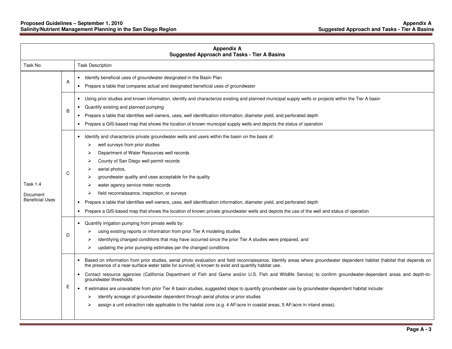#### **Proposed Guidelines – September 1, 2010 Appendix A Salinity/Nutrient Management Planning in the San Diego Region Suggested Approach and Tasks - Tier A Basins**

| <b>Appendix A</b><br><b>Suggested Approach and Tasks - Tier A Basins</b> |   |                                                                                                                                                                                                                                                                                                                                                                                                                                                                                                                                                                                                                                                                                                                                                                                                                                                         |
|--------------------------------------------------------------------------|---|---------------------------------------------------------------------------------------------------------------------------------------------------------------------------------------------------------------------------------------------------------------------------------------------------------------------------------------------------------------------------------------------------------------------------------------------------------------------------------------------------------------------------------------------------------------------------------------------------------------------------------------------------------------------------------------------------------------------------------------------------------------------------------------------------------------------------------------------------------|
| Task No.                                                                 |   | <b>Task Description</b>                                                                                                                                                                                                                                                                                                                                                                                                                                                                                                                                                                                                                                                                                                                                                                                                                                 |
|                                                                          | A | Identify beneficial uses of groundwater designated in the Basin Plan<br>Prepare a table that compares actual and designated beneficial uses of groundwater<br>$\bullet$                                                                                                                                                                                                                                                                                                                                                                                                                                                                                                                                                                                                                                                                                 |
|                                                                          | B | Using prior studies and known information, identify and characterize existing and planned municipal supply wells or projects within the Tier A basin<br>$\bullet$<br>Quantify existing and planned pumping<br>Prepare a table that identifies well owners, uses, well identification information, diameter yield, and perforated depth<br>Prepare a GIS-based map that shows the location of known municipal supply wells and depicts the status of operation                                                                                                                                                                                                                                                                                                                                                                                           |
| Task 1.4<br>Document<br><b>Beneficial Uses</b>                           | C | Identify and characterize private groundwater wells and users within the basin on the basis of:<br>well surveys from prior studies<br>➤<br>Department of Water Resources well records<br>County of San Diego well permit records<br>aerial photos,<br>groundwater quality and uses acceptable for the quality<br>water agency service meter records<br>field reconnaissance, inspection, or surveys<br>Prepare a table that identifies well owners, uses, well identification information, diameter yield, and perforated depth<br>$\bullet$<br>Prepare a GIS-based map that shows the location of known private groundwater wells and depicts the use of the well and status of operation                                                                                                                                                              |
|                                                                          | D | Quantify irrigation pumping from private wells by:<br>$\bullet$<br>using existing reports or information from prior Tier A modeling studies<br>identifying changed conditions that may have occurred since the prior Tier A studies were prepared, and<br>updating the prior pumping estimates per the changed conditions                                                                                                                                                                                                                                                                                                                                                                                                                                                                                                                               |
|                                                                          | Ε | Based on information from prior studies, aerial photo evaluation and field reconnaissance, Identify areas where groundwater dependent habitat (habitat that depends on<br>the presence of a near-surface water table for survival) is known to exist and quantify habitat use.<br>Contact resource agencies (California Department of Fish and Game and/or U.S. Fish and Wildlife Service) to confirm groundwater-dependent areas and depth-to-<br>groundwater thresholds<br>If estimates are unavailable from prior Tier A basin studies, suggested steps to quantify groundwater use by groundwater-dependent habitat include:<br>identify acreage of groundwater dependent through aerial photos or prior studies<br>➤<br>assign a unit extraction rate applicable to the habitat zone (e.g. 4 AF/acre in coastal areas, 5 AF/acre in inland areas). |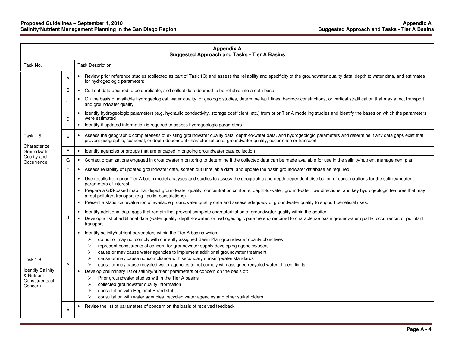| <b>Appendix A</b><br><b>Suggested Approach and Tasks - Tier A Basins</b>         |   |                                                                                                                                                                                                                                                                                                                                                                                                                                                                                                                                                                                                                                                                                                                                                                                                                                                                                                                      |
|----------------------------------------------------------------------------------|---|----------------------------------------------------------------------------------------------------------------------------------------------------------------------------------------------------------------------------------------------------------------------------------------------------------------------------------------------------------------------------------------------------------------------------------------------------------------------------------------------------------------------------------------------------------------------------------------------------------------------------------------------------------------------------------------------------------------------------------------------------------------------------------------------------------------------------------------------------------------------------------------------------------------------|
| Task No.                                                                         |   | <b>Task Description</b>                                                                                                                                                                                                                                                                                                                                                                                                                                                                                                                                                                                                                                                                                                                                                                                                                                                                                              |
|                                                                                  | A | Review prior reference studies (collected as part of Task 1C) and assess the reliability and specificity of the groundwater quality data, depth to water data, and estimates<br>for hydrogeologic parameters                                                                                                                                                                                                                                                                                                                                                                                                                                                                                                                                                                                                                                                                                                         |
|                                                                                  | B | Cull out data deemed to be unreliable, and collect data deemed to be reliable into a data base<br>$\bullet$                                                                                                                                                                                                                                                                                                                                                                                                                                                                                                                                                                                                                                                                                                                                                                                                          |
|                                                                                  | C | On the basis of available hydrogeological, water quality, or geologic studies, determine fault lines, bedrock constrictions, or vertical stratification that may affect transport<br>$\bullet$<br>and groundwater quality                                                                                                                                                                                                                                                                                                                                                                                                                                                                                                                                                                                                                                                                                            |
|                                                                                  | D | Identify hydrogeologic parameters (e.g. hydraulic conductivity, storage coefficient, etc.) from prior Tier A modeling studies and identify the bases on which the parameters<br>$\bullet$<br>were estimated<br>• Identify if updated information is required to assess hydrogeologic parameters                                                                                                                                                                                                                                                                                                                                                                                                                                                                                                                                                                                                                      |
| <b>Task 1.5</b>                                                                  | E | Assess the geographic completeness of existing groundwater quality data, depth-to-water data, and hydrogeologic parameters and determine if any data gaps exist that<br>prevent geographic, seasonal, or depth-dependent characterization of groundwater quality, occurrence or transport                                                                                                                                                                                                                                                                                                                                                                                                                                                                                                                                                                                                                            |
| Characterize<br>Groundwater                                                      | F | Identify agencies or groups that are engaged in ongoing groundwater data collection<br>$\bullet$                                                                                                                                                                                                                                                                                                                                                                                                                                                                                                                                                                                                                                                                                                                                                                                                                     |
| Quality and<br>Occurrence                                                        | G | Contact organizations engaged in groundwater monitoring to determine if the collected data can be made available for use in the salinity/nutrient management plan<br>$\bullet$                                                                                                                                                                                                                                                                                                                                                                                                                                                                                                                                                                                                                                                                                                                                       |
|                                                                                  | H | Assess reliability of updated groundwater data, screen out unreliable data, and update the basin groundwater database as required<br>$\bullet$                                                                                                                                                                                                                                                                                                                                                                                                                                                                                                                                                                                                                                                                                                                                                                       |
|                                                                                  |   | Use results from prior Tier A basin model analyses and studies to assess the geographic and depth-dependent distribution of concentrations for the salinity/nutrient<br>parameters of interest<br>• Prepare a GIS-based map that depict groundwater quality, concentration contours, depth-to-water, groundwater flow directions, and key hydrogeologic features that may<br>affect pollutant transport (e.g. faults, constrictions)<br>• Present a statistical evaluation of available groundwater quality data and assess adequacy of groundwater quality to support beneficial uses.                                                                                                                                                                                                                                                                                                                              |
|                                                                                  | J | Identify additional data gaps that remain that prevent complete characterization of groundwater quality within the aquifer<br>$\bullet$<br>Develop a list of additional data (water quality, depth-to-water, or hydrogeologic parameters) required to characterize basin groundwater quality, occurrence, or pollutant<br>transport                                                                                                                                                                                                                                                                                                                                                                                                                                                                                                                                                                                  |
| Task 1.6<br><b>Identify Salinity</b><br>& Nutrient<br>Constituents of<br>Concern | A | Identify salinity/nutrient parameters within the Tier A basins which:<br>do not or may not comply with currently assigned Basin Plan groundwater quality objectives<br>⋗<br>represent constituents of concern for groundwater supply developing agencies/users<br>⋗<br>cause or may cause water agencies to implement additional groundwater treatment<br>➤<br>cause or may cause noncompliance with secondary drinking water standards<br>⋗<br>cause or may cause recycled water agencies to not comply with assigned recycled water effluent limits<br>➤<br>Develop preliminary list of salinity/nutrient parameters of concern on the basis of:<br>$\bullet$<br>Prior groundwater studies within the Tier A basins<br>⋗<br>collected groundwater quality information<br>⋗<br>consultation with Regional Board staff<br>⋗<br>consultation with water agencies, recycled water agencies and other stakeholders<br>➤ |
|                                                                                  | B | Revise the list of parameters of concern on the basis of received feedback                                                                                                                                                                                                                                                                                                                                                                                                                                                                                                                                                                                                                                                                                                                                                                                                                                           |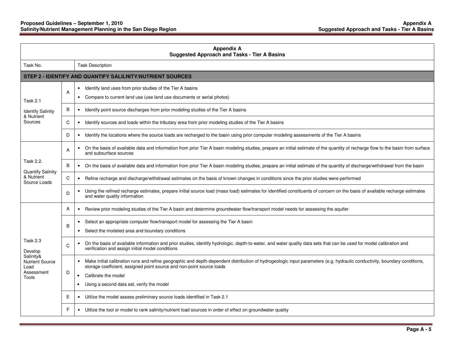| <b>Appendix A</b><br><b>Suggested Approach and Tasks - Tier A Basins</b>                         |   |                                                                                                                                                                                                                                                                                                                                                  |
|--------------------------------------------------------------------------------------------------|---|--------------------------------------------------------------------------------------------------------------------------------------------------------------------------------------------------------------------------------------------------------------------------------------------------------------------------------------------------|
| Task No.                                                                                         |   | <b>Task Description</b>                                                                                                                                                                                                                                                                                                                          |
|                                                                                                  |   | STEP 2 - IDENTIFY AND QUANTIFY SALILNITY/NUTRIENT SOURCES                                                                                                                                                                                                                                                                                        |
| <b>Task 2.1</b>                                                                                  | A | • Identify land uses from prior studies of the Tier A basins<br>• Compare to current land use (use land use documents or aerial photos)                                                                                                                                                                                                          |
| <b>Identify Salinity</b><br>& Nutrient                                                           | В | Identify point source discharges from prior modeling studies of the Tier A basins<br>$\bullet$                                                                                                                                                                                                                                                   |
| Sources                                                                                          | C | Identify sources and loads within the tributary area from prior modeling studies of the Tier A basins<br>$\bullet$                                                                                                                                                                                                                               |
|                                                                                                  | D | Identify the locations where the source loads are recharged to the basin using prior computer modeling assessments of the Tier A basins<br>$\bullet$                                                                                                                                                                                             |
|                                                                                                  | A | On the basis of available data and information from prior Tier A basin modeling studies, prepare an initial estimate of the quantity of recharge flow to the basin from surface<br>$\bullet$<br>and subsurface sources                                                                                                                           |
| Task 2.2.<br><b>Quantify Salinity</b>                                                            | B | • On the basis of available data and information from prior Tier A basin modeling studies, prepare an initial estimate of the quantity of discharge/withdrawal from the basin                                                                                                                                                                    |
| & Nutrient<br>Source Loads                                                                       | C | Refine recharge and discharge/withdrawal estimates on the basis of known changes in conditions since the prior studies were performed<br>$\bullet$                                                                                                                                                                                               |
|                                                                                                  | D | Using the refined recharge estimates, prepare initial source load (mass load) estimates for identified constituents of concern on the basis of available recharge estimates<br>$\bullet$<br>and water quality information                                                                                                                        |
|                                                                                                  | A | Review prior modeling studies of the Tier A basin and determine groundwater flow/transport model needs for assessing the aquifer<br>$\bullet$                                                                                                                                                                                                    |
| <b>Task 2.3</b><br>Develop<br>Salinity&<br><b>Nutrient Source</b><br>Load<br>Assessment<br>Tools | B | Select an appropriate computer flow/transport model for assessing the Tier A basin<br>$\bullet$<br>• Select the modeled area and boundary conditions                                                                                                                                                                                             |
|                                                                                                  | C | On the basis of available information and prior studies, identify hydrologic, depth-to-water, and water quality data sets that can be used for model calibration and<br>$\bullet$<br>verification and assign initial model conditions                                                                                                            |
|                                                                                                  | D | Make initial calibration runs and refine geographic and depth-dependent distribution of hydrogeologic input parameters (e.g. hydraulic conductivity, boundary conditions,<br>$\bullet$<br>storage coefficient, assigned point source and non-point source loads<br>Calibrate the model<br>$\bullet$<br>Using a second data set, verify the model |
|                                                                                                  | Ε | Utilize the model assess preliminary source loads identified in Task 2.1                                                                                                                                                                                                                                                                         |
|                                                                                                  | F | • Utilize the tool or model to rank salinity/nutrient load sources in order of effect on groundwater quality                                                                                                                                                                                                                                     |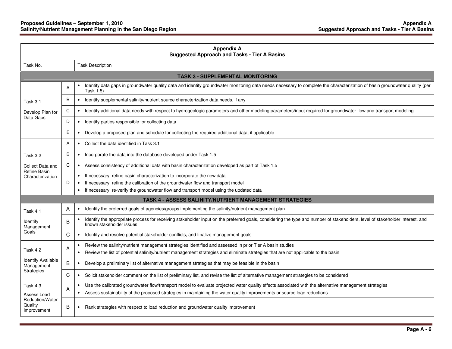| <b>Appendix A</b><br><b>Suggested Approach and Tasks - Tier A Basins</b> |   |                                                                                                                                                                                                                       |
|--------------------------------------------------------------------------|---|-----------------------------------------------------------------------------------------------------------------------------------------------------------------------------------------------------------------------|
| Task No.                                                                 |   | <b>Task Description</b>                                                                                                                                                                                               |
|                                                                          |   | <b>TASK 3 - SUPPLEMENTAL MONITORING</b>                                                                                                                                                                               |
|                                                                          | A | Identify data gaps in groundwater quality data and identify groundwater monitoring data needs necessary to complete the characterization of basin groundwater quality (per<br>Task 1.5)                               |
| Task 3.1                                                                 | B | Identify supplemental salinity/nutrient source characterization data needs, if any<br>$\bullet$                                                                                                                       |
| Develop Plan for                                                         | C | • Identify additional data needs with respect to hydrogeologic parameters and other modeling parameters/input required for groundwater flow and transport modeling                                                    |
| Data Gaps                                                                | D | • Identify parties responsible for collecting data                                                                                                                                                                    |
|                                                                          | E | • Develop a proposed plan and schedule for collecting the required additional data, if applicable                                                                                                                     |
|                                                                          | A | • Collect the data identified in Task 3.1                                                                                                                                                                             |
| Task 3.2                                                                 | B | • Incorporate the data into the database developed under Task 1.5                                                                                                                                                     |
| Collect Data and                                                         | C | • Assess consistency of additional data with basin characterization developed as part of Task 1.5                                                                                                                     |
| <b>Refine Basin</b><br>Characterization                                  |   | • If necessary, refine basin characterization to incorporate the new data                                                                                                                                             |
|                                                                          | D | If necessary, refine the calibration of the groundwater flow and transport model<br>$\bullet$                                                                                                                         |
|                                                                          |   | • If necessary, re-verify the groundwater flow and transport model using the updated data                                                                                                                             |
|                                                                          |   | <b>TASK 4 - ASSESS SALINITY/NUTRIENT MANAGEMENT STRATEGIES</b>                                                                                                                                                        |
| Task 4.1                                                                 | A | Identify the preferred goals of agencies/groups implementing the salinity/nutrient management plan<br>$\bullet$                                                                                                       |
| Identify<br>Management                                                   | B | Identify the appropriate process for receiving stakeholder input on the preferred goals, considering the type and number of stakeholders, level of stakeholder interest, and<br>$\bullet$<br>known stakeholder issues |
| Goals                                                                    | C | Identify and resolve potential stakeholder conflicts, and finalize management goals<br>$\bullet$                                                                                                                      |
| Task 4.2                                                                 | A | Review the salinity/nutrient management strategies identified and assessed in prior Tier A basin studies<br>$\bullet$                                                                                                 |
|                                                                          |   | Review the list of potential salinity/nutrient management strategies and eliminate strategies that are not applicable to the basin<br>$\bullet$                                                                       |
| <b>Identify Available</b><br>Management                                  | B | Develop a preliminary list of alternative management strategies that may be feasible in the basin<br>$\bullet$                                                                                                        |
| Strategies                                                               | C | Solicit stakeholder comment on the list of preliminary list, and revise the list of alternative management strategies to be considered<br>$\bullet$                                                                   |
| Task 4.3                                                                 | A | Use the calibrated groundwater flow/transport model to evaluate projected water quality effects associated with the alternative management strategies<br>$\bullet$                                                    |
| Assess Load                                                              |   | • Assess sustainability of the proposed strategies in maintaining the water quality improvements or source load reductions                                                                                            |
| Reduction/Water<br>Quality<br>Improvement                                | B | • Rank strategies with respect to load reduction and groundwater quality improvement                                                                                                                                  |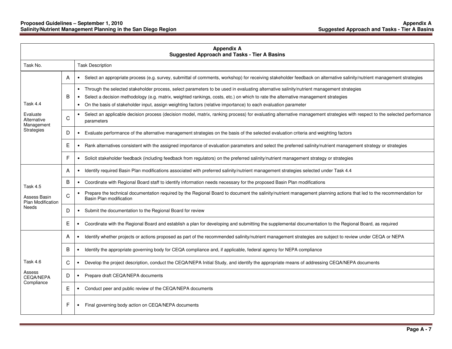| <b>Appendix A</b><br><b>Suggested Approach and Tasks - Tier A Basins</b> |   |                                                                                                                                                                                                                                                                                                                                                                                                                            |  |  |
|--------------------------------------------------------------------------|---|----------------------------------------------------------------------------------------------------------------------------------------------------------------------------------------------------------------------------------------------------------------------------------------------------------------------------------------------------------------------------------------------------------------------------|--|--|
| Task No.                                                                 |   | <b>Task Description</b>                                                                                                                                                                                                                                                                                                                                                                                                    |  |  |
|                                                                          | A | • Select an appropriate process (e.g. survey, submittal of comments, workshop) for receiving stakeholder feedback on alternative salinity/nutrient management strategies                                                                                                                                                                                                                                                   |  |  |
| Task 4.4<br>Evaluate<br>Alternative<br>Management                        | B | Through the selected stakeholder process, select parameters to be used in evaluating alternative salinity/nutrient management strategies<br>$\bullet$<br>Select a decision methodology (e.g. matrix, weighted rankings, costs, etc.) on which to rate the alternative management strategies<br>On the basis of stakeholder input, assign weighting factors (relative importance) to each evaluation parameter<br>$\bullet$ |  |  |
|                                                                          | С | Select an applicable decision process (decision model, matrix, ranking process) for evaluating alternative management strategies with respect to the selected performance<br>$\bullet$<br>parameters                                                                                                                                                                                                                       |  |  |
| Strategies                                                               | D | Evaluate performance of the alternative management strategies on the basis of the selected evaluation criteria and weighting factors                                                                                                                                                                                                                                                                                       |  |  |
|                                                                          | Е | Rank alternatives consistent with the assigned importance of evaluation parameters and select the preferred salinity/nutrient management strategy or strategies<br>$\bullet$                                                                                                                                                                                                                                               |  |  |
|                                                                          | F | Solicit stakeholder feedback (including feedback from regulators) on the preferred salinity/nutrient management strategy or strategies<br>$\bullet$                                                                                                                                                                                                                                                                        |  |  |
|                                                                          | A | Identify required Basin Plan modifications associated with preferred salinity/nutrient management strategies selected under Task 4.4<br>$\bullet$                                                                                                                                                                                                                                                                          |  |  |
| <b>Task 4.5</b>                                                          | B | • Coordinate with Regional Board staff to identify information needs necessary for the proposed Basin Plan modifications                                                                                                                                                                                                                                                                                                   |  |  |
| Assess Basin<br>Plan Modification                                        | C | Prepare the technical documentation required by the Regional Board to document the salinity/nutrient management planning actions that led to the recommendation for<br>$\bullet$<br>Basin Plan modification                                                                                                                                                                                                                |  |  |
| <b>Needs</b>                                                             | D | Submit the documentation to the Regional Board for review<br>$\bullet$                                                                                                                                                                                                                                                                                                                                                     |  |  |
|                                                                          | Е | Coordinate with the Regional Board and establish a plan for developing and submitting the supplemental documentation to the Regional Board, as required<br>$\bullet$                                                                                                                                                                                                                                                       |  |  |
|                                                                          | A | Identify whether projects or actions proposed as part of the recommended salinity/nutrient management strategies are subject to review under CEQA or NEPA<br>$\bullet$                                                                                                                                                                                                                                                     |  |  |
|                                                                          | B | Identify the appropriate governing body for CEQA compliance and, if applicable, federal agency for NEPA compliance<br>$\bullet$                                                                                                                                                                                                                                                                                            |  |  |
| Task 4.6<br>Assess<br><b>CEQA/NEPA</b>                                   | C | Develop the project description, conduct the CEQA/NEPA Initial Study, and identify the appropriate means of addressing CEQA/NEPA documents                                                                                                                                                                                                                                                                                 |  |  |
|                                                                          | D | Prepare draft CEQA/NEPA documents<br>$\bullet$                                                                                                                                                                                                                                                                                                                                                                             |  |  |
| Compliance                                                               | Е | Conduct peer and public review of the CEQA/NEPA documents                                                                                                                                                                                                                                                                                                                                                                  |  |  |
|                                                                          | F | Final governing body action on CEQA/NEPA documents                                                                                                                                                                                                                                                                                                                                                                         |  |  |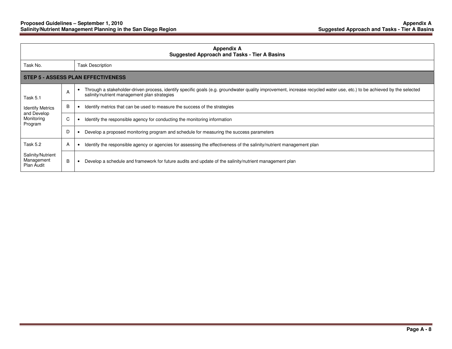| <b>Appendix A</b><br><b>Suggested Approach and Tasks - Tier A Basins</b> |   |                                                                                                                                                                                                                        |
|--------------------------------------------------------------------------|---|------------------------------------------------------------------------------------------------------------------------------------------------------------------------------------------------------------------------|
| Task No.                                                                 |   | <b>Task Description</b>                                                                                                                                                                                                |
| STEP 5 - ASSESS PLAN EFFECTIVENESS                                       |   |                                                                                                                                                                                                                        |
| Task 5.1                                                                 | A | Through a stakeholder-driven process, identify specific goals (e.g. groundwater quality improvement, increase recycled water use, etc.) to be achieved by the selected<br>salinity/nutrient management plan strategies |
| <b>Identify Metrics</b><br>and Develop<br>Monitoring<br>Program          | B | Identify metrics that can be used to measure the success of the strategies                                                                                                                                             |
|                                                                          | C | Identify the responsible agency for conducting the monitoring information                                                                                                                                              |
|                                                                          | D | Develop a proposed monitoring program and schedule for measuring the success parameters                                                                                                                                |
| Task 5.2                                                                 | A | Identify the responsible agency or agencies for assessing the effectiveness of the salinity/nutrient management plan                                                                                                   |
| Salinity/Nutrient<br>Management<br>Plan Audit                            | B | Develop a schedule and framework for future audits and update of the salinity/nutrient management plan                                                                                                                 |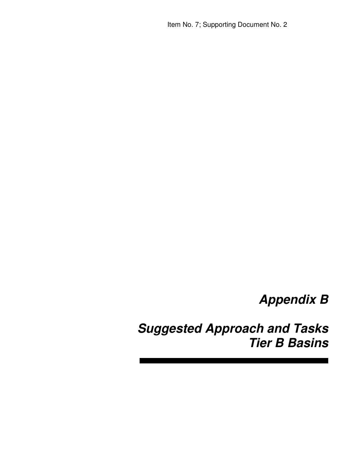# **Appendix B**

**Suggested Approach and Tasks Tier B Basins**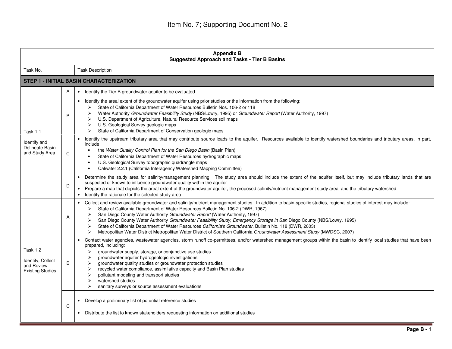| <b>Appendix B</b><br><b>Suggested Approach and Tasks - Tier B Basins</b>      |   |                                                                                                                                                                                                                                                                                                                                                                                                                                                                                                                                                                                                                                                                                                                                                  |
|-------------------------------------------------------------------------------|---|--------------------------------------------------------------------------------------------------------------------------------------------------------------------------------------------------------------------------------------------------------------------------------------------------------------------------------------------------------------------------------------------------------------------------------------------------------------------------------------------------------------------------------------------------------------------------------------------------------------------------------------------------------------------------------------------------------------------------------------------------|
| Task No.                                                                      |   | <b>Task Description</b>                                                                                                                                                                                                                                                                                                                                                                                                                                                                                                                                                                                                                                                                                                                          |
|                                                                               |   | <b>STEP 1 - INITIAL BASIN CHARACTERIZATION</b>                                                                                                                                                                                                                                                                                                                                                                                                                                                                                                                                                                                                                                                                                                   |
|                                                                               | A | Identify the Tier B groundwater aquifer to be evaluated<br>$\bullet$                                                                                                                                                                                                                                                                                                                                                                                                                                                                                                                                                                                                                                                                             |
| <b>Task 1.1</b><br>Identify and<br>Delineate Basin<br>and Study Area          | B | Identify the areal extent of the groundwater aquifer using prior studies or the information from the following:<br>$\bullet$<br>State of California Department of Water Resources Bulletin Nos. 106-2 or 118<br>➤<br>Water Authority Groundwater Feasibility Study (NBS/Lowry, 1995) or Groundwater Report (Water Authority, 1997)<br>⋗<br>U.S. Department of Agriculture, Natural Resource Services soil maps<br>➤<br>U.S. Geological Survey geologic maps<br>State of California Department of Conservation geologic maps<br>⋗                                                                                                                                                                                                                 |
|                                                                               | C | Identify the upstream tributary area that may contribute source loads to the aquifer. Resources available to identify watershed boundaries and tributary areas, in part,<br>include:<br>the Water Quality Control Plan for the San Diego Basin (Basin Plan)<br>State of California Department of Water Resources hydrographic maps<br>$\bullet$<br>U.S. Geological Survey topographic quadrangle maps<br>Calwater 2.2.1 (California Interagency Watershed Mapping Committee)<br>$\bullet$                                                                                                                                                                                                                                                        |
|                                                                               | D | Determine the study area for salinity/management planning. The study area should include the extent of the aquifer itself, but may include tributary lands that are<br>$\bullet$<br>suspected or known to influence groundwater quality within the aquifer<br>• Prepare a map that depicts the areal extent of the groundwater aquifer, the proposed salinity/nutrient management study area, and the tributary watershed<br>Identify the rationale for the selected study area<br>$\bullet$                                                                                                                                                                                                                                                     |
| <b>Task 1.2</b><br>Identify, Collect<br>and Review<br><b>Existing Studies</b> | A | Collect and review available groundwater and salinity/nutrient management studies. In addition to basin-specific studies, regional studies of interest may include:<br>$\bullet$<br>State of California Department of Water Resources Bulletin No. 106-2 (DWR, 1967)<br>⋗<br>San Diego County Water Authority Groundwater Report (Water Authority, 1997)<br>➤<br>San Diego County Water Authority Groundwater Feasibility Study, Emergency Storage in San Diego County (NBS/Lowry, 1995)<br>➤<br>State of California Department of Water Resources California's Groundwater, Bulletin No. 118 (DWR, 2003)<br>➤<br>Metropolitan Water District Metropolitan Water District of Southern California Groundwater Assessment Study (MWDSC, 2007)<br>⋗ |
|                                                                               | B | Contact water agencies, wastewater agencies, storm runoff co-permittees, and/or watershed management groups within the basin to identify local studies that have been<br>$\bullet$<br>prepared, including:<br>groundwater supply, storage, or conjunctive use studies<br>➤<br>groundwater aquifer hydrogeologic investigations<br>➤<br>groundwater quality studies or groundwater protection studies<br>≻<br>recycled water compliance, assimilative capacity and Basin Plan studies<br>➤<br>pollutant modeling and transport studies<br>➤<br>watershed studies<br>⋗<br>➤<br>sanitary surveys or source assessment evaluations                                                                                                                   |
|                                                                               | C | Develop a preliminary list of potential reference studies<br>Distribute the list to known stakeholders requesting information on additional studies                                                                                                                                                                                                                                                                                                                                                                                                                                                                                                                                                                                              |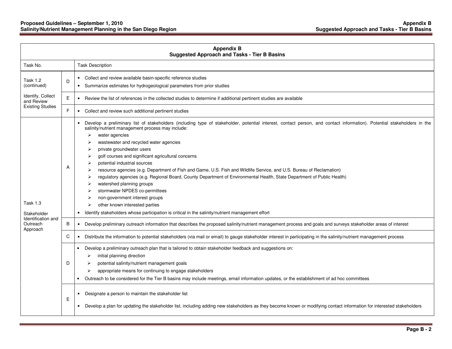| <b>Appendix B</b><br><b>Suggested Approach and Tasks - Tier B Basins</b> |              |                                                                                                                                                                                                                                                                                                                                                                                                                                                                                                                                                                                                                                                                                                                                                                                                                                                                                                                                                   |
|--------------------------------------------------------------------------|--------------|---------------------------------------------------------------------------------------------------------------------------------------------------------------------------------------------------------------------------------------------------------------------------------------------------------------------------------------------------------------------------------------------------------------------------------------------------------------------------------------------------------------------------------------------------------------------------------------------------------------------------------------------------------------------------------------------------------------------------------------------------------------------------------------------------------------------------------------------------------------------------------------------------------------------------------------------------|
| Task No.                                                                 |              | <b>Task Description</b>                                                                                                                                                                                                                                                                                                                                                                                                                                                                                                                                                                                                                                                                                                                                                                                                                                                                                                                           |
| Task 1.2<br>(continued)                                                  | D            | Collect and review available basin-specific reference studies<br>$\bullet$<br>Summarize estimates for hydrogeological parameters from prior studies                                                                                                                                                                                                                                                                                                                                                                                                                                                                                                                                                                                                                                                                                                                                                                                               |
| Identify, Collect<br>and Review                                          | $\mathsf{E}$ | Review the list of references in the collected studies to determine if additional pertinent studies are available<br>$\bullet$                                                                                                                                                                                                                                                                                                                                                                                                                                                                                                                                                                                                                                                                                                                                                                                                                    |
| <b>Existing Studies</b>                                                  | F            | Collect and review such additional pertinent studies<br>$\bullet$                                                                                                                                                                                                                                                                                                                                                                                                                                                                                                                                                                                                                                                                                                                                                                                                                                                                                 |
| <b>Task 1.3</b><br>Stakeholder                                           | A            | Develop a preliminary list of stakeholders (including type of stakeholder, potential interest, contact person, and contact information). Potential stakeholders in the<br>salinity/nutrient management process may include:<br>water agencies<br>➤<br>wastewater and recycled water agencies<br>private groundwater users<br>⋗<br>golf courses and significant agricultural concerns<br>➤<br>potential industrial sources<br>⋗<br>resource agencies (e.g. Department of Fish and Game, U.S. Fish and Wildlife Service, and U.S. Bureau of Reclamation)<br>➤<br>regulatory agencies (e.g. Regional Board, County Department of Environmental Health, State Department of Public Health)<br>➤<br>watershed planning groups<br>⋗<br>stormwater NPDES co-permittees<br>non-government interest groups<br>other known interested parties<br>⋗<br>Identify stakeholders whose participation is critical in the salinity/nutrient management effort<br>٠ |
| Identification and<br>Outreach<br>Approach                               | B            | Develop preliminary outreach information that describes the proposed salinity/nutrient management process and goals and surveys stakeholder areas of interest                                                                                                                                                                                                                                                                                                                                                                                                                                                                                                                                                                                                                                                                                                                                                                                     |
|                                                                          | C            | Distribute the information to potential stakeholders (via mail or email) to gauge stakeholder interest in participating in the salinity/nutrient management process<br>$\bullet$                                                                                                                                                                                                                                                                                                                                                                                                                                                                                                                                                                                                                                                                                                                                                                  |
|                                                                          | D            | Develop a preliminary outreach plan that is tailored to obtain stakeholder feedback and suggestions on:<br>initial planning direction<br>⋗<br>potential salinity/nutrient management goals<br>appropriate means for continuing to engage stakeholders<br>⋗<br>Outreach to be considered for the Tier B basins may include meetings, email information updates, or the establishment of ad hoc committees                                                                                                                                                                                                                                                                                                                                                                                                                                                                                                                                          |
|                                                                          | Е            | Designate a person to maintain the stakeholder list<br>Develop a plan for updating the stakeholder list, including adding new stakeholders as they become known or modifying contact information for interested stakeholders                                                                                                                                                                                                                                                                                                                                                                                                                                                                                                                                                                                                                                                                                                                      |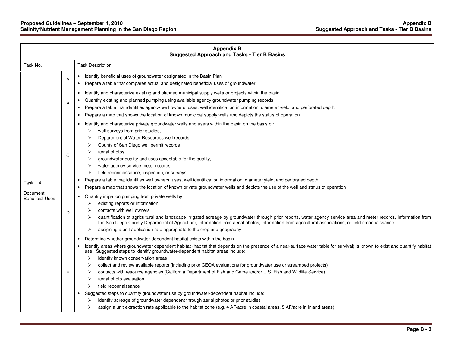#### **Proposed Guidelines – September 1, 2010 Appendix B Salinity/Nutrient Management Planning in the San Diego Region Suggested Approach and Tasks - Tier B Basins**

| <b>Appendix B</b><br><b>Suggested Approach and Tasks - Tier B Basins</b> |   |                                                                                                                                                                                                                                                                                                                                                                                                                                                                                                                                                                                                                                                                                                                                                                                                                                                                                                                                                                                                         |  |
|--------------------------------------------------------------------------|---|---------------------------------------------------------------------------------------------------------------------------------------------------------------------------------------------------------------------------------------------------------------------------------------------------------------------------------------------------------------------------------------------------------------------------------------------------------------------------------------------------------------------------------------------------------------------------------------------------------------------------------------------------------------------------------------------------------------------------------------------------------------------------------------------------------------------------------------------------------------------------------------------------------------------------------------------------------------------------------------------------------|--|
| Task No.                                                                 |   | <b>Task Description</b>                                                                                                                                                                                                                                                                                                                                                                                                                                                                                                                                                                                                                                                                                                                                                                                                                                                                                                                                                                                 |  |
| Task 1.4<br>Document<br><b>Beneficial Uses</b>                           | A | Identify beneficial uses of groundwater designated in the Basin Plan<br>$\bullet$<br>Prepare a table that compares actual and designated beneficial uses of groundwater<br>$\bullet$                                                                                                                                                                                                                                                                                                                                                                                                                                                                                                                                                                                                                                                                                                                                                                                                                    |  |
|                                                                          | B | Identify and characterize existing and planned municipal supply wells or projects within the basin<br>$\bullet$<br>Quantify existing and planned pumping using available agency groundwater pumping records<br>$\bullet$<br>Prepare a table that identifies agency well owners, uses, well identification information, diameter yield, and perforated depth.<br>Prepare a map that shows the location of known municipal supply wells and depicts the status of operation                                                                                                                                                                                                                                                                                                                                                                                                                                                                                                                               |  |
|                                                                          | C | Identify and characterize private groundwater wells and users within the basin on the basis of:<br>$\bullet$<br>well surveys from prior studies,<br>⋗<br>Department of Water Resources well records<br>County of San Diego well permit records<br>aerial photos<br>groundwater quality and uses acceptable for the quality,<br>water agency service meter records<br>field reconnaissance, inspection, or surveys<br>⋗<br>Prepare a table that identifies well owners, uses, well identification information, diameter yield, and perforated depth<br>$\bullet$<br>Prepare a map that shows the location of known private groundwater wells and depicts the use of the well and status of operation                                                                                                                                                                                                                                                                                                     |  |
|                                                                          | D | Quantify irrigation pumping from private wells by:<br>existing reports or information<br>contacts with well owners<br>quantification of agricultural and landscape irrigated acreage by groundwater through prior reports, water agency service area and meter records, information from<br>the San Diego County Department of Agriculture, information from aerial photos, information from agricultural associations, or field reconnaissance<br>assigning a unit application rate appropriate to the crop and geography<br>➤                                                                                                                                                                                                                                                                                                                                                                                                                                                                         |  |
|                                                                          | Е | Determine whether groundwater-dependent habitat exists within the basin<br>$\bullet$<br>Identify areas where groundwater dependent habitat (habitat that depends on the presence of a near-surface water table for survival) is known to exist and quantify habitat<br>use. Suggested steps to identify groundwater-dependent habitat areas include:<br>identify known conservation areas<br>⋗<br>collect and review available reports (including prior CEQA evaluations for groundwater use or streambed projects)<br>contacts with resource agencies (California Department of Fish and Game and/or U.S. Fish and Wildlife Service)<br>aerial photo evaluation<br>⋗<br>field reconnaissance<br>Suggested steps to quantify groundwater use by groundwater-dependent habitat include:<br>identify acreage of groundwater dependent through aerial photos or prior studies<br>assign a unit extraction rate applicable to the habitat zone (e.g. 4 AF/acre in coastal areas, 5 AF/acre in inland areas) |  |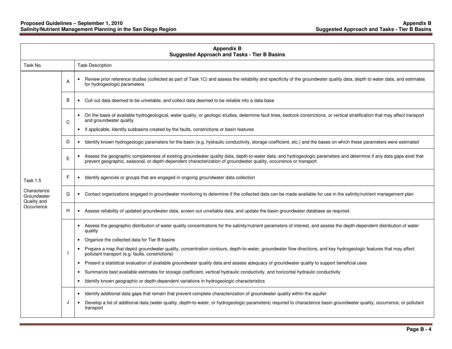#### **Proposed Guidelines – September 1, 2010 Appendix B Salinity/Nutrient Management Planning in the San Diego Region Suggested Approach and Tasks - Tier B Basins**

| <b>Appendix B</b><br><b>Suggested Approach and Tasks - Tier B Basins</b> |   |                                                                                                                                                                                                                                                                                           |  |
|--------------------------------------------------------------------------|---|-------------------------------------------------------------------------------------------------------------------------------------------------------------------------------------------------------------------------------------------------------------------------------------------|--|
| Task No.                                                                 |   | <b>Task Description</b>                                                                                                                                                                                                                                                                   |  |
|                                                                          | A | Review prior reference studies (collected as part of Task 1C) and assess the reliability and specificity of the groundwater quality data, depth to water data, and estimates<br>$\bullet$<br>for hydrogeologic parameters                                                                 |  |
|                                                                          | B | • Cull out data deemed to be unreliable, and collect data deemed to be reliable into a data base                                                                                                                                                                                          |  |
|                                                                          | C | On the basis of available hydrogeological, water quality, or geologic studies, determine fault lines, bedrock constrictions, or vertical stratification that may affect transport<br>$\bullet$<br>and groundwater quality                                                                 |  |
|                                                                          |   | If applicable, Identify subbasins created by the faults, constrictions or basin features<br>$\bullet$                                                                                                                                                                                     |  |
|                                                                          | D | Identify known hydrogeologic parameters for the basin (e.g. hydraulic conductivity, storage coefficient, etc.) and the bases on which these parameters were estimated<br>$\bullet$                                                                                                        |  |
|                                                                          | E | Assess the geographic completeness of existing groundwater quality data, depth-to-water data, and hydrogeologic parameters and determine if any data gaps exist that<br>prevent geographic, seasonal, or depth-dependent characterization of groundwater quality, occurrence or transport |  |
| <b>Task 1.5</b>                                                          | F | Identify agencies or groups that are engaged in ongoing groundwater data collection                                                                                                                                                                                                       |  |
| Characterize<br>Groundwater<br>Quality and<br>Occurrence                 | G | Contact organizations engaged in groundwater monitoring to determine if the collected data can be made available for use in the salinity/nutrient management plan<br>$\bullet$                                                                                                            |  |
|                                                                          | H | Assess reliability of updated groundwater data, screen out unreliable data, and update the basin groundwater database as required<br>$\bullet$                                                                                                                                            |  |
|                                                                          |   | Assess the geographic distribution of water quality concentrations for the salinity/nutrient parameters of interest, and assess the depth-dependent distribution of water<br>$\bullet$<br>quality                                                                                         |  |
|                                                                          |   | Organize the collected data for Tier B basins                                                                                                                                                                                                                                             |  |
|                                                                          |   | Prepare a map that depict groundwater quality, concentration contours, depth-to-water, groundwater flow directions, and key hydrogeologic features that may affect<br>pollutant transport (e.g. faults, constrictions)                                                                    |  |
|                                                                          |   | Present a statistical evaluation of available groundwater quality data and assess adequacy of groundwater quality to support beneficial uses                                                                                                                                              |  |
|                                                                          |   | Summarize best available estimates for storage coefficient, vertical hydraulic conductivity, and horizontal hydraulic conductivity<br>$\bullet$                                                                                                                                           |  |
|                                                                          |   | Identify known geographic or depth-dependent variations in hydrogeologic characteristics<br>$\bullet$                                                                                                                                                                                     |  |
|                                                                          |   | Identify additional data gaps that remain that prevent complete characterization of groundwater quality within the aquifer<br>$\bullet$                                                                                                                                                   |  |
|                                                                          | J | Develop a list of additional data (water quality, depth-to-water, or hydrogeologic parameters) required to characterize basin groundwater quality, occurrence, or pollutant<br>transport                                                                                                  |  |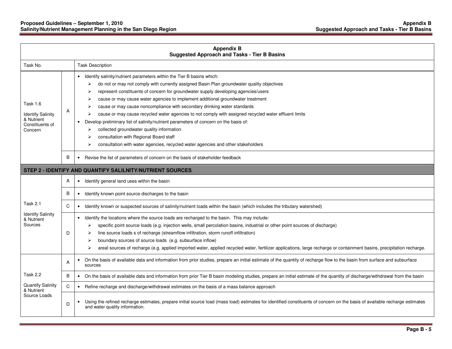#### **Proposed Guidelines – September 1, 2010 Appendix B Salinity/Nutrient Management Planning in the San Diego Region Suggested Approach and Tasks - Tier B Basins**

| <b>Appendix B</b><br><b>Suggested Approach and Tasks - Tier B Basins</b>                |              |                                                                                                                                                                                                                                                                                                                                                                                                                                                                                                                                                                                                                                                                                                                                                                                                                          |
|-----------------------------------------------------------------------------------------|--------------|--------------------------------------------------------------------------------------------------------------------------------------------------------------------------------------------------------------------------------------------------------------------------------------------------------------------------------------------------------------------------------------------------------------------------------------------------------------------------------------------------------------------------------------------------------------------------------------------------------------------------------------------------------------------------------------------------------------------------------------------------------------------------------------------------------------------------|
| Task No.                                                                                |              | <b>Task Description</b>                                                                                                                                                                                                                                                                                                                                                                                                                                                                                                                                                                                                                                                                                                                                                                                                  |
| <b>Task 1.6</b><br><b>Identify Salinity</b><br>& Nutrient<br>Constituents of<br>Concern | Α            | Identify salinity/nutrient parameters within the Tier B basins which:<br>do not or may not comply with currently assigned Basin Plan groundwater quality objectives<br>➤<br>represent constituents of concern for groundwater supply developing agencies/users<br>cause or may cause water agencies to implement additional groundwater treatment<br>⋗<br>cause or may cause noncompliance with secondary drinking water standards<br>cause or may cause recycled water agencies to not comply with assigned recycled water effluent limits<br>Develop preliminary list of salinity/nutrient parameters of concern on the basis of:<br>collected groundwater quality information<br>⋗<br>consultation with Regional Board staff<br>consultation with water agencies, recycled water agencies and other stakeholders<br>⋗ |
|                                                                                         | B            | Revise the list of parameters of concern on the basis of stakeholder feedback                                                                                                                                                                                                                                                                                                                                                                                                                                                                                                                                                                                                                                                                                                                                            |
|                                                                                         |              | STEP 2 - IDENTIFY AND QUANTIFY SALILNITY/NUTRIENT SOURCES                                                                                                                                                                                                                                                                                                                                                                                                                                                                                                                                                                                                                                                                                                                                                                |
|                                                                                         | A            | Identify general land uses within the basin<br>$\bullet$                                                                                                                                                                                                                                                                                                                                                                                                                                                                                                                                                                                                                                                                                                                                                                 |
|                                                                                         | B            | Identify known point source discharges to the basin<br>$\bullet$                                                                                                                                                                                                                                                                                                                                                                                                                                                                                                                                                                                                                                                                                                                                                         |
| <b>Task 2.1</b>                                                                         | C            | Identify known or suspected sources of salinity/nutrient loads within the basin (which includes the tributary watershed)<br>$\bullet$                                                                                                                                                                                                                                                                                                                                                                                                                                                                                                                                                                                                                                                                                    |
| <b>Identify Salinity</b><br>& Nutrient<br>Sources                                       | D            | Identify the locations where the source loads are recharged to the basin. This may include:<br>specific point source loads (e.g. injection wells, small percolation basins, industrial or other point sources of discharge)<br>➤<br>line source loads s of recharge (streamflow infiltration, storm runoff infiltration)<br>➤<br>boundary sources of source loads (e.g. subsurface inflow)<br>⋗<br>areal sources of recharge (e.g. applied imported water, applied recycled water, fertilizer applications, large recharge or containment basins, precipitation recharge.<br>➤                                                                                                                                                                                                                                           |
|                                                                                         | A            | On the basis of available data and information from prior studies, prepare an initial estimate of the quantity of recharge flow to the basin from surface and subsurface<br>sources                                                                                                                                                                                                                                                                                                                                                                                                                                                                                                                                                                                                                                      |
| Task 2.2                                                                                | B            | On the basis of available data and information from prior Tier B basin modeling studies, prepare an initial estimate of the quantity of discharge/withdrawal from the basin                                                                                                                                                                                                                                                                                                                                                                                                                                                                                                                                                                                                                                              |
| Quantify Salinity<br>& Nutrient                                                         | $\mathsf{C}$ | Refine recharge and discharge/withdrawal estimates on the basis of a mass balance approach<br>$\bullet$                                                                                                                                                                                                                                                                                                                                                                                                                                                                                                                                                                                                                                                                                                                  |
| Source Loads                                                                            | D            | Using the refined recharge estimates, prepare initial source load (mass load) estimates for identified constituents of concern on the basis of available recharge estimates<br>and water quality information.                                                                                                                                                                                                                                                                                                                                                                                                                                                                                                                                                                                                            |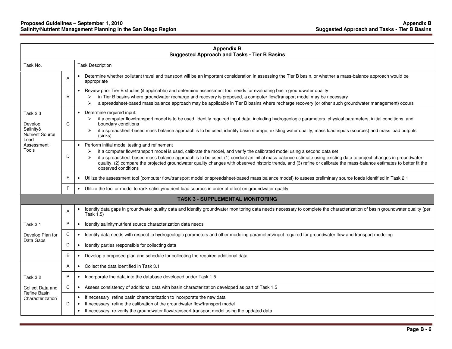|                                                                                           |                | <b>Appendix B</b><br><b>Suggested Approach and Tasks - Tier B Basins</b>                                                                                                                                                                                                                                                                                                                                                                                                                                                                                      |
|-------------------------------------------------------------------------------------------|----------------|---------------------------------------------------------------------------------------------------------------------------------------------------------------------------------------------------------------------------------------------------------------------------------------------------------------------------------------------------------------------------------------------------------------------------------------------------------------------------------------------------------------------------------------------------------------|
| Task No.                                                                                  |                | <b>Task Description</b>                                                                                                                                                                                                                                                                                                                                                                                                                                                                                                                                       |
|                                                                                           | $\overline{A}$ | Determine whether pollutant travel and transport will be an important consideration in assessing the Tier B basin, or whether a mass-balance approach would be<br>appropriate                                                                                                                                                                                                                                                                                                                                                                                 |
| Task 2.3<br>Develop<br>Salinity&<br><b>Nutrient Source</b><br>Load<br>Assessment<br>Tools | B              | Review prior Tier B studies (if applicable) and determine assessment tool needs for evaluating basin groundwater quality<br>$\bullet$<br>in Tier B basins where groundwater recharge and recovery is proposed, a computer flow/transport model may be necessary<br>⋗<br>a spreadsheet-based mass balance approach may be applicable in Tier B basins where recharge recovery (or other such groundwater management) occurs<br>⋗                                                                                                                               |
|                                                                                           | C              | Determine required input:<br>$\bullet$<br>if a computer flow/transport model is to be used, identify required input data, including hydrogeologic parameters, physical parameters, initial conditions, and<br>⋗<br>boundary conditions<br>if a spreadsheet-based mass balance approach is to be used, identify basin storage, existing water quality, mass load inputs (sources) and mass load outputs<br>(sinks)                                                                                                                                             |
|                                                                                           | D              | Perform initial model testing and refinement<br>$\bullet$<br>if a computer flow/transport model is used, calibrate the model, and verify the calibrated model using a second data set<br>⋗<br>if a spreadsheet-based mass balance approach is to be used, (1) conduct an initial mass-balance estimate using existing data to project changes in groundwater<br>quality, (2) compare the projected groundwater quality changes with observed historic trends, and (3) refine or calibrate the mass-balance estimates to better fit the<br>observed conditions |
|                                                                                           | Ε              | Utilize the assessment tool (computer flow/transport model or spreadsheet-based mass balance model) to assess preliminary source loads identified in Task 2.1<br>$\bullet$                                                                                                                                                                                                                                                                                                                                                                                    |
|                                                                                           | E              | • Utilize the tool or model to rank salinity/nutrient load sources in order of effect on groundwater quality                                                                                                                                                                                                                                                                                                                                                                                                                                                  |
|                                                                                           |                | <b>TASK 3 - SUPPLEMENTAL MONITORING</b>                                                                                                                                                                                                                                                                                                                                                                                                                                                                                                                       |
|                                                                                           | A              | Identify data gaps in groundwater quality data and identify groundwater monitoring data needs necessary to complete the characterization of basin groundwater quality (per<br>$\bullet$<br>Task 1.5)                                                                                                                                                                                                                                                                                                                                                          |
| Task 3.1                                                                                  | B              | Identify salinity/nutrient source characterization data needs<br>$\bullet$                                                                                                                                                                                                                                                                                                                                                                                                                                                                                    |
| Develop Plan for                                                                          | C              | Identify data needs with respect to hydrogeologic parameters and other modeling parameters/input required for groundwater flow and transport modeling<br>$\bullet$                                                                                                                                                                                                                                                                                                                                                                                            |
| Data Gaps                                                                                 | D              | Identify parties responsible for collecting data<br>$\bullet$                                                                                                                                                                                                                                                                                                                                                                                                                                                                                                 |
|                                                                                           | E              | Develop a proposed plan and schedule for collecting the required additional data<br>$\bullet$                                                                                                                                                                                                                                                                                                                                                                                                                                                                 |
|                                                                                           | A              | • Collect the data identified in Task 3.1                                                                                                                                                                                                                                                                                                                                                                                                                                                                                                                     |
| Task 3.2                                                                                  | B              | • Incorporate the data into the database developed under Task 1.5                                                                                                                                                                                                                                                                                                                                                                                                                                                                                             |
| Collect Data and                                                                          | C              | • Assess consistency of additional data with basin characterization developed as part of Task 1.5                                                                                                                                                                                                                                                                                                                                                                                                                                                             |
| <b>Refine Basin</b><br>Characterization                                                   | D              | If necessary, refine basin characterization to incorporate the new data<br>$\bullet$<br>If necessary, refine the calibration of the groundwater flow/transport model<br>$\bullet$<br>If necessary, re-verify the groundwater flow/transport transport model using the updated data<br>$\bullet$                                                                                                                                                                                                                                                               |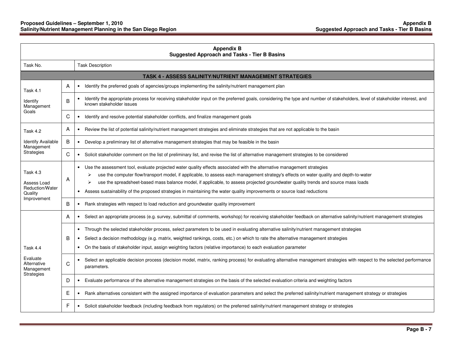| <b>Appendix B</b><br><b>Suggested Approach and Tasks - Tier B Basins</b> |   |                                                                                                                                                                                                                                                                                                                                                                                                                                                                                                                                                             |
|--------------------------------------------------------------------------|---|-------------------------------------------------------------------------------------------------------------------------------------------------------------------------------------------------------------------------------------------------------------------------------------------------------------------------------------------------------------------------------------------------------------------------------------------------------------------------------------------------------------------------------------------------------------|
| Task No.                                                                 |   | <b>Task Description</b>                                                                                                                                                                                                                                                                                                                                                                                                                                                                                                                                     |
|                                                                          |   | TASK 4 - ASSESS SALINITY/NUTRIENT MANAGEMENT STRATEGIES                                                                                                                                                                                                                                                                                                                                                                                                                                                                                                     |
| <b>Task 4.1</b>                                                          | A | • Identify the preferred goals of agencies/groups implementing the salinity/nutrient management plan                                                                                                                                                                                                                                                                                                                                                                                                                                                        |
| Identify<br>Management                                                   | B | Identify the appropriate process for receiving stakeholder input on the preferred goals, considering the type and number of stakeholders, level of stakeholder interest, and<br>known stakeholder issues                                                                                                                                                                                                                                                                                                                                                    |
| Goals                                                                    | С | Identify and resolve potential stakeholder conflicts, and finalize management goals<br>$\bullet$                                                                                                                                                                                                                                                                                                                                                                                                                                                            |
| Task 4.2                                                                 | A | Review the list of potential salinity/nutrient management strategies and eliminate strategies that are not applicable to the basin<br>$\bullet$                                                                                                                                                                                                                                                                                                                                                                                                             |
| <b>Identify Available</b><br>Management                                  | В | • Develop a preliminary list of alternative management strategies that may be feasible in the basin                                                                                                                                                                                                                                                                                                                                                                                                                                                         |
| Strategies                                                               | C | • Solicit stakeholder comment on the list of preliminary list, and revise the list of alternative management strategies to be considered                                                                                                                                                                                                                                                                                                                                                                                                                    |
| Task 4.3<br>Assess Load<br>Reduction/Water<br>Quality<br>Improvement     | A | • Use the assessment tool, evaluate projected water quality effects associated with the alternative management strategies<br>use the computer flow/transport model, if applicable, to assess each management strategy's effects on water quality and depth-to-water<br>⋗<br>use the spreadsheet-based mass balance model, if applicable, to assess projected groundwater quality trends and source mass loads<br>⋗<br>Assess sustainability of the proposed strategies in maintaining the water quality improvements or source load reductions<br>$\bullet$ |
|                                                                          | B | • Rank strategies with respect to load reduction and groundwater quality improvement                                                                                                                                                                                                                                                                                                                                                                                                                                                                        |
|                                                                          | A | • Select an appropriate process (e.g. survey, submittal of comments, workshop) for receiving stakeholder feedback on alternative salinity/nutrient management strategies                                                                                                                                                                                                                                                                                                                                                                                    |
| Task 4.4<br>Evaluate<br>Alternative<br>Management                        | B | • Through the selected stakeholder process, select parameters to be used in evaluating alternative salinity/nutrient management strategies<br>• Select a decision methodology (e.g. matrix, weighted rankings, costs, etc.) on which to rate the alternative management strategies<br>• On the basis of stakeholder input, assign weighting factors (relative importance) to each evaluation parameter                                                                                                                                                      |
|                                                                          | C | Select an applicable decision process (decision model, matrix, ranking process) for evaluating alternative management strategies with respect to the selected performance<br>$\bullet$<br>parameters.                                                                                                                                                                                                                                                                                                                                                       |
| Strategies                                                               | D | Evaluate performance of the alternative management strategies on the basis of the selected evaluation criteria and weighting factors<br>$\bullet$                                                                                                                                                                                                                                                                                                                                                                                                           |
|                                                                          | Е | Rank alternatives consistent with the assigned importance of evaluation parameters and select the preferred salinity/nutrient management strategy or strategies<br>$\bullet$                                                                                                                                                                                                                                                                                                                                                                                |
|                                                                          | F | Solicit stakeholder feedback (including feedback from regulators) on the preferred salinity/nutrient management strategy or strategies<br>٠                                                                                                                                                                                                                                                                                                                                                                                                                 |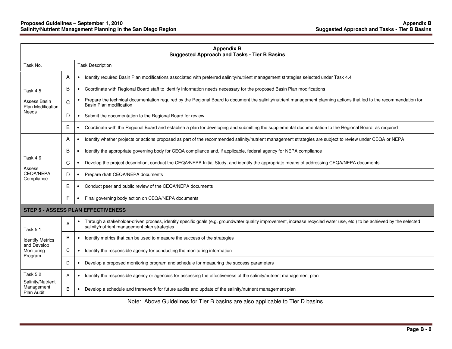| <b>Appendix B</b><br><b>Suggested Approach and Tasks - Tier B Basins</b> |   |                                                                                                                                                                                                                        |  |  |
|--------------------------------------------------------------------------|---|------------------------------------------------------------------------------------------------------------------------------------------------------------------------------------------------------------------------|--|--|
| Task No.                                                                 |   | <b>Task Description</b>                                                                                                                                                                                                |  |  |
|                                                                          | A | Identify required Basin Plan modifications associated with preferred salinity/nutrient management strategies selected under Task 4.4<br>$\bullet$                                                                      |  |  |
| Task 4.5                                                                 | B | • Coordinate with Regional Board staff to identify information needs necessary for the proposed Basin Plan modifications                                                                                               |  |  |
| Assess Basin<br><b>Plan Modification</b>                                 | C | Prepare the technical documentation required by the Regional Board to document the salinity/nutrient management planning actions that led to the recommendation for<br>Basin Plan modification                         |  |  |
| <b>Needs</b>                                                             | D | Submit the documentation to the Regional Board for review<br>$\bullet$                                                                                                                                                 |  |  |
|                                                                          | Е | Coordinate with the Regional Board and establish a plan for developing and submitting the supplemental documentation to the Regional Board, as required                                                                |  |  |
|                                                                          | A | Identify whether projects or actions proposed as part of the recommended salinity/nutrient management strategies are subject to review under CEQA or NEPA                                                              |  |  |
|                                                                          | B | Identify the appropriate governing body for CEQA compliance and, if applicable, federal agency for NEPA compliance                                                                                                     |  |  |
| Task 4.6                                                                 | C | Develop the project description, conduct the CEQA/NEPA Initial Study, and identify the appropriate means of addressing CEQA/NEPA documents<br>$\bullet$                                                                |  |  |
| Assess<br><b>CEQA/NEPA</b><br>Compliance                                 | D | Prepare draft CEQA/NEPA documents<br>$\bullet$                                                                                                                                                                         |  |  |
|                                                                          | Е | Conduct peer and public review of the CEQA/NEPA documents<br>$\bullet$                                                                                                                                                 |  |  |
|                                                                          | F | Final governing body action on CEQA/NEPA documents<br>$\bullet$                                                                                                                                                        |  |  |
| <b>STEP 5 - ASSESS PLAN EFFECTIVENESS</b>                                |   |                                                                                                                                                                                                                        |  |  |
| <b>Task 5.1</b>                                                          | A | Through a stakeholder-driven process, identify specific goals (e.g. groundwater quality improvement, increase recycled water use, etc.) to be achieved by the selected<br>salinity/nutrient management plan strategies |  |  |
| <b>Identify Metrics</b>                                                  | B | Identify metrics that can be used to measure the success of the strategies<br>$\bullet$                                                                                                                                |  |  |
| and Develop<br>Monitoring<br>Program                                     | C | Identify the responsible agency for conducting the monitoring information<br>$\bullet$                                                                                                                                 |  |  |
|                                                                          | D | Develop a proposed monitoring program and schedule for measuring the success parameters<br>$\bullet$                                                                                                                   |  |  |
| <b>Task 5.2</b>                                                          | A | Identify the responsible agency or agencies for assessing the effectiveness of the salinity/nutrient management plan                                                                                                   |  |  |
| Salinity/Nutrient<br>Management<br>Plan Audit                            | B | Develop a schedule and framework for future audits and update of the salinity/nutrient management plan<br>٠                                                                                                            |  |  |

Note: Above Guidelines for Tier B basins are also applicable to Tier D basins.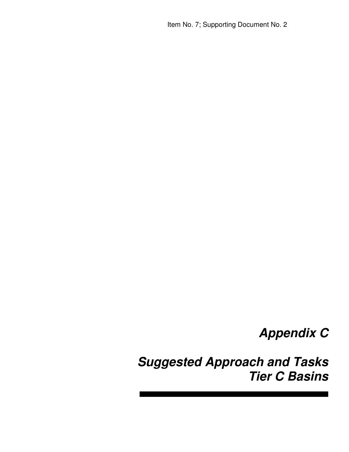Item No. 7; Supporting Document No. 2

# **Appendix C**

**Suggested Approach and Tasks Tier C Basins**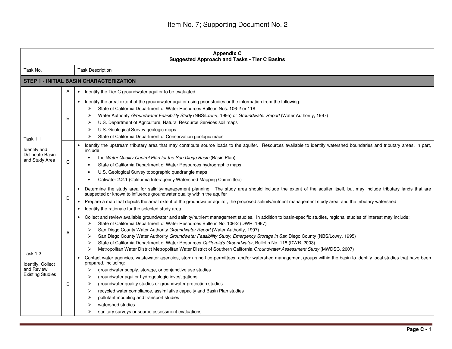| <b>Appendix C</b><br><b>Suggested Approach and Tasks - Tier C Basins</b> |   |                                                                                                                                                                                                                                                                                                                                                                                                                                                                                                                                                                                                                                                                                                                           |
|--------------------------------------------------------------------------|---|---------------------------------------------------------------------------------------------------------------------------------------------------------------------------------------------------------------------------------------------------------------------------------------------------------------------------------------------------------------------------------------------------------------------------------------------------------------------------------------------------------------------------------------------------------------------------------------------------------------------------------------------------------------------------------------------------------------------------|
| Task No.                                                                 |   | <b>Task Description</b>                                                                                                                                                                                                                                                                                                                                                                                                                                                                                                                                                                                                                                                                                                   |
|                                                                          |   | <b>STEP 1 - INITIAL BASIN CHARACTERIZATION</b>                                                                                                                                                                                                                                                                                                                                                                                                                                                                                                                                                                                                                                                                            |
|                                                                          | A | • Identify the Tier C groundwater aquifer to be evaluated                                                                                                                                                                                                                                                                                                                                                                                                                                                                                                                                                                                                                                                                 |
| Task 1.1<br>Identify and<br>Delineate Basin<br>and Study Area            | B | • Identify the areal extent of the groundwater aquifer using prior studies or the information from the following:<br>State of California Department of Water Resources Bulletin Nos. 106-2 or 118<br>➤<br>Water Authority Groundwater Feasibility Study (NBS/Lowry, 1995) or Groundwater Report (Water Authority, 1997)<br>U.S. Department of Agriculture, Natural Resource Services soil maps<br>U.S. Geological Survey geologic maps<br>⋗<br>State of California Department of Conservation geologic maps<br>⋗                                                                                                                                                                                                          |
|                                                                          | C | Identify the upstream tributary area that may contribute source loads to the aquifer. Resources available to identify watershed boundaries and tributary areas, in part,<br>include:<br>the Water Quality Control Plan for the San Diego Basin (Basin Plan)<br>State of California Department of Water Resources hydrographic maps<br>U.S. Geological Survey topographic quadrangle maps<br>Calwater 2.2.1 (California Interagency Watershed Mapping Committee)                                                                                                                                                                                                                                                           |
|                                                                          | D | Determine the study area for salinity/management planning. The study area should include the extent of the aquifer itself, but may include tributary lands that are<br>suspected or known to influence groundwater quality within the aquifer<br>Prepare a map that depicts the areal extent of the groundwater aquifer, the proposed salinity/nutrient management study area, and the tributary watershed<br>$\bullet$<br>Identify the rationale for the selected study area<br>$\bullet$                                                                                                                                                                                                                                |
| Task 1.2<br>Identify, Collect<br>and Review<br><b>Existing Studies</b>   | A | Collect and review available groundwater and salinity/nutrient management studies. In addition to basin-specific studies, regional studies of interest may include:<br>State of California Department of Water Resources Bulletin No. 106-2 (DWR, 1967)<br>➤<br>San Diego County Water Authority Groundwater Report (Water Authority, 1997)<br>San Diego County Water Authority Groundwater Feasibility Study, Emergency Storage in San Diego County (NBS/Lowry, 1995)<br>State of California Department of Water Resources California's Groundwater, Bulletin No. 118 (DWR, 2003)<br>➤<br>Metropolitan Water District Metropolitan Water District of Southern California Groundwater Assessment Study (MWDSC, 2007)<br>⋗ |
|                                                                          | B | Contact water agencies, wastewater agencies, storm runoff co-permittees, and/or watershed management groups within the basin to identify local studies that have been<br>prepared, including:<br>groundwater supply, storage, or conjunctive use studies<br>⋗<br>groundwater aquifer hydrogeologic investigations<br>➤<br>groundwater quality studies or groundwater protection studies<br>➤<br>recycled water compliance, assimilative capacity and Basin Plan studies<br>⋗<br>pollutant modeling and transport studies<br>watershed studies<br>sanitary surveys or source assessment evaluations                                                                                                                        |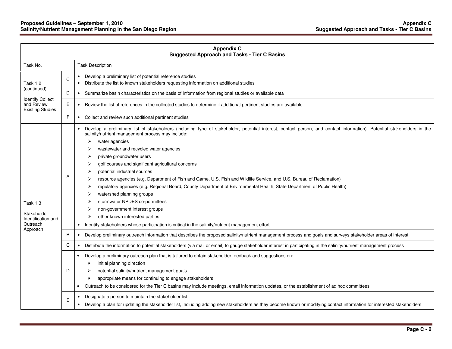| <b>Appendix C</b><br><b>Suggested Approach and Tasks - Tier C Basins</b>     |   |                                                                                                                                                                                                                                                                                                                                                                                                                                                                                                                                                                                                                                                                                                                                                                                                                                                                                                                                                           |  |  |
|------------------------------------------------------------------------------|---|-----------------------------------------------------------------------------------------------------------------------------------------------------------------------------------------------------------------------------------------------------------------------------------------------------------------------------------------------------------------------------------------------------------------------------------------------------------------------------------------------------------------------------------------------------------------------------------------------------------------------------------------------------------------------------------------------------------------------------------------------------------------------------------------------------------------------------------------------------------------------------------------------------------------------------------------------------------|--|--|
| Task No.                                                                     |   | <b>Task Description</b>                                                                                                                                                                                                                                                                                                                                                                                                                                                                                                                                                                                                                                                                                                                                                                                                                                                                                                                                   |  |  |
| <b>Task 1.2</b>                                                              | C | Develop a preliminary list of potential reference studies<br>$\bullet$<br>Distribute the list to known stakeholders requesting information on additional studies<br>$\bullet$                                                                                                                                                                                                                                                                                                                                                                                                                                                                                                                                                                                                                                                                                                                                                                             |  |  |
| (continued)                                                                  | D | • Summarize basin characteristics on the basis of information from regional studies or available data                                                                                                                                                                                                                                                                                                                                                                                                                                                                                                                                                                                                                                                                                                                                                                                                                                                     |  |  |
| <b>Identify Collect</b><br>and Review<br><b>Existing Studies</b>             | E | Review the list of references in the collected studies to determine if additional pertinent studies are available<br>$\bullet$                                                                                                                                                                                                                                                                                                                                                                                                                                                                                                                                                                                                                                                                                                                                                                                                                            |  |  |
|                                                                              | F | Collect and review such additional pertinent studies                                                                                                                                                                                                                                                                                                                                                                                                                                                                                                                                                                                                                                                                                                                                                                                                                                                                                                      |  |  |
| <b>Task 1.3</b><br>Stakeholder<br>Identification and<br>Outreach<br>Approach | Α | Develop a preliminary list of stakeholders (including type of stakeholder, potential interest, contact person, and contact information). Potential stakeholders in the<br>٠<br>salinity/nutrient management process may include:<br>water agencies<br>➤<br>wastewater and recycled water agencies<br>⋗<br>private groundwater users<br>golf courses and significant agricultural concerns<br>⋗<br>potential industrial sources<br>➤<br>resource agencies (e.g. Department of Fish and Game, U.S. Fish and Wildlife Service, and U.S. Bureau of Reclamation)<br>⋗<br>regulatory agencies (e.g. Regional Board, County Department of Environmental Health, State Department of Public Health)<br>⋗<br>watershed planning groups<br>stormwater NPDES co-permittees<br>non-government interest groups<br>other known interested parties<br>➤<br>Identify stakeholders whose participation is critical in the salinity/nutrient management effort<br>$\bullet$ |  |  |
|                                                                              | B | Develop preliminary outreach information that describes the proposed salinity/nutrient management process and goals and surveys stakeholder areas of interest<br>٠                                                                                                                                                                                                                                                                                                                                                                                                                                                                                                                                                                                                                                                                                                                                                                                        |  |  |
|                                                                              | C | Distribute the information to potential stakeholders (via mail or email) to gauge stakeholder interest in participating in the salinity/nutrient management process<br>$\bullet$                                                                                                                                                                                                                                                                                                                                                                                                                                                                                                                                                                                                                                                                                                                                                                          |  |  |
|                                                                              | D | Develop a preliminary outreach plan that is tailored to obtain stakeholder feedback and suggestions on:<br>initial planning direction<br>⋗<br>potential salinity/nutrient management goals<br>⋗<br>appropriate means for continuing to engage stakeholders<br>≻<br>Outreach to be considered for the Tier C basins may include meetings, email information updates, or the establishment of ad hoc committees                                                                                                                                                                                                                                                                                                                                                                                                                                                                                                                                             |  |  |
|                                                                              | E | Designate a person to maintain the stakeholder list<br>Develop a plan for updating the stakeholder list, including adding new stakeholders as they become known or modifying contact information for interested stakeholders                                                                                                                                                                                                                                                                                                                                                                                                                                                                                                                                                                                                                                                                                                                              |  |  |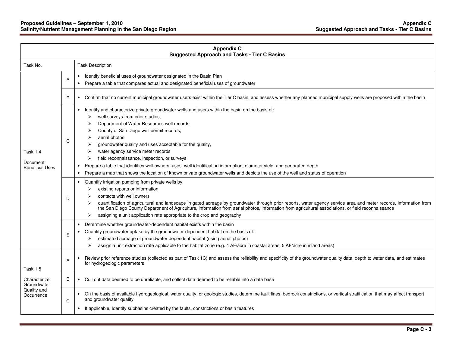#### **Proposed Guidelines – September 1, 2010 Appendix C Salinity/Nutrient Management Planning in the San Diego Region Suggested Approach and Tasks - Tier C Basins**

| <b>Appendix C</b><br><b>Suggested Approach and Tasks - Tier C Basins</b>    |   |                                                                                                                                                                                                                                                                                                                                                                                                                                                                                                                                                                                                                                                                                                                               |
|-----------------------------------------------------------------------------|---|-------------------------------------------------------------------------------------------------------------------------------------------------------------------------------------------------------------------------------------------------------------------------------------------------------------------------------------------------------------------------------------------------------------------------------------------------------------------------------------------------------------------------------------------------------------------------------------------------------------------------------------------------------------------------------------------------------------------------------|
| Task No.                                                                    |   | <b>Task Description</b>                                                                                                                                                                                                                                                                                                                                                                                                                                                                                                                                                                                                                                                                                                       |
|                                                                             | A | Identify beneficial uses of groundwater designated in the Basin Plan<br>$\bullet$<br>Prepare a table that compares actual and designated beneficial uses of groundwater                                                                                                                                                                                                                                                                                                                                                                                                                                                                                                                                                       |
|                                                                             | B | • Confirm that no current municipal groundwater users exist within the Tier C basin, and assess whether any planned municipal supply wells are proposed within the basin                                                                                                                                                                                                                                                                                                                                                                                                                                                                                                                                                      |
| <b>Task 1.4</b><br>Document<br><b>Beneficial Uses</b>                       | C | Identify and characterize private groundwater wells and users within the basin on the basis of:<br>$\bullet$<br>well surveys from prior studies,<br>➤<br>Department of Water Resources well records,<br>⋗<br>County of San Diego well permit records,<br>➤<br>aerial photos,<br>➤<br>groundwater quality and uses acceptable for the quality,<br>water agency service meter records<br>field reconnaissance, inspection, or surveys<br>Prepare a table that identifies well owners, uses, well identification information, diameter yield, and perforated depth<br>$\bullet$<br>Prepare a map that shows the location of known private groundwater wells and depicts the use of the well and status of operation<br>$\bullet$ |
|                                                                             | D | Quantify irrigation pumping from private wells by:<br>$\bullet$<br>existing reports or information<br>➤<br>contacts with well owners<br>quantification of agricultural and landscape irrigated acreage by groundwater through prior reports, water agency service area and meter records, information from<br>the San Diego County Department of Agriculture, information from aerial photos, information from agricultural associations, or field reconnaissance<br>assigning a unit application rate appropriate to the crop and geography<br>➤                                                                                                                                                                             |
|                                                                             | E | Determine whether groundwater-dependent habitat exists within the basin<br>$\bullet$<br>Quantify groundwater uptake by the groundwater-dependent habitat on the basis of:<br>$\bullet$<br>estimated acreage of groundwater dependent habitat (using aerial photos)<br>➤<br>assign a unit extraction rate applicable to the habitat zone (e.g. 4 AF/acre in coastal areas, 5 AF/acre in inland areas)<br>⋗                                                                                                                                                                                                                                                                                                                     |
| <b>Task 1.5</b><br>Characterize<br>Groundwater<br>Quality and<br>Occurrence | A | Review prior reference studies (collected as part of Task 1C) and assess the reliability and specificity of the groundwater quality data, depth to water data, and estimates<br>for hydrogeologic parameters                                                                                                                                                                                                                                                                                                                                                                                                                                                                                                                  |
|                                                                             | B | • Cull out data deemed to be unreliable, and collect data deemed to be reliable into a data base                                                                                                                                                                                                                                                                                                                                                                                                                                                                                                                                                                                                                              |
|                                                                             | C | • On the basis of available hydrogeological, water quality, or geologic studies, determine fault lines, bedrock constrictions, or vertical stratification that may affect transport<br>and groundwater quality<br>• If applicable, Identify subbasins created by the faults, constrictions or basin features                                                                                                                                                                                                                                                                                                                                                                                                                  |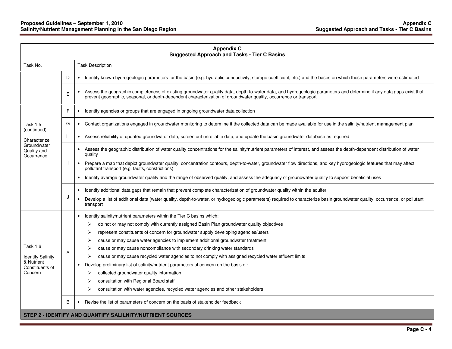| <b>Appendix C</b><br><b>Suggested Approach and Tasks - Tier C Basins</b> |   |                                                                                                                                                                                                                                                                                                                                                                                          |  |  |
|--------------------------------------------------------------------------|---|------------------------------------------------------------------------------------------------------------------------------------------------------------------------------------------------------------------------------------------------------------------------------------------------------------------------------------------------------------------------------------------|--|--|
| Task No.                                                                 |   | <b>Task Description</b>                                                                                                                                                                                                                                                                                                                                                                  |  |  |
|                                                                          | D | Identify known hydrogeologic parameters for the basin (e.g. hydraulic conductivity, storage coefficient, etc.) and the bases on which these parameters were estimated<br>$\bullet$                                                                                                                                                                                                       |  |  |
|                                                                          | E | Assess the geographic completeness of existing groundwater quality data, depth-to-water data, and hydrogeologic parameters and determine if any data gaps exist that<br>$\bullet$<br>prevent geographic, seasonal, or depth-dependent characterization of groundwater quality, occurrence or transport                                                                                   |  |  |
|                                                                          | F | Identify agencies or groups that are engaged in ongoing groundwater data collection<br>$\bullet$                                                                                                                                                                                                                                                                                         |  |  |
| Task 1.5<br>(continued)                                                  | G | Contact organizations engaged in groundwater monitoring to determine if the collected data can be made available for use in the salinity/nutrient management plan<br>$\bullet$                                                                                                                                                                                                           |  |  |
| Characterize                                                             | Н | • Assess reliability of updated groundwater data, screen out unreliable data, and update the basin groundwater database as required                                                                                                                                                                                                                                                      |  |  |
| Groundwater<br>Quality and<br>Occurrence                                 |   | Assess the geographic distribution of water quality concentrations for the salinity/nutrient parameters of interest, and assess the depth-dependent distribution of water<br>$\bullet$<br>quality                                                                                                                                                                                        |  |  |
|                                                                          |   | Prepare a map that depict groundwater quality, concentration contours, depth-to-water, groundwater flow directions, and key hydrogeologic features that may affect<br>pollutant transport (e.g. faults, constrictions)<br>Identify average groundwater quality and the range of observed quality, and assess the adequacy of groundwater quality to support beneficial uses<br>$\bullet$ |  |  |
|                                                                          | J | Identify additional data gaps that remain that prevent complete characterization of groundwater quality within the aquifer<br>$\bullet$                                                                                                                                                                                                                                                  |  |  |
|                                                                          |   | Develop a list of additional data (water quality, depth-to-water, or hydrogeologic parameters) required to characterize basin groundwater quality, occurrence, or pollutant<br>$\bullet$<br>transport                                                                                                                                                                                    |  |  |
|                                                                          |   | Identify salinity/nutrient parameters within the Tier C basins which:                                                                                                                                                                                                                                                                                                                    |  |  |
|                                                                          |   | do not or may not comply with currently assigned Basin Plan groundwater quality objectives<br>➤                                                                                                                                                                                                                                                                                          |  |  |
|                                                                          |   | represent constituents of concern for groundwater supply developing agencies/users<br>⋗                                                                                                                                                                                                                                                                                                  |  |  |
|                                                                          | A | cause or may cause water agencies to implement additional groundwater treatment<br>➤                                                                                                                                                                                                                                                                                                     |  |  |
| <b>Task 1.6</b>                                                          |   | cause or may cause noncompliance with secondary drinking water standards                                                                                                                                                                                                                                                                                                                 |  |  |
| <b>Identify Salinity</b><br>& Nutrient                                   |   | cause or may cause recycled water agencies to not comply with assigned recycled water effluent limits<br>⋗                                                                                                                                                                                                                                                                               |  |  |
| Constituents of                                                          |   | Develop preliminary list of salinity/nutrient parameters of concern on the basis of:                                                                                                                                                                                                                                                                                                     |  |  |
| Concern                                                                  |   | collected groundwater quality information<br>➤                                                                                                                                                                                                                                                                                                                                           |  |  |
|                                                                          |   | consultation with Regional Board staff<br>consultation with water agencies, recycled water agencies and other stakeholders<br>⋗                                                                                                                                                                                                                                                          |  |  |
|                                                                          |   |                                                                                                                                                                                                                                                                                                                                                                                          |  |  |
|                                                                          | B | Revise the list of parameters of concern on the basis of stakeholder feedback                                                                                                                                                                                                                                                                                                            |  |  |
|                                                                          |   | STEP 2 - IDENTIFY AND QUANTIFY SALILNITY/NUTRIENT SOURCES                                                                                                                                                                                                                                                                                                                                |  |  |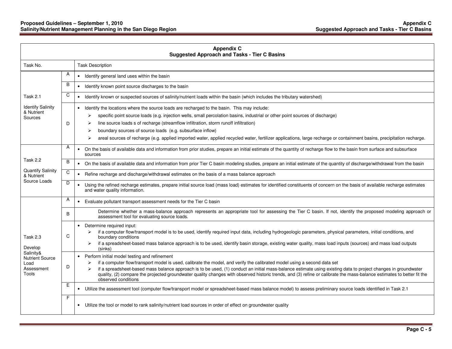| <b>Appendix C</b><br><b>Suggested Approach and Tasks - Tier C Basins</b>                         |                |                                                                                                                                                                                                                                                                                                                                                                                                                                                                                                                                                                                             |  |  |
|--------------------------------------------------------------------------------------------------|----------------|---------------------------------------------------------------------------------------------------------------------------------------------------------------------------------------------------------------------------------------------------------------------------------------------------------------------------------------------------------------------------------------------------------------------------------------------------------------------------------------------------------------------------------------------------------------------------------------------|--|--|
| Task No.                                                                                         |                | <b>Task Description</b>                                                                                                                                                                                                                                                                                                                                                                                                                                                                                                                                                                     |  |  |
|                                                                                                  | A              | • Identify general land uses within the basin                                                                                                                                                                                                                                                                                                                                                                                                                                                                                                                                               |  |  |
|                                                                                                  | B              | Identify known point source discharges to the basin<br>$\bullet$                                                                                                                                                                                                                                                                                                                                                                                                                                                                                                                            |  |  |
| <b>Task 2.1</b>                                                                                  | C              | • Identify known or suspected sources of salinity/nutrient loads within the basin (which includes the tributary watershed)                                                                                                                                                                                                                                                                                                                                                                                                                                                                  |  |  |
| <b>Identify Salinity</b><br>& Nutrient<br>Sources                                                | D              | Identify the locations where the source loads are recharged to the basin. This may include:<br>$\bullet$<br>specific point source loads (e.g. injection wells, small percolation basins, industrial or other point sources of discharge)<br>➤<br>line source loads s of recharge (streamflow infiltration, storm runoff infiltration)<br>⋗<br>boundary sources of source loads (e.g. subsurface inflow)<br>⋗<br>areal sources of recharge (e.g. applied imported water, applied recycled water, fertilizer applications, large recharge or containment basins, precipitation recharge.<br>⋗ |  |  |
| Task 2.2                                                                                         | A              | On the basis of available data and information from prior studies, prepare an initial estimate of the quantity of recharge flow to the basin from surface and subsurface<br>$\bullet$<br>sources                                                                                                                                                                                                                                                                                                                                                                                            |  |  |
| <b>Quantify Salinity</b>                                                                         | B              | • On the basis of available data and information from prior Tier C basin modeling studies, prepare an initial estimate of the quantity of discharge/withdrawal from the basin                                                                                                                                                                                                                                                                                                                                                                                                               |  |  |
| & Nutrient                                                                                       | $\overline{C}$ | • Refine recharge and discharge/withdrawal estimates on the basis of a mass balance approach                                                                                                                                                                                                                                                                                                                                                                                                                                                                                                |  |  |
| Source Loads                                                                                     | D              | • Using the refined recharge estimates, prepare initial source load (mass load) estimates for identified constituents of concern on the basis of available recharge estimates<br>and water quality information.                                                                                                                                                                                                                                                                                                                                                                             |  |  |
|                                                                                                  | A              | • Evaluate pollutant transport assessment needs for the Tier C basin                                                                                                                                                                                                                                                                                                                                                                                                                                                                                                                        |  |  |
|                                                                                                  | B              | Determine whether a mass-balance approach represents an appropriate tool for assessing the Tier C basin. If not, identify the proposed modeling approach or<br>assessment tool for evaluating source loads.                                                                                                                                                                                                                                                                                                                                                                                 |  |  |
| <b>Task 2.3</b><br>Develop<br>Salinity&<br><b>Nutrient Source</b><br>Load<br>Assessment<br>Tools | C              | Determine required input:<br>$\bullet$<br>if a computer flow/transport model is to be used, identify required input data, including hydrogeologic parameters, physical parameters, initial conditions, and<br>boundary conditions<br>if a spreadsheet-based mass balance approach is to be used, identify basin storage, existing water quality, mass load inputs (sources) and mass load outputs<br>(sinks)                                                                                                                                                                                |  |  |
|                                                                                                  | D              | Perform initial model testing and refinement<br>$\bullet$<br>if a computer flow/transport model is used, calibrate the model, and verify the calibrated model using a second data set<br>if a spreadsheet-based mass balance approach is to be used, (1) conduct an initial mass-balance estimate using existing data to project changes in groundwater<br>quality, (2) compare the projected groundwater quality changes with observed historic trends, and (3) refine or calibrate the mass-balance estimates to better fit the<br>observed conditions                                    |  |  |
|                                                                                                  | Ε              | Utilize the assessment tool (computer flow/transport model or spreadsheet-based mass balance model) to assess preliminary source loads identified in Task 2.1                                                                                                                                                                                                                                                                                                                                                                                                                               |  |  |
|                                                                                                  | F              | • Utilize the tool or model to rank salinity/nutrient load sources in order of effect on groundwater quality                                                                                                                                                                                                                                                                                                                                                                                                                                                                                |  |  |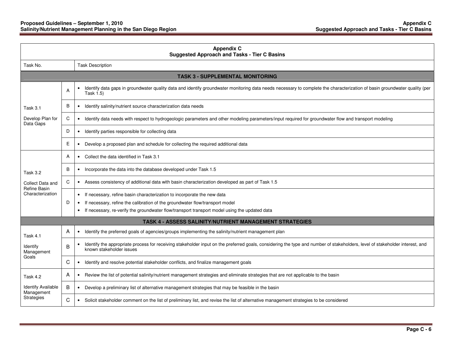| <b>Appendix C</b><br><b>Suggested Approach and Tasks - Tier C Basins</b> |   |                                                                                                                                                                                                                       |  |
|--------------------------------------------------------------------------|---|-----------------------------------------------------------------------------------------------------------------------------------------------------------------------------------------------------------------------|--|
| Task No.                                                                 |   | <b>Task Description</b>                                                                                                                                                                                               |  |
|                                                                          |   | <b>TASK 3 - SUPPLEMENTAL MONITORING</b>                                                                                                                                                                               |  |
|                                                                          | A | Identify data gaps in groundwater quality data and identify groundwater monitoring data needs necessary to complete the characterization of basin groundwater quality (per<br>$\bullet$<br>Task 1.5)                  |  |
| Task 3.1                                                                 | B | Identify salinity/nutrient source characterization data needs<br>$\bullet$                                                                                                                                            |  |
| Develop Plan for<br>Data Gaps                                            | C | Identify data needs with respect to hydrogeologic parameters and other modeling parameters/input required for groundwater flow and transport modeling<br>$\bullet$                                                    |  |
|                                                                          | D | Identify parties responsible for collecting data<br>$\bullet$                                                                                                                                                         |  |
|                                                                          | Ε | Develop a proposed plan and schedule for collecting the required additional data<br>$\bullet$                                                                                                                         |  |
|                                                                          | A | • Collect the data identified in Task 3.1                                                                                                                                                                             |  |
| Task 3.2                                                                 | B | Incorporate the data into the database developed under Task 1.5<br>$\bullet$                                                                                                                                          |  |
| Collect Data and<br><b>Refine Basin</b>                                  | C | • Assess consistency of additional data with basin characterization developed as part of Task 1.5                                                                                                                     |  |
| Characterization                                                         |   | If necessary, refine basin characterization to incorporate the new data<br>$\bullet$                                                                                                                                  |  |
|                                                                          | D | If necessary, refine the calibration of the groundwater flow/transport model<br>$\bullet$<br>If necessary, re-verify the groundwater flow/transport transport model using the updated data<br>$\bullet$               |  |
|                                                                          |   | <b>TASK 4 - ASSESS SALINITY/NUTRIENT MANAGEMENT STRATEGIES</b>                                                                                                                                                        |  |
| Task 4.1                                                                 | A | • Identify the preferred goals of agencies/groups implementing the salinity/nutrient management plan                                                                                                                  |  |
| Identify<br>Management                                                   | B | Identify the appropriate process for receiving stakeholder input on the preferred goals, considering the type and number of stakeholders, level of stakeholder interest, and<br>$\bullet$<br>known stakeholder issues |  |
| Goals                                                                    | C | Identify and resolve potential stakeholder conflicts, and finalize management goals<br>$\bullet$                                                                                                                      |  |
| Task 4.2                                                                 | A | Review the list of potential salinity/nutrient management strategies and eliminate strategies that are not applicable to the basin<br>$\bullet$                                                                       |  |
| <b>Identify Available</b><br>Management                                  | B | Develop a preliminary list of alternative management strategies that may be feasible in the basin<br>$\bullet$                                                                                                        |  |
| Strategies                                                               | C | • Solicit stakeholder comment on the list of preliminary list, and revise the list of alternative management strategies to be considered                                                                              |  |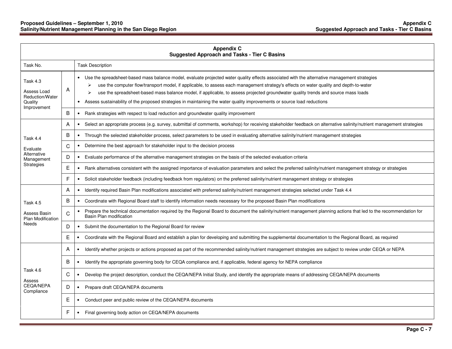| <b>Appendix C</b><br><b>Suggested Approach and Tasks - Tier C Basins</b> |   |                                                                                                                                                                                                                                                                                                                                                                                                                                                                                                                                                                                |
|--------------------------------------------------------------------------|---|--------------------------------------------------------------------------------------------------------------------------------------------------------------------------------------------------------------------------------------------------------------------------------------------------------------------------------------------------------------------------------------------------------------------------------------------------------------------------------------------------------------------------------------------------------------------------------|
| Task No.                                                                 |   | <b>Task Description</b>                                                                                                                                                                                                                                                                                                                                                                                                                                                                                                                                                        |
| Task 4.3<br>Assess Load<br>Reduction/Water<br>Quality<br>Improvement     | Α | Use the spreadsheet-based mass balance model, evaluate projected water quality effects associated with the alternative management strategies<br>use the computer flow/transport model, if applicable, to assess each management strategy's effects on water quality and depth-to-water<br>⋗<br>use the spreadsheet-based mass balance model, if applicable, to assess projected groundwater quality trends and source mass loads<br>➤<br>Assess sustainability of the proposed strategies in maintaining the water quality improvements or source load reductions<br>$\bullet$ |
|                                                                          | B | Rank strategies with respect to load reduction and groundwater quality improvement<br>$\bullet$                                                                                                                                                                                                                                                                                                                                                                                                                                                                                |
|                                                                          | Α | Select an appropriate process (e.g. survey, submittal of comments, workshop) for receiving stakeholder feedback on alternative salinity/nutrient management strategies<br>$\bullet$                                                                                                                                                                                                                                                                                                                                                                                            |
| Task 4.4                                                                 | B | Through the selected stakeholder process, select parameters to be used in evaluating alternative salinity/nutrient management strategies<br>$\bullet$                                                                                                                                                                                                                                                                                                                                                                                                                          |
| Evaluate                                                                 | C | Determine the best approach for stakeholder input to the decision process<br>$\bullet$                                                                                                                                                                                                                                                                                                                                                                                                                                                                                         |
| Alternative<br>Management                                                | D | Evaluate performance of the alternative management strategies on the basis of the selected evaluation criteria<br>$\bullet$                                                                                                                                                                                                                                                                                                                                                                                                                                                    |
| Strategies                                                               | E | Rank alternatives consistent with the assigned importance of evaluation parameters and select the preferred salinity/nutrient management strategy or strategies<br>$\bullet$                                                                                                                                                                                                                                                                                                                                                                                                   |
|                                                                          | F | Solicit stakeholder feedback (including feedback from regulators) on the preferred salinity/nutrient management strategy or strategies<br>$\bullet$                                                                                                                                                                                                                                                                                                                                                                                                                            |
|                                                                          | Α | Identify required Basin Plan modifications associated with preferred salinity/nutrient management strategies selected under Task 4.4<br>$\bullet$                                                                                                                                                                                                                                                                                                                                                                                                                              |
| Task 4.5                                                                 | B | • Coordinate with Regional Board staff to identify information needs necessary for the proposed Basin Plan modifications                                                                                                                                                                                                                                                                                                                                                                                                                                                       |
| Assess Basin<br>Plan Modification                                        | C | Prepare the technical documentation required by the Regional Board to document the salinity/nutrient management planning actions that led to the recommendation for<br>$\bullet$<br>Basin Plan modification                                                                                                                                                                                                                                                                                                                                                                    |
| Needs                                                                    | D | Submit the documentation to the Regional Board for review<br>$\bullet$                                                                                                                                                                                                                                                                                                                                                                                                                                                                                                         |
|                                                                          | E | Coordinate with the Regional Board and establish a plan for developing and submitting the supplemental documentation to the Regional Board, as required<br>$\bullet$                                                                                                                                                                                                                                                                                                                                                                                                           |
|                                                                          | Α | Identify whether projects or actions proposed as part of the recommended salinity/nutrient management strategies are subject to review under CEQA or NEPA<br>$\bullet$                                                                                                                                                                                                                                                                                                                                                                                                         |
|                                                                          | B | Identify the appropriate governing body for CEQA compliance and, if applicable, federal agency for NEPA compliance<br>$\bullet$                                                                                                                                                                                                                                                                                                                                                                                                                                                |
| Task 4.6<br>Assess                                                       | C | Develop the project description, conduct the CEQA/NEPA Initial Study, and identify the appropriate means of addressing CEQA/NEPA documents<br>$\bullet$                                                                                                                                                                                                                                                                                                                                                                                                                        |
| <b>CEOA/NEPA</b><br>Compliance                                           | D | Prepare draft CEQA/NEPA documents<br>$\bullet$                                                                                                                                                                                                                                                                                                                                                                                                                                                                                                                                 |
|                                                                          | Е | Conduct peer and public review of the CEQA/NEPA documents<br>$\bullet$                                                                                                                                                                                                                                                                                                                                                                                                                                                                                                         |
|                                                                          | F | Final governing body action on CEQA/NEPA documents                                                                                                                                                                                                                                                                                                                                                                                                                                                                                                                             |